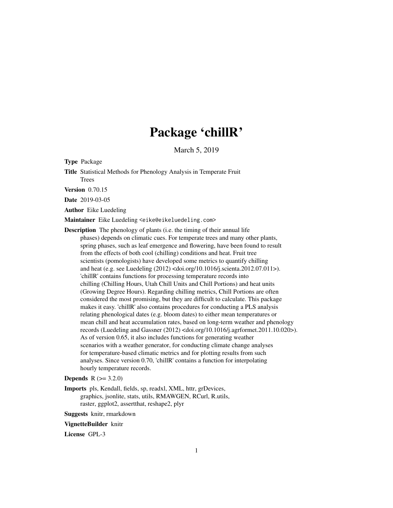# Package 'chillR'

March 5, 2019

Type Package

Title Statistical Methods for Phenology Analysis in Temperate Fruit **Trees** 

Version 0.70.15

Date 2019-03-05

Author Eike Luedeling

Maintainer Eike Luedeling <eike@eikeluedeling.com>

Description The phenology of plants (i.e. the timing of their annual life phases) depends on climatic cues. For temperate trees and many other plants, spring phases, such as leaf emergence and flowering, have been found to result from the effects of both cool (chilling) conditions and heat. Fruit tree scientists (pomologists) have developed some metrics to quantify chilling and heat (e.g. see Luedeling (2012) <doi.org/10.1016/j.scienta.2012.07.011>). 'chillR' contains functions for processing temperature records into chilling (Chilling Hours, Utah Chill Units and Chill Portions) and heat units (Growing Degree Hours). Regarding chilling metrics, Chill Portions are often considered the most promising, but they are difficult to calculate. This package makes it easy. 'chillR' also contains procedures for conducting a PLS analysis relating phenological dates (e.g. bloom dates) to either mean temperatures or mean chill and heat accumulation rates, based on long-term weather and phenology records (Luedeling and Gassner  $(2012)$  <doi.org/10.1016/j.agrformet.2011.10.020>). As of version 0.65, it also includes functions for generating weather scenarios with a weather generator, for conducting climate change analyses for temperature-based climatic metrics and for plotting results from such analyses. Since version 0.70, 'chillR' contains a function for interpolating hourly temperature records.

**Depends**  $R (= 3.2.0)$ 

Imports pls, Kendall, fields, sp, readxl, XML, httr, grDevices, graphics, jsonlite, stats, utils, RMAWGEN, RCurl, R.utils, raster, ggplot2, assertthat, reshape2, plyr

Suggests knitr, rmarkdown

#### VignetteBuilder knitr

License GPL-3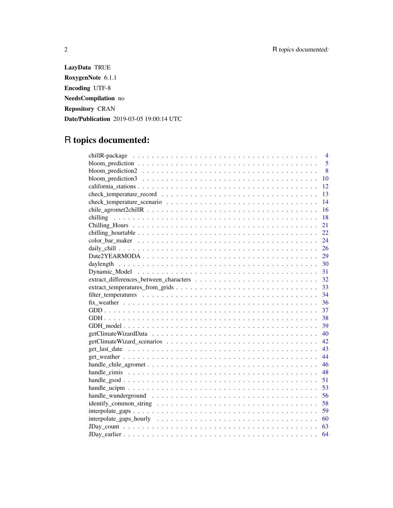LazyData TRUE RoxygenNote 6.1.1 Encoding UTF-8 NeedsCompilation no Repository CRAN Date/Publication 2019-03-05 19:00:14 UTC

## R topics documented:

|                                                                                                              | $\overline{4}$ |
|--------------------------------------------------------------------------------------------------------------|----------------|
|                                                                                                              | 5              |
|                                                                                                              | 8              |
|                                                                                                              | 10             |
|                                                                                                              | 12             |
|                                                                                                              | 13             |
|                                                                                                              | 14             |
|                                                                                                              | 16             |
|                                                                                                              | 18             |
|                                                                                                              | 21             |
|                                                                                                              | 22             |
|                                                                                                              | 24             |
|                                                                                                              | 26             |
|                                                                                                              | 29             |
|                                                                                                              | 30             |
|                                                                                                              | 31             |
|                                                                                                              | 32             |
|                                                                                                              | 33             |
|                                                                                                              | 34             |
|                                                                                                              | 36             |
|                                                                                                              | 37             |
|                                                                                                              | 38             |
|                                                                                                              | 39             |
|                                                                                                              | 40             |
|                                                                                                              | 42.            |
|                                                                                                              | 43             |
|                                                                                                              | 44             |
|                                                                                                              | 46             |
|                                                                                                              | 48             |
|                                                                                                              | 51             |
|                                                                                                              | 53             |
|                                                                                                              | 56             |
|                                                                                                              | 58             |
|                                                                                                              | 59             |
|                                                                                                              | 60             |
| $JDay_count \dots \dots \dots \dots \dots \dots \dots \dots \dots \dots \dots \dots \dots \dots \dots \dots$ | 63             |
|                                                                                                              | 64             |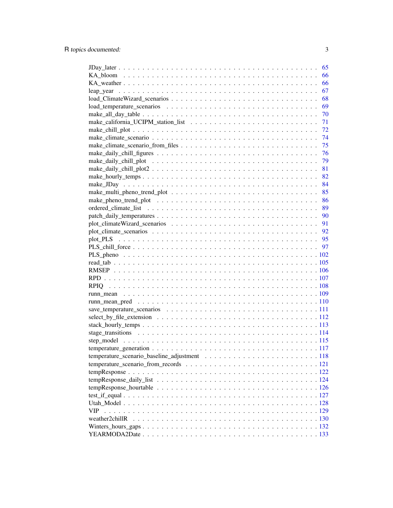|     | 65  |
|-----|-----|
|     | 66  |
|     | 66  |
|     | 67  |
|     | 68  |
|     | 69  |
|     | 70  |
|     | 71  |
|     | -72 |
|     | -74 |
|     |     |
|     |     |
|     |     |
|     |     |
|     |     |
|     |     |
|     |     |
|     |     |
|     |     |
|     |     |
|     |     |
|     |     |
|     |     |
|     |     |
|     |     |
|     |     |
|     |     |
|     |     |
|     |     |
|     |     |
|     |     |
|     |     |
|     |     |
|     |     |
|     |     |
|     |     |
|     |     |
|     |     |
|     |     |
|     |     |
|     |     |
|     |     |
|     |     |
|     |     |
|     |     |
| VIP |     |
|     |     |
|     |     |
|     |     |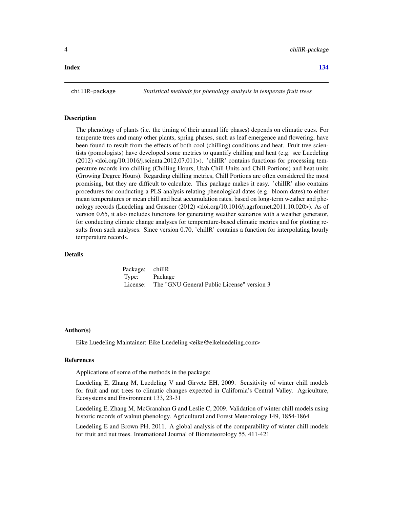### <span id="page-3-0"></span>**Index** 2003 **[134](#page-133-0)**

#### **Description**

The phenology of plants (i.e. the timing of their annual life phases) depends on climatic cues. For temperate trees and many other plants, spring phases, such as leaf emergence and flowering, have been found to result from the effects of both cool (chilling) conditions and heat. Fruit tree scientists (pomologists) have developed some metrics to quantify chilling and heat (e.g. see Luedeling  $(2012)$  <doi.org/10.1016/j.scienta.2012.07.011>). 'chillR' contains functions for processing temperature records into chilling (Chilling Hours, Utah Chill Units and Chill Portions) and heat units (Growing Degree Hours). Regarding chilling metrics, Chill Portions are often considered the most promising, but they are difficult to calculate. This package makes it easy. 'chillR' also contains procedures for conducting a PLS analysis relating phenological dates (e.g. bloom dates) to either mean temperatures or mean chill and heat accumulation rates, based on long-term weather and phenology records (Luedeling and Gassner (2012) <doi.org/10.1016/j.agrformet.2011.10.020>). As of version 0.65, it also includes functions for generating weather scenarios with a weather generator, for conducting climate change analyses for temperature-based climatic metrics and for plotting results from such analyses. Since version 0.70, 'chillR' contains a function for interpolating hourly temperature records.

### Details

Package: chillR Type: Package License: The "GNU General Public License" version 3

#### Author(s)

Eike Luedeling Maintainer: Eike Luedeling <eike@eikeluedeling.com>

#### References

Applications of some of the methods in the package:

Luedeling E, Zhang M, Luedeling V and Girvetz EH, 2009. Sensitivity of winter chill models for fruit and nut trees to climatic changes expected in California's Central Valley. Agriculture, Ecosystems and Environment 133, 23-31

Luedeling E, Zhang M, McGranahan G and Leslie C, 2009. Validation of winter chill models using historic records of walnut phenology. Agricultural and Forest Meteorology 149, 1854-1864

Luedeling E and Brown PH, 2011. A global analysis of the comparability of winter chill models for fruit and nut trees. International Journal of Biometeorology 55, 411-421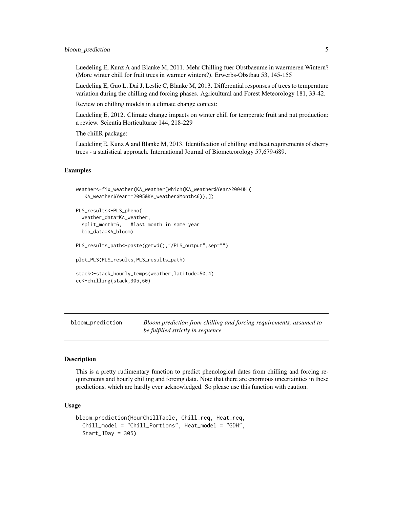### <span id="page-4-0"></span>bloom\_prediction 5

Luedeling E, Kunz A and Blanke M, 2011. Mehr Chilling fuer Obstbaeume in waermeren Wintern? (More winter chill for fruit trees in warmer winters?). Erwerbs-Obstbau 53, 145-155

Luedeling E, Guo L, Dai J, Leslie C, Blanke M, 2013. Differential responses of trees to temperature variation during the chilling and forcing phases. Agricultural and Forest Meteorology 181, 33-42.

Review on chilling models in a climate change context:

Luedeling E, 2012. Climate change impacts on winter chill for temperate fruit and nut production: a review. Scientia Horticulturae 144, 218-229

The chillR package:

Luedeling E, Kunz A and Blanke M, 2013. Identification of chilling and heat requirements of cherry trees - a statistical approach. International Journal of Biometeorology 57,679-689.

#### Examples

```
weather<-fix_weather(KA_weather[which(KA_weather$Year>2004&!(
   KA_weather$Year==2005&KA_weather$Month<6)),])
PLS_results<-PLS_pheno(
 weather_data=KA_weather,
 split_month=6, #last month in same year
 bio_data=KA_bloom)
PLS_results_path<-paste(getwd(),"/PLS_output",sep="")
plot_PLS(PLS_results,PLS_results_path)
stack<-stack_hourly_temps(weather,latitude=50.4)
cc<-chilling(stack,305,60)
```
bloom\_prediction *Bloom prediction from chilling and forcing requirements, assumed to be fulfilled strictly in sequence*

### Description

This is a pretty rudimentary function to predict phenological dates from chilling and forcing requirements and hourly chilling and forcing data. Note that there are enormous uncertainties in these predictions, which are hardly ever acknowledged. So please use this function with caution.

### Usage

```
bloom_prediction(HourChillTable, Chill_req, Heat_req,
  Chill_model = "Chill_Portions", Heat_model = "GDH",
  Start_JDay = 305)
```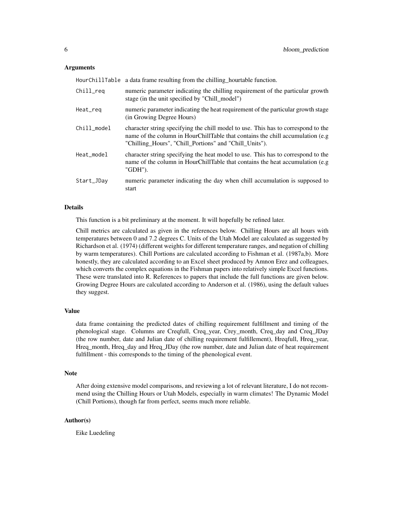#### Arguments

|             | HourChillTable a data frame resulting from the chilling hourtable function.                                                                                                                                                    |
|-------------|--------------------------------------------------------------------------------------------------------------------------------------------------------------------------------------------------------------------------------|
| Chill_req   | numeric parameter indicating the chilling requirement of the particular growth<br>stage (in the unit specified by "Chill_model")                                                                                               |
| Heat_req    | numeric parameter indicating the heat requirement of the particular growth stage<br>(in Growing Degree Hours)                                                                                                                  |
| Chill_model | character string specifying the chill model to use. This has to correspond to the<br>name of the column in HourChillTable that contains the chill accumulation (e.g.<br>"Chilling_Hours", "Chill_Portions" and "Chill_Units"). |
| Heat_model  | character string specifying the heat model to use. This has to correspond to the<br>name of the column in HourChillTable that contains the heat accumulation (e.g.<br>"GDH").                                                  |
| Start_JDay  | numeric parameter indicating the day when chill accumulation is supposed to<br>start                                                                                                                                           |

#### Details

This function is a bit preliminary at the moment. It will hopefully be refined later.

Chill metrics are calculated as given in the references below. Chilling Hours are all hours with temperatures between 0 and 7.2 degrees C. Units of the Utah Model are calculated as suggested by Richardson et al. (1974) (different weights for different temperature ranges, and negation of chilling by warm temperatures). Chill Portions are calculated according to Fishman et al. (1987a,b). More honestly, they are calculated according to an Excel sheet produced by Amnon Erez and colleagues, which converts the complex equations in the Fishman papers into relatively simple Excel functions. These were translated into R. References to papers that include the full functions are given below. Growing Degree Hours are calculated according to Anderson et al. (1986), using the default values they suggest.

#### Value

data frame containing the predicted dates of chilling requirement fulfillment and timing of the phenological stage. Columns are Creqfull, Creq\_year, Crey\_month, Creq\_day and Creq\_JDay (the row number, date and Julian date of chilling requirement fulfillement), Hreqfull, Hreq\_year, Hreq\_month, Hreq\_day and Hreq\_JDay (the row number, date and Julian date of heat requirement fulfillment - this corresponds to the timing of the phenological event.

#### **Note**

After doing extensive model comparisons, and reviewing a lot of relevant literature, I do not recommend using the Chilling Hours or Utah Models, especially in warm climates! The Dynamic Model (Chill Portions), though far from perfect, seems much more reliable.

### Author(s)

Eike Luedeling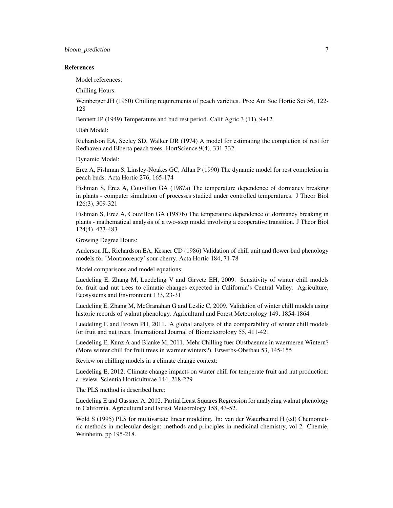#### References

Model references:

Chilling Hours:

Weinberger JH (1950) Chilling requirements of peach varieties. Proc Am Soc Hortic Sci 56, 122- 128

Bennett JP (1949) Temperature and bud rest period. Calif Agric 3 (11), 9+12

Utah Model:

Richardson EA, Seeley SD, Walker DR (1974) A model for estimating the completion of rest for Redhaven and Elberta peach trees. HortScience 9(4), 331-332

Dynamic Model:

Erez A, Fishman S, Linsley-Noakes GC, Allan P (1990) The dynamic model for rest completion in peach buds. Acta Hortic 276, 165-174

Fishman S, Erez A, Couvillon GA (1987a) The temperature dependence of dormancy breaking in plants - computer simulation of processes studied under controlled temperatures. J Theor Biol 126(3), 309-321

Fishman S, Erez A, Couvillon GA (1987b) The temperature dependence of dormancy breaking in plants - mathematical analysis of a two-step model involving a cooperative transition. J Theor Biol 124(4), 473-483

Growing Degree Hours:

Anderson JL, Richardson EA, Kesner CD (1986) Validation of chill unit and flower bud phenology models for 'Montmorency' sour cherry. Acta Hortic 184, 71-78

Model comparisons and model equations:

Luedeling E, Zhang M, Luedeling V and Girvetz EH, 2009. Sensitivity of winter chill models for fruit and nut trees to climatic changes expected in California's Central Valley. Agriculture, Ecosystems and Environment 133, 23-31

Luedeling E, Zhang M, McGranahan G and Leslie C, 2009. Validation of winter chill models using historic records of walnut phenology. Agricultural and Forest Meteorology 149, 1854-1864

Luedeling E and Brown PH, 2011. A global analysis of the comparability of winter chill models for fruit and nut trees. International Journal of Biometeorology 55, 411-421

Luedeling E, Kunz A and Blanke M, 2011. Mehr Chilling fuer Obstbaeume in waermeren Wintern? (More winter chill for fruit trees in warmer winters?). Erwerbs-Obstbau 53, 145-155

Review on chilling models in a climate change context:

Luedeling E, 2012. Climate change impacts on winter chill for temperate fruit and nut production: a review. Scientia Horticulturae 144, 218-229

The PLS method is described here:

Luedeling E and Gassner A, 2012. Partial Least Squares Regression for analyzing walnut phenology in California. Agricultural and Forest Meteorology 158, 43-52.

Wold S (1995) PLS for multivariate linear modeling. In: van der Waterbeemd H (ed) Chemometric methods in molecular design: methods and principles in medicinal chemistry, vol 2. Chemie, Weinheim, pp 195-218.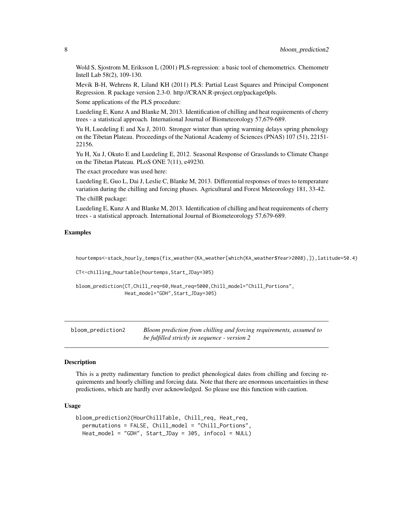<span id="page-7-0"></span>Wold S, Sjostrom M, Eriksson L (2001) PLS-regression: a basic tool of chemometrics. Chemometr Intell Lab 58(2), 109-130.

Mevik B-H, Wehrens R, Liland KH (2011) PLS: Partial Least Squares and Principal Component Regression. R package version 2.3-0. http://CRAN.R-project.org/package0pls.

Some applications of the PLS procedure:

Luedeling E, Kunz A and Blanke M, 2013. Identification of chilling and heat requirements of cherry trees - a statistical approach. International Journal of Biometeorology 57,679-689.

Yu H, Luedeling E and Xu J, 2010. Stronger winter than spring warming delays spring phenology on the Tibetan Plateau. Proceedings of the National Academy of Sciences (PNAS) 107 (51), 22151- 22156.

Yu H, Xu J, Okuto E and Luedeling E, 2012. Seasonal Response of Grasslands to Climate Change on the Tibetan Plateau. PLoS ONE 7(11), e49230.

The exact procedure was used here:

Luedeling E, Guo L, Dai J, Leslie C, Blanke M, 2013. Differential responses of trees to temperature variation during the chilling and forcing phases. Agricultural and Forest Meteorology 181, 33-42. The chillR package:

Luedeling E, Kunz A and Blanke M, 2013. Identification of chilling and heat requirements of cherry trees - a statistical approach. International Journal of Biometeorology 57,679-689.

### Examples

hourtemps<-stack\_hourly\_temps(fix\_weather(KA\_weather[which(KA\_weather\$Year>2008),]),latitude=50.4)

CT<-chilling\_hourtable(hourtemps,Start\_JDay=305)

```
bloom_prediction(CT,Chill_req=60,Heat_req=5000,Chill_model="Chill_Portions",
                Heat_model="GDH",Start_JDay=305)
```

| bloom_prediction2 | Bloom prediction from chilling and forcing requirements, assumed to |
|-------------------|---------------------------------------------------------------------|
|                   | be fulfilled strictly in sequence - version 2                       |

#### **Description**

This is a pretty rudimentary function to predict phenological dates from chilling and forcing requirements and hourly chilling and forcing data. Note that there are enormous uncertainties in these predictions, which are hardly ever acknowledged. So please use this function with caution.

### Usage

```
bloom_prediction2(HourChillTable, Chill_req, Heat_req,
  permutations = FALSE, Chill_model = "Chill_Portions",
 Heat_model = "GDH", Start_JDay = 305, infocol = NULL)
```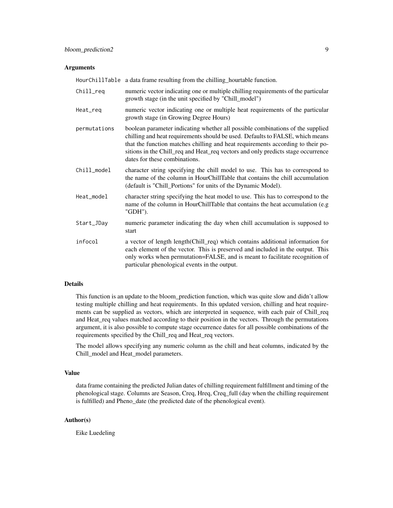#### Arguments

HourChillTable a data frame resulting from the chilling\_hourtable function. Chill\_req numeric vector indicating one or multiple chilling requirements of the particular growth stage (in the unit specified by "Chill\_model")

- Heat\_req numeric vector indicating one or multiple heat requirements of the particular growth stage (in Growing Degree Hours)
- permutations boolean parameter indicating whether all possible combinations of the supplied chilling and heat requirements should be used. Defaults to FALSE, which means that the function matches chilling and heat requirements according to their positions in the Chill\_req and Heat\_req vectors and only predicts stage occurrence dates for these combinations.
- Chill\_model character string specifying the chill model to use. This has to correspond to the name of the column in HourChillTable that contains the chill accumulation (default is "Chill\_Portions" for units of the Dynamic Model).
- Heat\_model character string specifying the heat model to use. This has to correspond to the name of the column in HourChillTable that contains the heat accumulation (e.g "GDH").
- Start\_JDay numeric parameter indicating the day when chill accumulation is supposed to start
- infocol a vector of length length(Chill\_req) which contains additional information for each element of the vector. This is preserved and included in the output. This only works when permutation=FALSE, and is meant to facilitate recognition of particular phenological events in the output.

### Details

This function is an update to the bloom\_prediction function, which was quite slow and didn't allow testing multiple chilling and heat requirements. In this updated version, chilling and heat requirements can be supplied as vectors, which are interpreted in sequence, with each pair of Chill\_req and Heat\_req values matched according to their position in the vectors. Through the permutations argument, it is also possible to compute stage occurrence dates for all possible combinations of the requirements specified by the Chill\_req and Heat\_req vectors.

The model allows specifying any numeric column as the chill and heat columns, indicated by the Chill\_model and Heat\_model parameters.

#### Value

data frame containing the predicted Julian dates of chilling requirement fulfillment and timing of the phenological stage. Columns are Season, Creq, Hreq, Creq\_full (day when the chilling requirement is fulfilled) and Pheno\_date (the predicted date of the phenological event).

### Author(s)

Eike Luedeling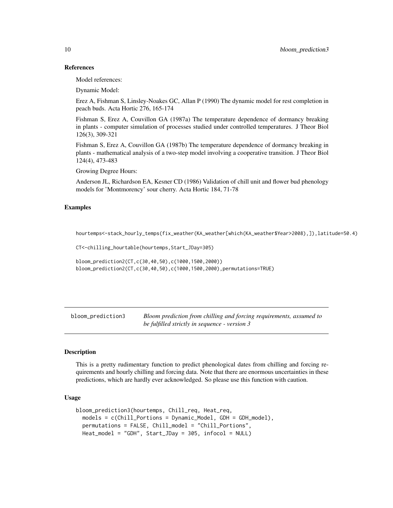### References

Model references:

Dynamic Model:

Erez A, Fishman S, Linsley-Noakes GC, Allan P (1990) The dynamic model for rest completion in peach buds. Acta Hortic 276, 165-174

Fishman S, Erez A, Couvillon GA (1987a) The temperature dependence of dormancy breaking in plants - computer simulation of processes studied under controlled temperatures. J Theor Biol 126(3), 309-321

Fishman S, Erez A, Couvillon GA (1987b) The temperature dependence of dormancy breaking in plants - mathematical analysis of a two-step model involving a cooperative transition. J Theor Biol 124(4), 473-483

Growing Degree Hours:

Anderson JL, Richardson EA, Kesner CD (1986) Validation of chill unit and flower bud phenology models for 'Montmorency' sour cherry. Acta Hortic 184, 71-78

#### Examples

hourtemps<-stack\_hourly\_temps(fix\_weather(KA\_weather[which(KA\_weather\$Year>2008),]),latitude=50.4)

CT<-chilling\_hourtable(hourtemps,Start\_JDay=305)

```
bloom_prediction2(CT,c(30,40,50),c(1000,1500,2000))
bloom_prediction2(CT,c(30,40,50),c(1000,1500,2000),permutations=TRUE)
```
bloom\_prediction3 *Bloom prediction from chilling and forcing requirements, assumed to be fulfilled strictly in sequence - version 3*

### Description

This is a pretty rudimentary function to predict phenological dates from chilling and forcing requirements and hourly chilling and forcing data. Note that there are enormous uncertainties in these predictions, which are hardly ever acknowledged. So please use this function with caution.

### Usage

```
bloom_prediction3(hourtemps, Chill_req, Heat_req,
 models = c(Chill_Portions = Dynamic_Model, GDH = GDH_model),
 permutations = FALSE, Chill_model = "Chill_Portions",
 Heat_model = "GDH", Start_JDay = 305, infocol = NULL)
```
<span id="page-9-0"></span>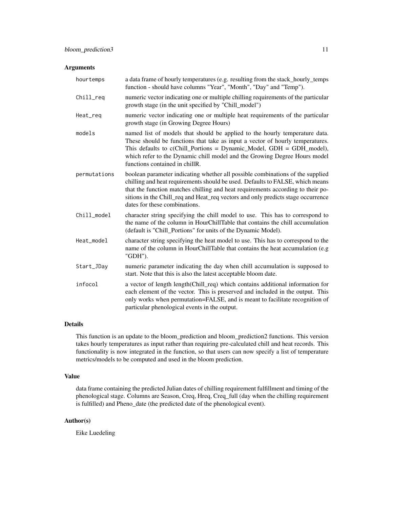### Arguments

| hourtemps    | a data frame of hourly temperatures (e.g. resulting from the stack_hourly_temps<br>function - should have columns "Year", "Month", "Day" and "Temp").                                                                                                                                                                                                                   |
|--------------|-------------------------------------------------------------------------------------------------------------------------------------------------------------------------------------------------------------------------------------------------------------------------------------------------------------------------------------------------------------------------|
| Chill_req    | numeric vector indicating one or multiple chilling requirements of the particular<br>growth stage (in the unit specified by "Chill_model")                                                                                                                                                                                                                              |
| Heat_req     | numeric vector indicating one or multiple heat requirements of the particular<br>growth stage (in Growing Degree Hours)                                                                                                                                                                                                                                                 |
| models       | named list of models that should be applied to the hourly temperature data.<br>These should be functions that take as input a vector of hourly temperatures.<br>This defaults to $c$ (Chill_Portions = Dynamic_Model, GDH = GDH_model),<br>which refer to the Dynamic chill model and the Growing Degree Hours model<br>functions contained in chillR.                  |
| permutations | boolean parameter indicating whether all possible combinations of the supplied<br>chilling and heat requirements should be used. Defaults to FALSE, which means<br>that the function matches chilling and heat requirements according to their po-<br>sitions in the Chill_req and Heat_req vectors and only predicts stage occurrence<br>dates for these combinations. |
| Chill_model  | character string specifying the chill model to use. This has to correspond to<br>the name of the column in HourChillTable that contains the chill accumulation<br>(default is "Chill_Portions" for units of the Dynamic Model).                                                                                                                                         |
| Heat_model   | character string specifying the heat model to use. This has to correspond to the<br>name of the column in HourChillTable that contains the heat accumulation (e.g<br>"GDH").                                                                                                                                                                                            |
| Start_JDay   | numeric parameter indicating the day when chill accumulation is supposed to<br>start. Note that this is also the latest acceptable bloom date.                                                                                                                                                                                                                          |
| infocol      | a vector of length length (Chill_req) which contains additional information for<br>each element of the vector. This is preserved and included in the output. This<br>only works when permutation=FALSE, and is meant to facilitate recognition of<br>particular phenological events in the output.                                                                      |

### Details

This function is an update to the bloom\_prediction and bloom\_prediction2 functions. This version takes hourly temperatures as input rather than requiring pre-calculated chill and heat records. This functionality is now integrated in the function, so that users can now specify a list of temperature metrics/models to be computed and used in the bloom prediction.

### Value

data frame containing the predicted Julian dates of chilling requirement fulfillment and timing of the phenological stage. Columns are Season, Creq, Hreq, Creq\_full (day when the chilling requirement is fulfilled) and Pheno\_date (the predicted date of the phenological event).

### Author(s)

Eike Luedeling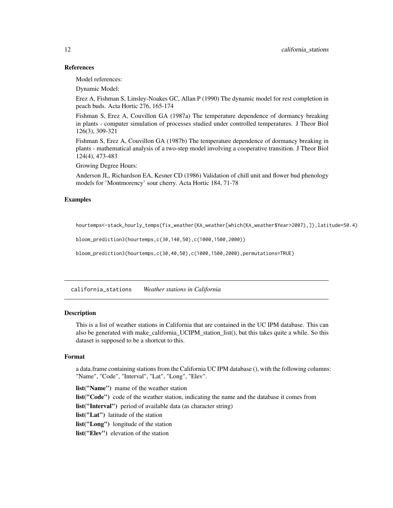### References

Model references:

Dynamic Model:

Erez A, Fishman S, Linsley-Noakes GC, Allan P (1990) The dynamic model for rest completion in peach buds. Acta Hortic 276, 165-174

Fishman S, Erez A, Couvillon GA (1987a) The temperature dependence of dormancy breaking in plants - computer simulation of processes studied under controlled temperatures. J Theor Biol 126(3), 309-321

Fishman S, Erez A, Couvillon GA (1987b) The temperature dependence of dormancy breaking in plants - mathematical analysis of a two-step model involving a cooperative transition. J Theor Biol 124(4), 473-483

Growing Degree Hours:

Anderson JL, Richardson EA, Kesner CD (1986) Validation of chill unit and flower bud phenology models for 'Montmorency' sour cherry. Acta Hortic 184, 71-78

#### Examples

hourtemps<-stack\_hourly\_temps(fix\_weather(KA\_weather[which(KA\_weather\$Year>2007),]),latitude=50.4)

bloom\_prediction3(hourtemps,c(30,140,50),c(1000,1500,2000))

bloom\_prediction3(hourtemps,c(30,40,50),c(1000,1500,2000),permutations=TRUE)

california\_stations *Weather stations in California*

### Description

This is a list of weather stations in California that are contained in the UC IPM database. This can also be generated with make\_california\_UCIPM\_station\_list(), but this takes quite a while. So this dataset is supposed to be a shortcut to this.

### Format

a data.frame containing stations from the California UC IPM database (), with the following columns: "Name", "Code", "Interval", "Lat", "Long", "Elev".

list("Name") mame of the weather station list("Code") code of the weather station, indicating the name and the database it comes from list("Interval") period of available data (as character string) list("Lat") latitude of the station list("Long") longitude of the station list("Elev") elevation of the station

<span id="page-11-0"></span>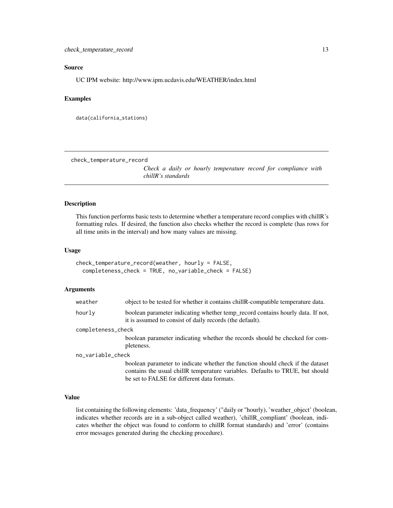### <span id="page-12-0"></span>Source

UC IPM website: http://www.ipm.ucdavis.edu/WEATHER/index.html

### Examples

```
data(california_stations)
```
check\_temperature\_record

*Check a daily or hourly temperature record for compliance with chillR's standards*

#### Description

This function performs basic tests to determine whether a temperature record complies with chillR's formatting rules. If desired, the function also checks whether the record is complete (has rows for all time units in the interval) and how many values are missing.

### Usage

```
check_temperature_record(weather, hourly = FALSE,
  completeness_check = TRUE, no_variable_check = FALSE)
```
#### Arguments

| weather            | object to be tested for whether it contains chill R-compatible temperature data.                                                                                                                               |
|--------------------|----------------------------------------------------------------------------------------------------------------------------------------------------------------------------------------------------------------|
| hourly             | boolean parameter indicating whether temp_record contains hourly data. If not,<br>it is assumed to consist of daily records (the default).                                                                     |
| completeness_check |                                                                                                                                                                                                                |
|                    | boolean parameter indicating whether the records should be checked for com-                                                                                                                                    |
|                    | pleteness.                                                                                                                                                                                                     |
| no_variable_check  |                                                                                                                                                                                                                |
|                    | boolean parameter to indicate whether the function should check if the dataset<br>contains the usual chillR temperature variables. Defaults to TRUE, but should<br>be set to FALSE for different data formats. |
|                    |                                                                                                                                                                                                                |

### Value

list containing the following elements: 'data\_frequency' ("daily or "hourly), 'weather\_object' (boolean, indicates whether records are in a sub-object called weather), 'chillR\_compliant' (boolean, indicates whether the object was found to conform to chillR format standards) and 'error' (contains error messages generated during the checking procedure).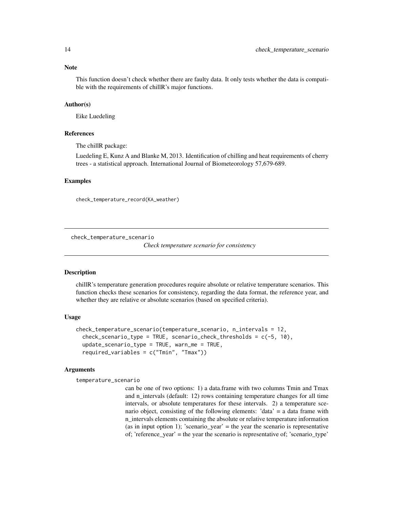<span id="page-13-0"></span>This function doesn't check whether there are faulty data. It only tests whether the data is compatible with the requirements of chillR's major functions.

### Author(s)

Eike Luedeling

#### References

The chillR package:

Luedeling E, Kunz A and Blanke M, 2013. Identification of chilling and heat requirements of cherry trees - a statistical approach. International Journal of Biometeorology 57,679-689.

#### Examples

check\_temperature\_record(KA\_weather)

check\_temperature\_scenario

*Check temperature scenario for consistency*

#### Description

chillR's temperature generation procedures require absolute or relative temperature scenarios. This function checks these scenarios for consistency, regarding the data format, the reference year, and whether they are relative or absolute scenarios (based on specified criteria).

### Usage

```
check_temperature_scenario(temperature_scenario, n_intervals = 12,
  check_scenario_type = TRUE, scenario_check_thresholds = c(-5, 10),
 update_scenario_type = TRUE, warn_me = TRUE,
 required_variables = c("Tmin", "Tmax"))
```
#### Arguments

temperature\_scenario

can be one of two options: 1) a data.frame with two columns Tmin and Tmax and n intervals (default: 12) rows containing temperature changes for all time intervals, or absolute temperatures for these intervals. 2) a temperature scenario object, consisting of the following elements: 'data' = a data frame with n\_intervals elements containing the absolute or relative temperature information (as in input option 1); 'scenario\_year' = the year the scenario is representative of; 'reference\_year' = the year the scenario is representative of; 'scenario\_type'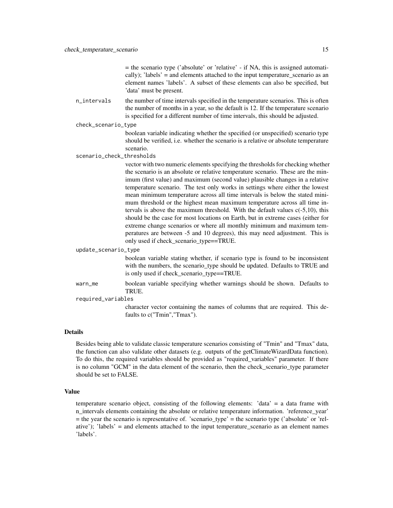= the scenario type ('absolute' or 'relative' - if NA, this is assigned automatically); 'labels' = and elements attached to the input temperature scenario as an element names 'labels'. A subset of these elements can also be specified, but 'data' must be present.

n\_intervals the number of time intervals specified in the temperature scenarios. This is often the number of months in a year, so the default is 12. If the temperature scenario is specified for a different number of time intervals, this should be adjusted.

check\_scenario\_type

boolean variable indicating whether the specified (or unspecified) scenario type should be verified, i.e. whether the scenario is a relative or absolute temperature scenario.

scenario\_check\_thresholds

vector with two numeric elements specifying the thresholds for checking whether the scenario is an absolute or relative temperature scenario. These are the minimum (first value) and maximum (second value) plausible changes in a relative temperature scenario. The test only works in settings where either the lowest mean minimum temperature across all time intervals is below the stated minimum threshold or the highest mean maximum temperature across all time intervals is above the maximum threshold. With the default values c(-5,10), this should be the case for most locations on Earth, but in extreme cases (either for extreme change scenarios or where all monthly minimum and maximum temperatures are between -5 and 10 degrees), this may need adjustment. This is only used if check\_scenario\_type==TRUE.

update\_scenario\_type

boolean variable stating whether, if scenario type is found to be inconsistent with the numbers, the scenario\_type should be updated. Defaults to TRUE and is only used if check\_scenario\_type==TRUE.

warn\_me boolean variable specifying whether warnings should be shown. Defaults to TRUE.

required\_variables

character vector containing the names of columns that are required. This defaults to c("Tmin","Tmax").

#### Details

Besides being able to validate classic temperature scenarios consisting of "Tmin" and "Tmax" data, the function can also validate other datasets (e.g. outputs of the getClimateWizardData function). To do this, the required variables should be provided as "required\_variables" parameter. If there is no column "GCM" in the data element of the scenario, then the check\_scenario\_type parameter should be set to FALSE.

### Value

temperature scenario object, consisting of the following elements: 'data' = a data frame with n intervals elements containing the absolute or relative temperature information. 'reference year' = the year the scenario is representative of. 'scenario\_type' = the scenario type ('absolute' or 'relative'); 'labels' = and elements attached to the input temperature\_scenario as an element names 'labels'.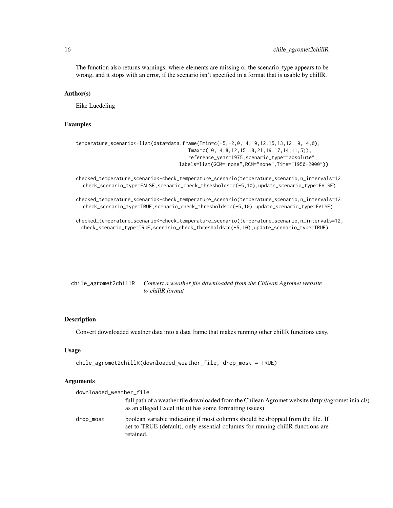<span id="page-15-0"></span>The function also returns warnings, where elements are missing or the scenario\_type appears to be wrong, and it stops with an error, if the scenario isn't specified in a format that is usable by chillR.

### Author(s)

Eike Luedeling

### Examples

```
temperature_scenario<-list(data=data.frame(Tmin=c(-5,-2,0, 4, 9,12,15,13,12, 9, 4,0),
                                       Tmax=c( 0, 4,8,12,15,18,21,19,17,14,11,5)),
                                       reference_year=1975,scenario_type="absolute",
                                   labels=list(GCM="none",RCM="none",Time="1950-2000"))
```
checked\_temperature\_scenario<-check\_temperature\_scenario(temperature\_scenario,n\_intervals=12, check\_scenario\_type=FALSE,scenario\_check\_thresholds=c(-5,10),update\_scenario\_type=FALSE)

checked\_temperature\_scenario<-check\_temperature\_scenario(temperature\_scenario,n\_intervals=12, check\_scenario\_type=TRUE,scenario\_check\_thresholds=c(-5,10),update\_scenario\_type=FALSE)

checked\_temperature\_scenario<-check\_temperature\_scenario(temperature\_scenario,n\_intervals=12, check\_scenario\_type=TRUE,scenario\_check\_thresholds=c(-5,10),update\_scenario\_type=TRUE)

chile\_agromet2chillR *Convert a weather file downloaded from the Chilean Agromet website to chillR format*

#### Description

Convert downloaded weather data into a data frame that makes running other chillR functions easy.

#### Usage

```
chile_agromet2chillR(downloaded_weather_file, drop_most = TRUE)
```
### Arguments

| downloaded_weather_file |                                                                                                                                                                                |
|-------------------------|--------------------------------------------------------------------------------------------------------------------------------------------------------------------------------|
|                         | full path of a weather file downloaded from the Chilean Agromet website (http://agromet.inia.cl/)<br>as an alleged Excel file (it has some formatting issues).                 |
| drop_most               | boolean variable indicating if most columns should be dropped from the file. If<br>set to TRUE (default), only essential columns for running chillR functions are<br>retained. |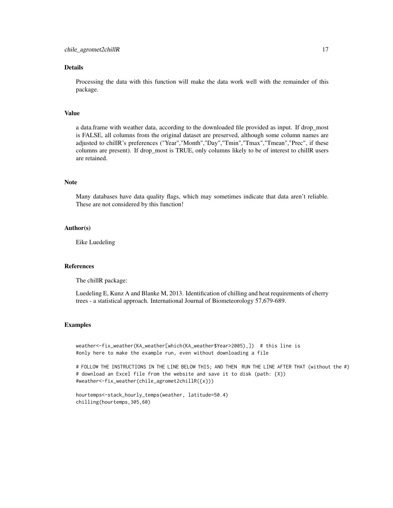### Details

Processing the data with this function will make the data work well with the remainder of this package.

### Value

a data.frame with weather data, according to the downloaded file provided as input. If drop\_most is FALSE, all columns from the original dataset are preserved, although some column names are adjusted to chillR's preferences ("Year","Month","Day","Tmin","Tmax","Tmean","Prec", if these columns are present). If drop\_most is TRUE, only columns likely to be of interest to chillR users are retained.

### Note

Many databases have data quality flags, which may sometimes indicate that data aren't reliable. These are not considered by this function!

#### Author(s)

Eike Luedeling

#### References

The chillR package:

Luedeling E, Kunz A and Blanke M, 2013. Identification of chilling and heat requirements of cherry trees - a statistical approach. International Journal of Biometeorology 57,679-689.

### Examples

weather<-fix\_weather(KA\_weather[which(KA\_weather\$Year>2005),]) # this line is #only here to make the example run, even without downloading a file

# FOLLOW THE INSTRUCTIONS IN THE LINE BELOW THIS; AND THEN RUN THE LINE AFTER THAT (without the #) # download an Excel file from the website and save it to disk (path: {X}) #weather<-fix\_weather(chile\_agromet2chillR({x}))

hourtemps<-stack\_hourly\_temps(weather, latitude=50.4) chilling(hourtemps,305,60)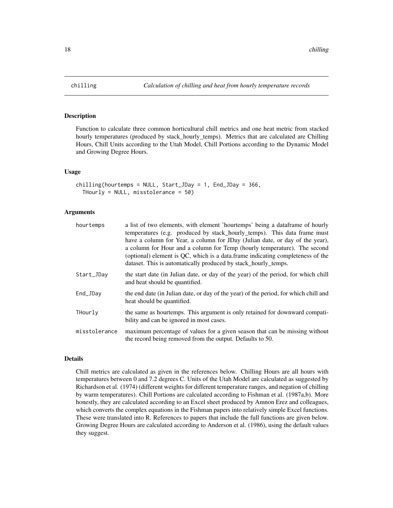### Description

Function to calculate three common horticultural chill metrics and one heat metric from stacked hourly temperatures (produced by stack\_hourly\_temps). Metrics that are calculated are Chilling Hours, Chill Units according to the Utah Model, Chill Portions according to the Dynamic Model and Growing Degree Hours.

### Usage

```
chilling(hourtemps = NULL, Start_JDay = 1, End_JDay = 366,
  THourly = NULL, misstolerance = 50)
```
### Arguments

| hourtemps     | a list of two elements, with element 'hourtemps' being a data frame of hourly<br>temperatures (e.g. produced by stack_hourly_temps). This data frame must<br>have a column for Year, a column for JDay (Julian date, or day of the year),<br>a column for Hour and a column for Temp (hourly temperature). The second<br>(optional) element is QC, which is a data frame indicating completeness of the<br>dataset. This is automatically produced by stack_hourly_temps. |
|---------------|---------------------------------------------------------------------------------------------------------------------------------------------------------------------------------------------------------------------------------------------------------------------------------------------------------------------------------------------------------------------------------------------------------------------------------------------------------------------------|
| Start_JDay    | the start date (in Julian date, or day of the year) of the period, for which chill<br>and heat should be quantified.                                                                                                                                                                                                                                                                                                                                                      |
| End_JDay      | the end date (in Julian date, or day of the year) of the period, for which chill and<br>heat should be quantified.                                                                                                                                                                                                                                                                                                                                                        |
| THourly       | the same as hourtemps. This argument is only retained for downward compati-<br>bility and can be ignored in most cases.                                                                                                                                                                                                                                                                                                                                                   |
| misstolerance | maximum percentage of values for a given season that can be missing without<br>the record being removed from the output. Defaults to 50.                                                                                                                                                                                                                                                                                                                                  |

#### Details

Chill metrics are calculated as given in the references below. Chilling Hours are all hours with temperatures between 0 and 7.2 degrees C. Units of the Utah Model are calculated as suggested by Richardson et al. (1974) (different weights for different temperature ranges, and negation of chilling by warm temperatures). Chill Portions are calculated according to Fishman et al. (1987a,b). More honestly, they are calculated according to an Excel sheet produced by Amnon Erez and colleagues, which converts the complex equations in the Fishman papers into relatively simple Excel functions. These were translated into R. References to papers that include the full functions are given below. Growing Degree Hours are calculated according to Anderson et al. (1986), using the default values they suggest.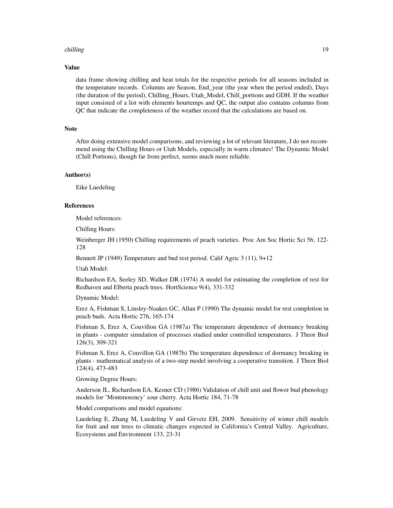#### chilling 19

#### Value

data frame showing chilling and heat totals for the respective periods for all seasons included in the temperature records. Columns are Season, End\_year (the year when the period ended), Days (the duration of the period), Chilling\_Hours, Utah\_Model, Chill\_portions and GDH. If the weather input consisted of a list with elements hourtemps and QC, the output also contains columns from QC that indicate the completeness of the weather record that the calculations are based on.

### **Note**

After doing extensive model comparisons, and reviewing a lot of relevant literature, I do not recommend using the Chilling Hours or Utah Models, especially in warm climates! The Dynamic Model (Chill Portions), though far from perfect, seems much more reliable.

#### Author(s)

Eike Luedeling

#### References

Model references:

Chilling Hours:

Weinberger JH (1950) Chilling requirements of peach varieties. Proc Am Soc Hortic Sci 56, 122- 128

Bennett JP (1949) Temperature and bud rest period. Calif Agric 3 (11), 9+12

Utah Model:

Richardson EA, Seeley SD, Walker DR (1974) A model for estimating the completion of rest for Redhaven and Elberta peach trees. HortScience 9(4), 331-332

Dynamic Model:

Erez A, Fishman S, Linsley-Noakes GC, Allan P (1990) The dynamic model for rest completion in peach buds. Acta Hortic 276, 165-174

Fishman S, Erez A, Couvillon GA (1987a) The temperature dependence of dormancy breaking in plants - computer simulation of processes studied under controlled temperatures. J Theor Biol 126(3), 309-321

Fishman S, Erez A, Couvillon GA (1987b) The temperature dependence of dormancy breaking in plants - mathematical analysis of a two-step model involving a cooperative transition. J Theor Biol 124(4), 473-483

Growing Degree Hours:

Anderson JL, Richardson EA, Kesner CD (1986) Validation of chill unit and flower bud phenology models for 'Montmorency' sour cherry. Acta Hortic 184, 71-78

Model comparisons and model equations:

Luedeling E, Zhang M, Luedeling V and Girvetz EH, 2009. Sensitivity of winter chill models for fruit and nut trees to climatic changes expected in California's Central Valley. Agriculture, Ecosystems and Environment 133, 23-31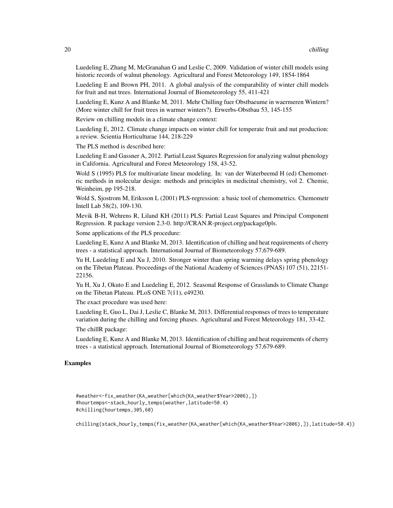Luedeling E, Zhang M, McGranahan G and Leslie C, 2009. Validation of winter chill models using historic records of walnut phenology. Agricultural and Forest Meteorology 149, 1854-1864

Luedeling E and Brown PH, 2011. A global analysis of the comparability of winter chill models for fruit and nut trees. International Journal of Biometeorology 55, 411-421

Luedeling E, Kunz A and Blanke M, 2011. Mehr Chilling fuer Obstbaeume in waermeren Wintern? (More winter chill for fruit trees in warmer winters?). Erwerbs-Obstbau 53, 145-155

Review on chilling models in a climate change context:

Luedeling E, 2012. Climate change impacts on winter chill for temperate fruit and nut production: a review. Scientia Horticulturae 144, 218-229

The PLS method is described here:

Luedeling E and Gassner A, 2012. Partial Least Squares Regression for analyzing walnut phenology in California. Agricultural and Forest Meteorology 158, 43-52.

Wold S (1995) PLS for multivariate linear modeling. In: van der Waterbeemd H (ed) Chemometric methods in molecular design: methods and principles in medicinal chemistry, vol 2. Chemie, Weinheim, pp 195-218.

Wold S, Sjostrom M, Eriksson L (2001) PLS-regression: a basic tool of chemometrics. Chemometr Intell Lab 58(2), 109-130.

Mevik B-H, Wehrens R, Liland KH (2011) PLS: Partial Least Squares and Principal Component Regression. R package version 2.3-0. http://CRAN.R-project.org/package0pls.

Some applications of the PLS procedure:

Luedeling E, Kunz A and Blanke M, 2013. Identification of chilling and heat requirements of cherry trees - a statistical approach. International Journal of Biometeorology 57,679-689.

Yu H, Luedeling E and Xu J, 2010. Stronger winter than spring warming delays spring phenology on the Tibetan Plateau. Proceedings of the National Academy of Sciences (PNAS) 107 (51), 22151- 22156.

Yu H, Xu J, Okuto E and Luedeling E, 2012. Seasonal Response of Grasslands to Climate Change on the Tibetan Plateau. PLoS ONE 7(11), e49230.

The exact procedure was used here:

Luedeling E, Guo L, Dai J, Leslie C, Blanke M, 2013. Differential responses of trees to temperature variation during the chilling and forcing phases. Agricultural and Forest Meteorology 181, 33-42.

The chillR package:

Luedeling E, Kunz A and Blanke M, 2013. Identification of chilling and heat requirements of cherry trees - a statistical approach. International Journal of Biometeorology 57,679-689.

### Examples

```
#weather<-fix_weather(KA_weather[which(KA_weather$Year>2006),])
#hourtemps<-stack_hourly_temps(weather,latitude=50.4)
#chilling(hourtemps,305,60)
```
chilling(stack\_hourly\_temps(fix\_weather(KA\_weather[which(KA\_weather\$Year>2006),]),latitude=50.4))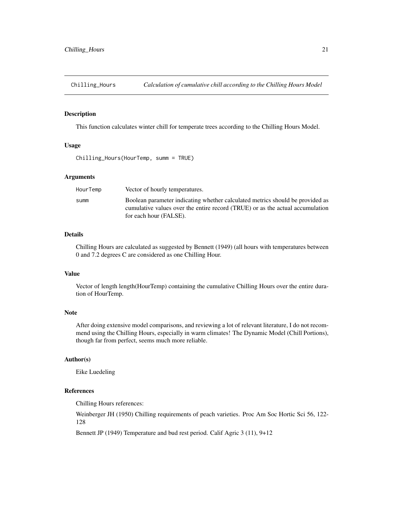<span id="page-20-0"></span>Chilling\_Hours *Calculation of cumulative chill according to the Chilling Hours Model*

### Description

This function calculates winter chill for temperate trees according to the Chilling Hours Model.

#### Usage

Chilling\_Hours(HourTemp, summ = TRUE)

#### Arguments

| HourTemp | Vector of hourly temperatures.                                                                                                                                                           |
|----------|------------------------------------------------------------------------------------------------------------------------------------------------------------------------------------------|
| summ     | Boolean parameter indicating whether calculated metrics should be provided as<br>cumulative values over the entire record (TRUE) or as the actual accumulation<br>for each hour (FALSE). |

### Details

Chilling Hours are calculated as suggested by Bennett (1949) (all hours with temperatures between 0 and 7.2 degrees C are considered as one Chilling Hour.

### Value

Vector of length length(HourTemp) containing the cumulative Chilling Hours over the entire duration of HourTemp.

### **Note**

After doing extensive model comparisons, and reviewing a lot of relevant literature, I do not recommend using the Chilling Hours, especially in warm climates! The Dynamic Model (Chill Portions), though far from perfect, seems much more reliable.

### Author(s)

Eike Luedeling

### References

Chilling Hours references:

Weinberger JH (1950) Chilling requirements of peach varieties. Proc Am Soc Hortic Sci 56, 122- 128

Bennett JP (1949) Temperature and bud rest period. Calif Agric 3 (11), 9+12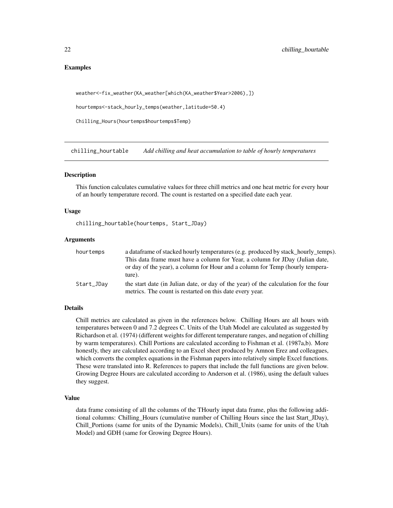### <span id="page-21-0"></span>Examples

```
weather<-fix_weather(KA_weather[which(KA_weather$Year>2006),])
```
hourtemps<-stack\_hourly\_temps(weather,latitude=50.4)

Chilling\_Hours(hourtemps\$hourtemps\$Temp)

chilling\_hourtable *Add chilling and heat accumulation to table of hourly temperatures*

#### Description

This function calculates cumulative values for three chill metrics and one heat metric for every hour of an hourly temperature record. The count is restarted on a specified date each year.

#### Usage

chilling\_hourtable(hourtemps, Start\_JDay)

#### Arguments

| hourtemps  | a data frame of stacked hourly temperatures (e.g. produced by stack_hourly_temps).                                                              |
|------------|-------------------------------------------------------------------------------------------------------------------------------------------------|
|            | This data frame must have a column for Year, a column for JDay (Julian date,                                                                    |
|            | or day of the year), a column for Hour and a column for Temp (hourly tempera-<br>ture).                                                         |
| Start_JDay | the start date (in Julian date, or day of the year) of the calculation for the four<br>metrics. The count is restarted on this date every year. |

#### Details

Chill metrics are calculated as given in the references below. Chilling Hours are all hours with temperatures between 0 and 7.2 degrees C. Units of the Utah Model are calculated as suggested by Richardson et al. (1974) (different weights for different temperature ranges, and negation of chilling by warm temperatures). Chill Portions are calculated according to Fishman et al. (1987a,b). More honestly, they are calculated according to an Excel sheet produced by Amnon Erez and colleagues, which converts the complex equations in the Fishman papers into relatively simple Excel functions. These were translated into R. References to papers that include the full functions are given below. Growing Degree Hours are calculated according to Anderson et al. (1986), using the default values they suggest.

#### Value

data frame consisting of all the columns of the THourly input data frame, plus the following additional columns: Chilling\_Hours (cumulative number of Chilling Hours since the last Start\_JDay), Chill\_Portions (same for units of the Dynamic Models), Chill\_Units (same for units of the Utah Model) and GDH (same for Growing Degree Hours).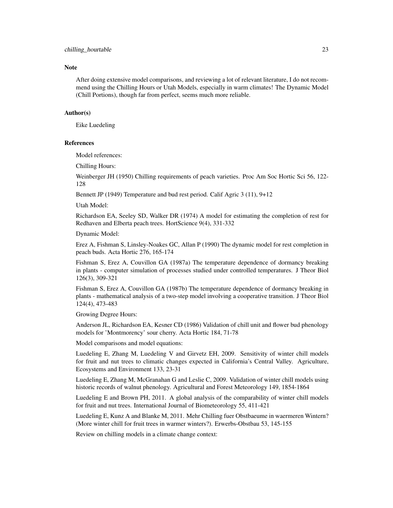#### **Note**

After doing extensive model comparisons, and reviewing a lot of relevant literature, I do not recommend using the Chilling Hours or Utah Models, especially in warm climates! The Dynamic Model (Chill Portions), though far from perfect, seems much more reliable.

### Author(s)

Eike Luedeling

#### References

Model references:

Chilling Hours:

Weinberger JH (1950) Chilling requirements of peach varieties. Proc Am Soc Hortic Sci 56, 122- 128

Bennett JP (1949) Temperature and bud rest period. Calif Agric 3 (11), 9+12

Utah Model:

Richardson EA, Seeley SD, Walker DR (1974) A model for estimating the completion of rest for Redhaven and Elberta peach trees. HortScience 9(4), 331-332

Dynamic Model:

Erez A, Fishman S, Linsley-Noakes GC, Allan P (1990) The dynamic model for rest completion in peach buds. Acta Hortic 276, 165-174

Fishman S, Erez A, Couvillon GA (1987a) The temperature dependence of dormancy breaking in plants - computer simulation of processes studied under controlled temperatures. J Theor Biol 126(3), 309-321

Fishman S, Erez A, Couvillon GA (1987b) The temperature dependence of dormancy breaking in plants - mathematical analysis of a two-step model involving a cooperative transition. J Theor Biol 124(4), 473-483

Growing Degree Hours:

Anderson JL, Richardson EA, Kesner CD (1986) Validation of chill unit and flower bud phenology models for 'Montmorency' sour cherry. Acta Hortic 184, 71-78

Model comparisons and model equations:

Luedeling E, Zhang M, Luedeling V and Girvetz EH, 2009. Sensitivity of winter chill models for fruit and nut trees to climatic changes expected in California's Central Valley. Agriculture, Ecosystems and Environment 133, 23-31

Luedeling E, Zhang M, McGranahan G and Leslie C, 2009. Validation of winter chill models using historic records of walnut phenology. Agricultural and Forest Meteorology 149, 1854-1864

Luedeling E and Brown PH, 2011. A global analysis of the comparability of winter chill models for fruit and nut trees. International Journal of Biometeorology 55, 411-421

Luedeling E, Kunz A and Blanke M, 2011. Mehr Chilling fuer Obstbaeume in waermeren Wintern? (More winter chill for fruit trees in warmer winters?). Erwerbs-Obstbau 53, 145-155

Review on chilling models in a climate change context: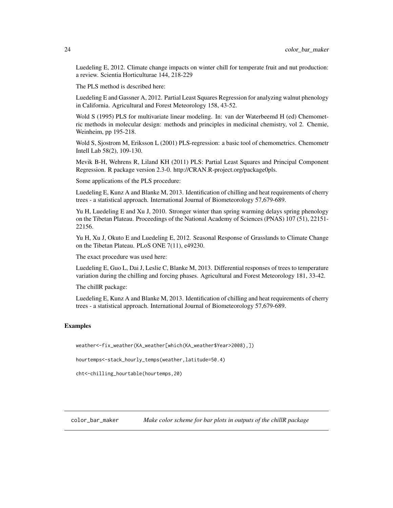<span id="page-23-0"></span>Luedeling E, 2012. Climate change impacts on winter chill for temperate fruit and nut production: a review. Scientia Horticulturae 144, 218-229

The PLS method is described here:

Luedeling E and Gassner A, 2012. Partial Least Squares Regression for analyzing walnut phenology in California. Agricultural and Forest Meteorology 158, 43-52.

Wold S (1995) PLS for multivariate linear modeling. In: van der Waterbeemd H (ed) Chemometric methods in molecular design: methods and principles in medicinal chemistry, vol 2. Chemie, Weinheim, pp 195-218.

Wold S, Sjostrom M, Eriksson L (2001) PLS-regression: a basic tool of chemometrics. Chemometr Intell Lab 58(2), 109-130.

Mevik B-H, Wehrens R, Liland KH (2011) PLS: Partial Least Squares and Principal Component Regression. R package version 2.3-0. http://CRAN.R-project.org/package0pls.

Some applications of the PLS procedure:

Luedeling E, Kunz A and Blanke M, 2013. Identification of chilling and heat requirements of cherry trees - a statistical approach. International Journal of Biometeorology 57,679-689.

Yu H, Luedeling E and Xu J, 2010. Stronger winter than spring warming delays spring phenology on the Tibetan Plateau. Proceedings of the National Academy of Sciences (PNAS) 107 (51), 22151- 22156.

Yu H, Xu J, Okuto E and Luedeling E, 2012. Seasonal Response of Grasslands to Climate Change on the Tibetan Plateau. PLoS ONE 7(11), e49230.

The exact procedure was used here:

Luedeling E, Guo L, Dai J, Leslie C, Blanke M, 2013. Differential responses of trees to temperature variation during the chilling and forcing phases. Agricultural and Forest Meteorology 181, 33-42.

The chillR package:

Luedeling E, Kunz A and Blanke M, 2013. Identification of chilling and heat requirements of cherry trees - a statistical approach. International Journal of Biometeorology 57,679-689.

#### Examples

weather<-fix\_weather(KA\_weather[which(KA\_weather\$Year>2008),])

hourtemps<-stack\_hourly\_temps(weather,latitude=50.4)

cht<-chilling\_hourtable(hourtemps,20)

color\_bar\_maker *Make color scheme for bar plots in outputs of the chillR package*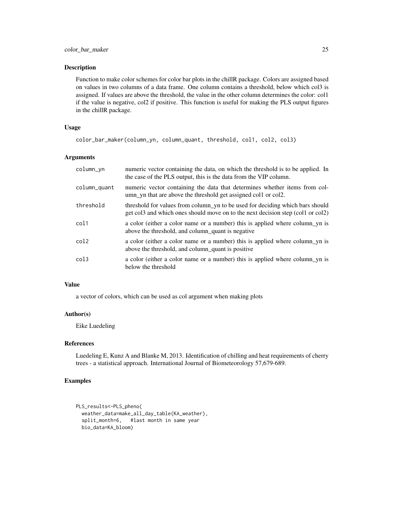#### Description

Function to make color schemes for color bar plots in the chillR package. Colors are assigned based on values in two columns of a data frame. One column contains a threshold, below which col3 is assigned. If values are above the threshold, the value in the other column determines the color: col1 if the value is negative, col2 if positive. This function is useful for making the PLS output figures in the chillR package.

### Usage

```
color_bar_maker(column_yn, column_quant, threshold, col1, col2, col3)
```
### Arguments

| column_yn        | numeric vector containing the data, on which the threshold is to be applied. In<br>the case of the PLS output, this is the data from the VIP column.             |
|------------------|------------------------------------------------------------------------------------------------------------------------------------------------------------------|
| column_quant     | numeric vector containing the data that determines whether items from col-<br>umn_yn that are above the threshold get assigned coll or col2.                     |
| threshold        | threshold for values from column_yn to be used for deciding which bars should<br>get col3 and which ones should move on to the next decision step (col1 or col2) |
| col1             | a color (either a color name or a number) this is applied where column yn is<br>above the threshold, and column_quant is negative                                |
| col2             | a color (either a color name or a number) this is applied where column yn is<br>above the threshold, and column_quant is positive                                |
| col <sub>3</sub> | a color (either a color name or a number) this is applied where column_yn is<br>below the threshold                                                              |

#### Value

a vector of colors, which can be used as col argument when making plots

### Author(s)

Eike Luedeling

### References

Luedeling E, Kunz A and Blanke M, 2013. Identification of chilling and heat requirements of cherry trees - a statistical approach. International Journal of Biometeorology 57,679-689.

### Examples

```
PLS_results<-PLS_pheno(
 weather_data=make_all_day_table(KA_weather),
 split_month=6, #last month in same year
 bio_data=KA_bloom)
```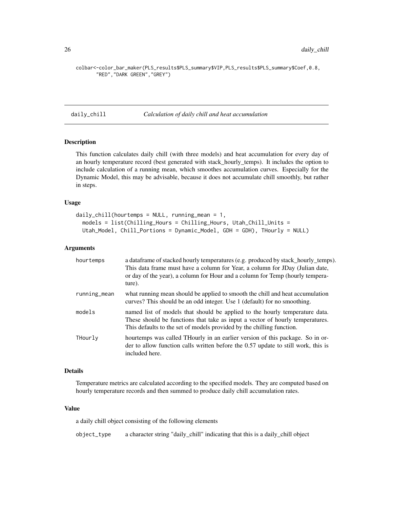<span id="page-25-0"></span>colbar<-color\_bar\_maker(PLS\_results\$PLS\_summary\$VIP,PLS\_results\$PLS\_summary\$Coef,0.8, "RED","DARK GREEN","GREY")

daily\_chill *Calculation of daily chill and heat accumulation*

### Description

This function calculates daily chill (with three models) and heat accumulation for every day of an hourly temperature record (best generated with stack\_hourly\_temps). It includes the option to include calculation of a running mean, which smoothes accumulation curves. Especially for the Dynamic Model, this may be advisable, because it does not accumulate chill smoothly, but rather in steps.

#### Usage

```
daily_chill(hourtemps = NULL, running_mean = 1,
 models = list(Chilling_Hours = Chilling_Hours, Utah_Chill_Units =
 Utah_Model, Chill_Portions = Dynamic_Model, GDH = GDH), THourly = NULL)
```
### Arguments

| hourtemps    | a dataframe of stacked hourly temperatures (e.g. produced by stack_hourly_temps).<br>This data frame must have a column for Year, a column for JDay (Julian date,<br>or day of the year), a column for Hour and a column for Temp (hourly tempera-<br>ture). |
|--------------|--------------------------------------------------------------------------------------------------------------------------------------------------------------------------------------------------------------------------------------------------------------|
| running_mean | what running mean should be applied to smooth the chill and heat accumulation<br>curves? This should be an odd integer. Use 1 (default) for no smoothing.                                                                                                    |
| models       | named list of models that should be applied to the hourly temperature data.<br>These should be functions that take as input a vector of hourly temperatures.<br>This defaults to the set of models provided by the chilling function.                        |
| THourly      | hourtemps was called THourly in an earlier version of this package. So in or-<br>der to allow function calls written before the 0.57 update to still work, this is<br>included here.                                                                         |

### Details

Temperature metrics are calculated according to the specified models. They are computed based on hourly temperature records and then summed to produce daily chill accumulation rates.

#### Value

a daily chill object consisting of the following elements

object\_type a character string "daily\_chill" indicating that this is a daily\_chill object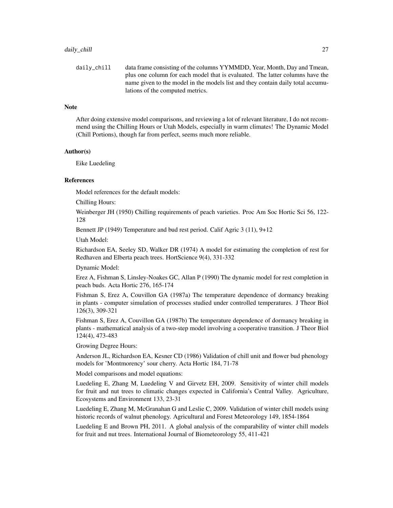daily\_chill data frame consisting of the columns YYMMDD, Year, Month, Day and Tmean, plus one column for each model that is evaluated. The latter columns have the name given to the model in the models list and they contain daily total accumulations of the computed metrics.

#### **Note**

After doing extensive model comparisons, and reviewing a lot of relevant literature, I do not recommend using the Chilling Hours or Utah Models, especially in warm climates! The Dynamic Model (Chill Portions), though far from perfect, seems much more reliable.

### Author(s)

Eike Luedeling

### References

Model references for the default models:

Chilling Hours:

Weinberger JH (1950) Chilling requirements of peach varieties. Proc Am Soc Hortic Sci 56, 122- 128

Bennett JP (1949) Temperature and bud rest period. Calif Agric 3 (11), 9+12

Utah Model:

Richardson EA, Seeley SD, Walker DR (1974) A model for estimating the completion of rest for Redhaven and Elberta peach trees. HortScience 9(4), 331-332

Dynamic Model:

Erez A, Fishman S, Linsley-Noakes GC, Allan P (1990) The dynamic model for rest completion in peach buds. Acta Hortic 276, 165-174

Fishman S, Erez A, Couvillon GA (1987a) The temperature dependence of dormancy breaking in plants - computer simulation of processes studied under controlled temperatures. J Theor Biol 126(3), 309-321

Fishman S, Erez A, Couvillon GA (1987b) The temperature dependence of dormancy breaking in plants - mathematical analysis of a two-step model involving a cooperative transition. J Theor Biol 124(4), 473-483

Growing Degree Hours:

Anderson JL, Richardson EA, Kesner CD (1986) Validation of chill unit and flower bud phenology models for 'Montmorency' sour cherry. Acta Hortic 184, 71-78

Model comparisons and model equations:

Luedeling E, Zhang M, Luedeling V and Girvetz EH, 2009. Sensitivity of winter chill models for fruit and nut trees to climatic changes expected in California's Central Valley. Agriculture, Ecosystems and Environment 133, 23-31

Luedeling E, Zhang M, McGranahan G and Leslie C, 2009. Validation of winter chill models using historic records of walnut phenology. Agricultural and Forest Meteorology 149, 1854-1864

Luedeling E and Brown PH, 2011. A global analysis of the comparability of winter chill models for fruit and nut trees. International Journal of Biometeorology 55, 411-421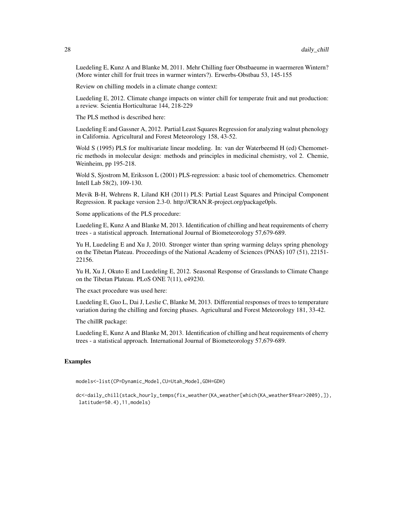Luedeling E, Kunz A and Blanke M, 2011. Mehr Chilling fuer Obstbaeume in waermeren Wintern? (More winter chill for fruit trees in warmer winters?). Erwerbs-Obstbau 53, 145-155

Review on chilling models in a climate change context:

Luedeling E, 2012. Climate change impacts on winter chill for temperate fruit and nut production: a review. Scientia Horticulturae 144, 218-229

The PLS method is described here:

Luedeling E and Gassner A, 2012. Partial Least Squares Regression for analyzing walnut phenology in California. Agricultural and Forest Meteorology 158, 43-52.

Wold S (1995) PLS for multivariate linear modeling. In: van der Waterbeemd H (ed) Chemometric methods in molecular design: methods and principles in medicinal chemistry, vol 2. Chemie, Weinheim, pp 195-218.

Wold S, Sjostrom M, Eriksson L (2001) PLS-regression: a basic tool of chemometrics. Chemometr Intell Lab 58(2), 109-130.

Mevik B-H, Wehrens R, Liland KH (2011) PLS: Partial Least Squares and Principal Component Regression. R package version 2.3-0. http://CRAN.R-project.org/package0pls.

Some applications of the PLS procedure:

Luedeling E, Kunz A and Blanke M, 2013. Identification of chilling and heat requirements of cherry trees - a statistical approach. International Journal of Biometeorology 57,679-689.

Yu H, Luedeling E and Xu J, 2010. Stronger winter than spring warming delays spring phenology on the Tibetan Plateau. Proceedings of the National Academy of Sciences (PNAS) 107 (51), 22151- 22156.

Yu H, Xu J, Okuto E and Luedeling E, 2012. Seasonal Response of Grasslands to Climate Change on the Tibetan Plateau. PLoS ONE 7(11), e49230.

The exact procedure was used here:

Luedeling E, Guo L, Dai J, Leslie C, Blanke M, 2013. Differential responses of trees to temperature variation during the chilling and forcing phases. Agricultural and Forest Meteorology 181, 33-42.

The chillR package:

Luedeling E, Kunz A and Blanke M, 2013. Identification of chilling and heat requirements of cherry trees - a statistical approach. International Journal of Biometeorology 57,679-689.

### Examples

models<-list(CP=Dynamic\_Model,CU=Utah\_Model,GDH=GDH)

dc<-daily\_chill(stack\_hourly\_temps(fix\_weather(KA\_weather[which(KA\_weather\$Year>2009),]), latitude=50.4),11,models)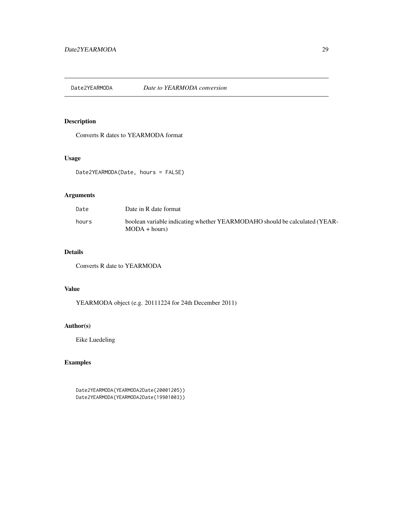<span id="page-28-0"></span>Date2YEARMODA *Date to YEARMODA conversion*

## Description

Converts R dates to YEARMODA format

### Usage

Date2YEARMODA(Date, hours = FALSE)

## Arguments

| Date  | Date in R date format                                                                         |
|-------|-----------------------------------------------------------------------------------------------|
| hours | boolean variable indicating whether YEARMODAHO should be calculated (YEAR-<br>$MODA + hours)$ |

## Details

Converts R date to YEARMODA

### Value

YEARMODA object (e.g. 20111224 for 24th December 2011)

### Author(s)

Eike Luedeling

### Examples

Date2YEARMODA(YEARMODA2Date(20001205)) Date2YEARMODA(YEARMODA2Date(19901003))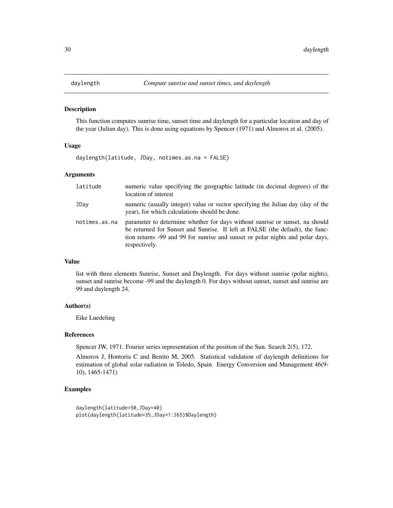<span id="page-29-0"></span>

### Description

This function computes sunrise time, sunset time and daylength for a particular location and day of the year (Julian day). This is done using equations by Spencer (1971) and Almorox et al. (2005).

#### Usage

daylength(latitude, JDay, notimes.as.na = FALSE)

#### Arguments

| latitude      | numeric value specifying the geographic latitude (in decimal degrees) of the<br>location of interest                                                                                                                                                             |
|---------------|------------------------------------------------------------------------------------------------------------------------------------------------------------------------------------------------------------------------------------------------------------------|
| JDay          | numeric (usually integer) value or vector specifying the Julian day (day of the<br>year), for which calculations should be done.                                                                                                                                 |
| notimes.as.na | parameter to determine whether for days without sunrise or sunset, na should<br>be returned for Sunset and Sunrise. If left at FALSE (the default), the func-<br>tion returns -99 and 99 for sunrise and sunset or polar nights and polar days,<br>respectively. |

### Value

list with three elements Sunrise, Sunset and Daylength. For days without sunrise (polar nights), sunset and sunrise become -99 and the daylength 0. For days without sunset, sunset and sunrise are 99 and daylength 24.

#### Author(s)

Eike Luedeling

#### References

Spencer JW, 1971. Fourier series representation of the position of the Sun. Search 2(5), 172.

Almorox J, Hontoria C and Benito M, 2005. Statistical validation of daylength definitions for estimation of global solar radiation in Toledo, Spain. Energy Conversion and Management 46(9- 10), 1465-1471)

### Examples

```
daylength(latitude=50,JDay=40)
plot(daylength(latitude=35,JDay=1:365)$Daylength)
```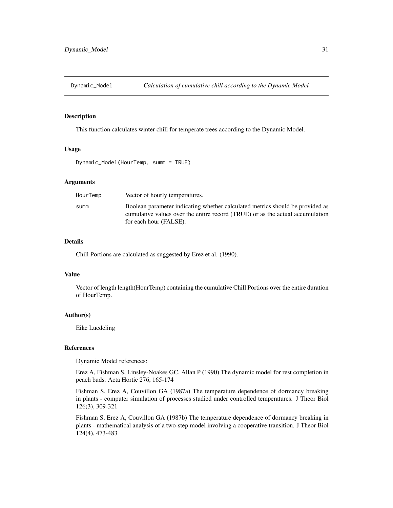<span id="page-30-0"></span>

### Description

This function calculates winter chill for temperate trees according to the Dynamic Model.

#### Usage

Dynamic\_Model(HourTemp, summ = TRUE)

### Arguments

| HourTemp | Vector of hourly temperatures.                                                                                                                                                           |
|----------|------------------------------------------------------------------------------------------------------------------------------------------------------------------------------------------|
| summ     | Boolean parameter indicating whether calculated metrics should be provided as<br>cumulative values over the entire record (TRUE) or as the actual accumulation<br>for each hour (FALSE). |

### Details

Chill Portions are calculated as suggested by Erez et al. (1990).

### Value

Vector of length length(HourTemp) containing the cumulative Chill Portions over the entire duration of HourTemp.

#### Author(s)

Eike Luedeling

### References

Dynamic Model references:

Erez A, Fishman S, Linsley-Noakes GC, Allan P (1990) The dynamic model for rest completion in peach buds. Acta Hortic 276, 165-174

Fishman S, Erez A, Couvillon GA (1987a) The temperature dependence of dormancy breaking in plants - computer simulation of processes studied under controlled temperatures. J Theor Biol 126(3), 309-321

Fishman S, Erez A, Couvillon GA (1987b) The temperature dependence of dormancy breaking in plants - mathematical analysis of a two-step model involving a cooperative transition. J Theor Biol 124(4), 473-483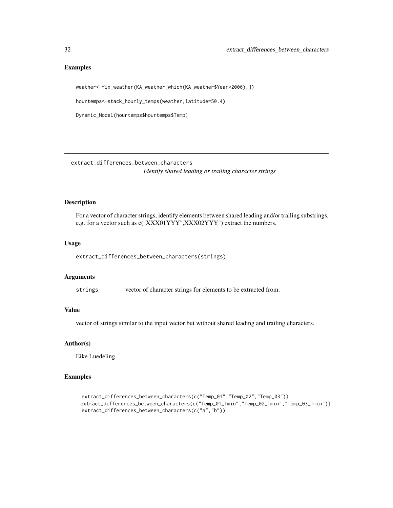### Examples

weather<-fix\_weather(KA\_weather[which(KA\_weather\$Year>2006),])

hourtemps<-stack\_hourly\_temps(weather,latitude=50.4)

Dynamic\_Model(hourtemps\$hourtemps\$Temp)

extract\_differences\_between\_characters

*Identify shared leading or trailing character strings*

### Description

For a vector of character strings, identify elements between shared leading and/or trailing substrings, e.g. for a vector such as c("XXX01YYY",XXX02YYY") extract the numbers.

### Usage

extract\_differences\_between\_characters(strings)

#### Arguments

strings vector of character strings for elements to be extracted from.

### Value

vector of strings similar to the input vector but without shared leading and trailing characters.

### Author(s)

Eike Luedeling

### Examples

```
extract_differences_between_characters(c("Temp_01","Temp_02","Temp_03"))
extract_differences_between_characters(c("Temp_01_Tmin","Temp_02_Tmin","Temp_03_Tmin"))
extract_differences_between_characters(c("a","b"))
```
<span id="page-31-0"></span>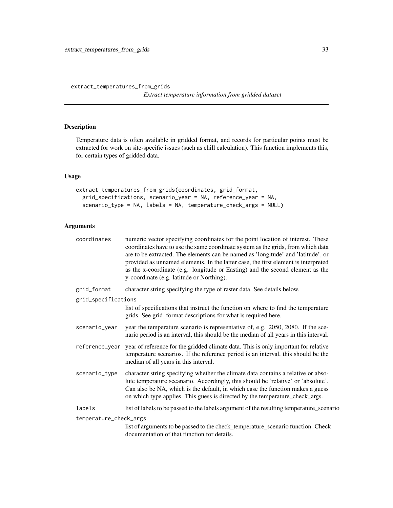<span id="page-32-0"></span>extract\_temperatures\_from\_grids

*Extract temperature information from gridded dataset*

## Description

Temperature data is often available in gridded format, and records for particular points must be extracted for work on site-specific issues (such as chill calculation). This function implements this, for certain types of gridded data.

### Usage

```
extract_temperatures_from_grids(coordinates, grid_format,
 grid_specifications, scenario_year = NA, reference_year = NA,
  scenario_type = NA, labels = NA, temperature_check_args = NULL)
```
### Arguments

| coordinates            | numeric vector specifying coordinates for the point location of interest. These<br>coordinates have to use the same coordinate system as the grids, from which data<br>are to be extracted. The elements can be named as 'longitude' and 'latitude', or<br>provided as unnamed elements. In the latter case, the first element is interpreted<br>as the x-coordinate (e.g. longitude or Easting) and the second element as the<br>y-coordinate (e.g. latitude or Northing). |
|------------------------|-----------------------------------------------------------------------------------------------------------------------------------------------------------------------------------------------------------------------------------------------------------------------------------------------------------------------------------------------------------------------------------------------------------------------------------------------------------------------------|
| grid_format            | character string specifying the type of raster data. See details below.                                                                                                                                                                                                                                                                                                                                                                                                     |
| grid_specifications    |                                                                                                                                                                                                                                                                                                                                                                                                                                                                             |
|                        | list of specifications that instruct the function on where to find the temperature<br>grids. See grid_format descriptions for what is required here.                                                                                                                                                                                                                                                                                                                        |
| scenario_year          | year the temperature scenario is representative of, e.g. 2050, 2080. If the sce-<br>nario period is an interval, this should be the median of all years in this interval.                                                                                                                                                                                                                                                                                                   |
| reference_year         | year of reference for the gridded climate data. This is only important for relative<br>temperature scenarios. If the reference period is an interval, this should be the<br>median of all years in this interval.                                                                                                                                                                                                                                                           |
| scenario_type          | character string specifying whether the climate data contains a relative or abso-<br>lute temperature sceanario. Accordingly, this should be 'relative' or 'absolute'.<br>Can also be NA, which is the default, in which case the function makes a guess<br>on which type applies. This guess is directed by the temperature_check_args.                                                                                                                                    |
| labels                 | list of labels to be passed to the labels argument of the resulting temperature_scenario                                                                                                                                                                                                                                                                                                                                                                                    |
| temperature_check_args |                                                                                                                                                                                                                                                                                                                                                                                                                                                                             |
|                        | list of arguments to be passed to the check_temperature_scenario function. Check<br>documentation of that function for details.                                                                                                                                                                                                                                                                                                                                             |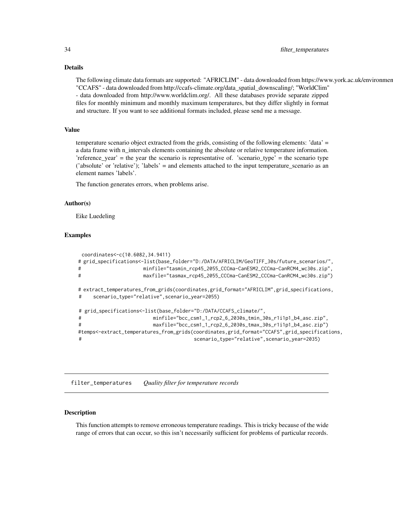#### <span id="page-33-0"></span>Details

The following climate data formats are supported: "AFRICLIM" - data downloaded from https://www.york.ac.uk/environmer "CCAFS" - data downloaded from http://ccafs-climate.org/data\_spatial\_downscaling/; "WorldClim" - data downloaded from http://www.worldclim.org/. All these databases provide separate zipped files for monthly minimum and monthly maximum temperatures, but they differ slightly in format and structure. If you want to see additional formats included, please send me a message.

### Value

temperature scenario object extracted from the grids, consisting of the following elements: 'data' = a data frame with n\_intervals elements containing the absolute or relative temperature information. 'reference\_year' = the year the scenario is representative of. 'scenario\_type' = the scenario type ('absolute' or 'relative'); 'labels' = and elements attached to the input temperature\_scenario as an element names 'labels'.

The function generates errors, when problems arise.

#### Author(s)

Eike Luedeling

#### Examples

```
coordinates<-c(10.6082,34.9411)
# grid_specifications<-list(base_folder="D:/DATA/AFRICLIM/GeoTIFF_30s/future_scenarios/",
# minfile="tasmin_rcp45_2055_CCCma-CanESM2_CCCma-CanRCM4_wc30s.zip",
# maxfile="tasmax_rcp45_2055_CCCma-CanESM2_CCCma-CanRCM4_wc30s.zip")
# extract_temperatures_from_grids(coordinates,grid_format="AFRICLIM",grid_specifications,
# scenario_type="relative",scenario_year=2055)
# grid_specifications<-list(base_folder="D:/DATA/CCAFS_climate/",
# minfile="bcc_csm1_1_rcp2_6_2030s_tmin_30s_r1i1p1_b4_asc.zip",
# maxfile="bcc_csm1_1_rcp2_6_2030s_tmax_30s_r1i1p1_b4_asc.zip")
#temps<-extract_temperatures_from_grids(coordinates,grid_format="CCAFS",grid_specifications,
# scenario_type="relative",scenario_year=2035)
```
filter\_temperatures *Quality filter for temperature records*

### Description

This function attempts to remove erroneous temperature readings. This is tricky because of the wide range of errors that can occur, so this isn't necessarily sufficient for problems of particular records.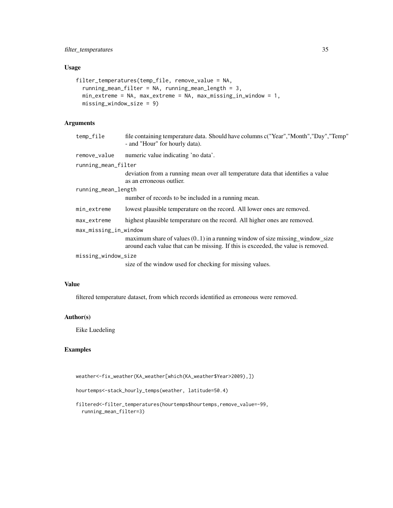### Usage

```
filter_temperatures(temp_file, remove_value = NA,
  running_mean_filter = NA, running_mean_length = 3,
 min_extreme = NA, max_extreme = NA, max_missing_in_window = 1,
 missing_window_size = 9)
```
### Arguments

| temp_file             | file containing temperature data. Should have columns c("Year","Month","Day","Temp"<br>- and "Hour" for hourly data).                                                |  |
|-----------------------|----------------------------------------------------------------------------------------------------------------------------------------------------------------------|--|
| remove_value          | numeric value indicating 'no data'.                                                                                                                                  |  |
| running_mean_filter   |                                                                                                                                                                      |  |
|                       | deviation from a running mean over all temperature data that identifies a value<br>as an erroneous outlier.                                                          |  |
| running_mean_length   |                                                                                                                                                                      |  |
|                       | number of records to be included in a running mean.                                                                                                                  |  |
| min_extreme           | lowest plausible temperature on the record. All lower ones are removed.                                                                                              |  |
| max_extreme           | highest plausible temperature on the record. All higher ones are removed.                                                                                            |  |
| max_missing_in_window |                                                                                                                                                                      |  |
|                       | maximum share of values $(0.1)$ in a running window of size missing window size<br>around each value that can be missing. If this is exceeded, the value is removed. |  |
| missing_window_size   |                                                                                                                                                                      |  |
|                       | size of the window used for checking for missing values.                                                                                                             |  |

### Value

filtered temperature dataset, from which records identified as erroneous were removed.

### Author(s)

Eike Luedeling

### Examples

weather<-fix\_weather(KA\_weather[which(KA\_weather\$Year>2009),])

hourtemps<-stack\_hourly\_temps(weather, latitude=50.4)

filtered<-filter\_temperatures(hourtemps\$hourtemps,remove\_value=-99, running\_mean\_filter=3)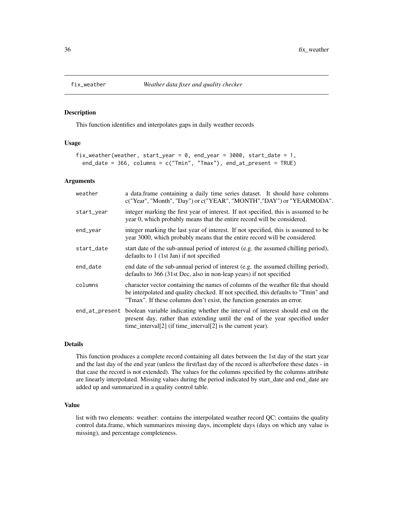<span id="page-35-0"></span>

### Description

This function identifies and interpolates gaps in daily weather records

#### Usage

```
fix_weather(weather, start_year = 0, end_year = 3000, start_date = 1,
 end_date = 366, columns = c("Tmin", "Tmax"), end_at_present = TRUE)
```
### Arguments

| weather    | a data.frame containing a daily time series dataset. It should have columns<br>c("Year", "Month", "Day") or c("YEAR", "MONTH", "DAY") or "YEARMODA".                                                                                             |
|------------|--------------------------------------------------------------------------------------------------------------------------------------------------------------------------------------------------------------------------------------------------|
| start_year | integer marking the first year of interest. If not specified, this is assumed to be<br>year 0, which probably means that the entire record will be considered.                                                                                   |
| end_year   | integer marking the last year of interest. If not specified, this is assumed to be<br>year 3000, which probably means that the entire record will be considered.                                                                                 |
| start_date | start date of the sub-annual period of interest (e.g. the assumed chilling period),<br>defaults to 1 (1st Jan) if not specified                                                                                                                  |
| end_date   | end date of the sub-annual period of interest (e.g. the assumed chilling period),<br>defaults to 366 (31st Dec, also in non-leap years) if not specified                                                                                         |
| columns    | character vector containing the names of columns of the weather file that should<br>be interpolated and quality checked. If not specified, this defaults to "Tmin" and<br>"Tmax". If these columns don't exist, the function generates an error. |
|            | end_at_present boolean variable indicating whether the interval of interest should end on the<br>present day, rather than extending until the end of the year specified under<br>time_interval[2] (if time_interval[2] is the current year).     |

### Details

This function produces a complete record containing all dates between the 1st day of the start year and the last day of the end year (unless the first/last day of the record is after/before these dates - in that case the record is not extended). The values for the columns specified by the columns attribute are linearly interpolated. Missing values during the period indicated by start\_date and end\_date are added up and summarized in a quality control table.

### Value

list with two elements: weather: contains the interpolated weather record QC: contains the quality control data.frame, which summarizes missing days, incomplete days (days on which any value is missing), and percentage completeness.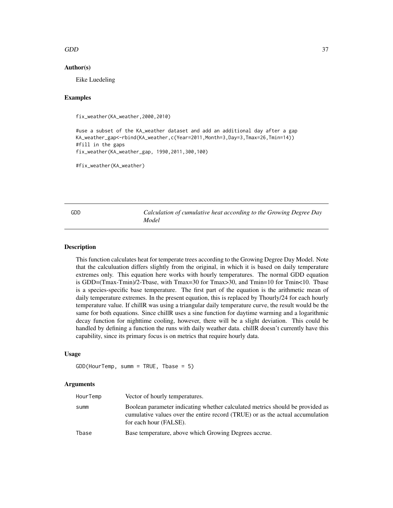## $GDD$  37

## Author(s)

Eike Luedeling

#### Examples

fix\_weather(KA\_weather,2000,2010)

#use a subset of the KA\_weather dataset and add an additional day after a gap KA\_weather\_gap<-rbind(KA\_weather,c(Year=2011,Month=3,Day=3,Tmax=26,Tmin=14)) #fill in the gaps fix\_weather(KA\_weather\_gap, 1990,2011,300,100)

#fix\_weather(KA\_weather)

GDD *Calculation of cumulative heat according to the Growing Degree Day Model*

# **Description**

This function calculates heat for temperate trees according to the Growing Degree Day Model. Note that the calculuation differs slightly from the original, in which it is based on daily temperature extremes only. This equation here works with hourly temperatures. The normal GDD equation is GDD=(Tmax-Tmin)/2-Tbase, with Tmax=30 for Tmax>30, and Tmin=10 for Tmin<10. Tbase is a species-specific base temperature. The first part of the equation is the arithmetic mean of daily temperature extremes. In the present equation, this is replaced by Thourly/24 for each hourly temperature value. If chillR was using a triangular daily temperature curve, the result would be the same for both equations. Since chillR uses a sine function for daytime warming and a logarithmic decay function for nighttime cooling, however, there will be a slight deviation. This could be handled by defining a function the runs with daily weather data. chillR doesn't currently have this capability, since its primary focus is on metrics that require hourly data.

#### Usage

```
GDD(HourTemp, summ = TRUE, Tbase = 5)
```

| HourTemp | Vector of hourly temperatures.                                                                                                                                                           |
|----------|------------------------------------------------------------------------------------------------------------------------------------------------------------------------------------------|
| summ     | Boolean parameter indicating whether calculated metrics should be provided as<br>cumulative values over the entire record (TRUE) or as the actual accumulation<br>for each hour (FALSE). |
| Tbase    | Base temperature, above which Growing Degrees accrue.                                                                                                                                    |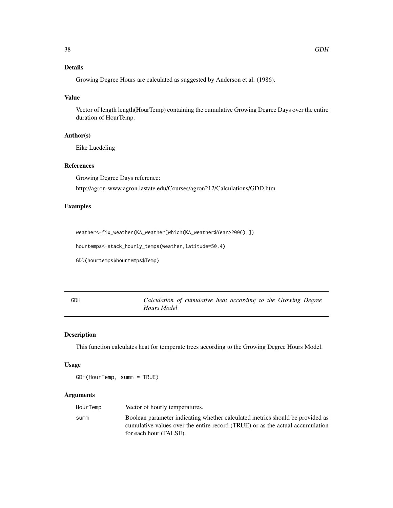# Details

Growing Degree Hours are calculated as suggested by Anderson et al. (1986).

# Value

Vector of length length(HourTemp) containing the cumulative Growing Degree Days over the entire duration of HourTemp.

## Author(s)

Eike Luedeling

# References

Growing Degree Days reference:

http://agron-www.agron.iastate.edu/Courses/agron212/Calculations/GDD.htm

## Examples

weather<-fix\_weather(KA\_weather[which(KA\_weather\$Year>2006),])

hourtemps<-stack\_hourly\_temps(weather,latitude=50.4)

GDD(hourtemps\$hourtemps\$Temp)

GDH *Calculation of cumulative heat according to the Growing Degree Hours Model*

# Description

This function calculates heat for temperate trees according to the Growing Degree Hours Model.

#### Usage

GDH(HourTemp, summ = TRUE)

| HourTemp | Vector of hourly temperatures.                                                                                                                                 |
|----------|----------------------------------------------------------------------------------------------------------------------------------------------------------------|
| summ     | Boolean parameter indicating whether calculated metrics should be provided as<br>cumulative values over the entire record (TRUE) or as the actual accumulation |
|          | for each hour (FALSE).                                                                                                                                         |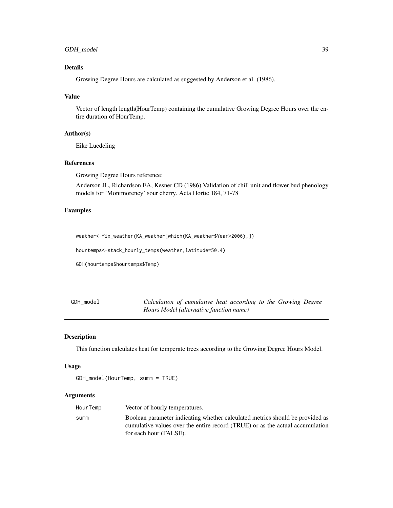# GDH\_model 39

# Details

Growing Degree Hours are calculated as suggested by Anderson et al. (1986).

#### Value

Vector of length length(HourTemp) containing the cumulative Growing Degree Hours over the entire duration of HourTemp.

# Author(s)

Eike Luedeling

# References

Growing Degree Hours reference:

Anderson JL, Richardson EA, Kesner CD (1986) Validation of chill unit and flower bud phenology models for 'Montmorency' sour cherry. Acta Hortic 184, 71-78

## Examples

weather<-fix\_weather(KA\_weather[which(KA\_weather\$Year>2006),])

hourtemps<-stack\_hourly\_temps(weather,latitude=50.4)

GDH(hourtemps\$hourtemps\$Temp)

GDH\_model *Calculation of cumulative heat according to the Growing Degree Hours Model (alternative function name)*

#### Description

This function calculates heat for temperate trees according to the Growing Degree Hours Model.

#### Usage

```
GDH_model(HourTemp, summ = TRUE)
```

| HourTemp | Vector of hourly temperatures.                                                                                                                                                           |
|----------|------------------------------------------------------------------------------------------------------------------------------------------------------------------------------------------|
| summ     | Boolean parameter indicating whether calculated metrics should be provided as<br>cumulative values over the entire record (TRUE) or as the actual accumulation<br>for each hour (FALSE). |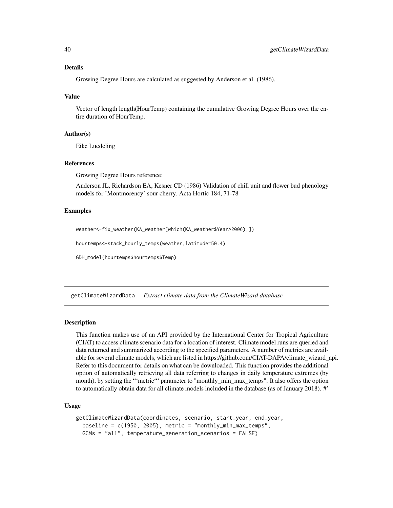## Details

Growing Degree Hours are calculated as suggested by Anderson et al. (1986).

## Value

Vector of length length(HourTemp) containing the cumulative Growing Degree Hours over the entire duration of HourTemp.

## Author(s)

Eike Luedeling

## References

Growing Degree Hours reference:

Anderson JL, Richardson EA, Kesner CD (1986) Validation of chill unit and flower bud phenology models for 'Montmorency' sour cherry. Acta Hortic 184, 71-78

## Examples

weather<-fix\_weather(KA\_weather[which(KA\_weather\$Year>2006),])

hourtemps<-stack\_hourly\_temps(weather,latitude=50.4)

GDH\_model(hourtemps\$hourtemps\$Temp)

getClimateWizardData *Extract climate data from the ClimateWizard database*

## Description

This function makes use of an API provided by the International Center for Tropical Agriculture (CIAT) to access climate scenario data for a location of interest. Climate model runs are queried and data returned and summarized according to the specified parameters. A number of metrics are available for several climate models, which are listed in https://github.com/CIAT-DAPA/climate\_wizard\_api. Refer to this document for details on what can be downloaded. This function provides the additional option of automatically retrieving all data referring to changes in daily temperature extremes (by month), by setting the "'metric"' parameter to "monthly\_min\_max\_temps". It also offers the option to automatically obtain data for all climate models included in the database (as of January 2018). #'

## Usage

```
getClimateWizardData(coordinates, scenario, start_year, end_year,
 baseline = c(1950, 2005), metric = "monthly_min_max_temps",
 GCMs = "all", temperature_generation_scenarios = FALSE)
```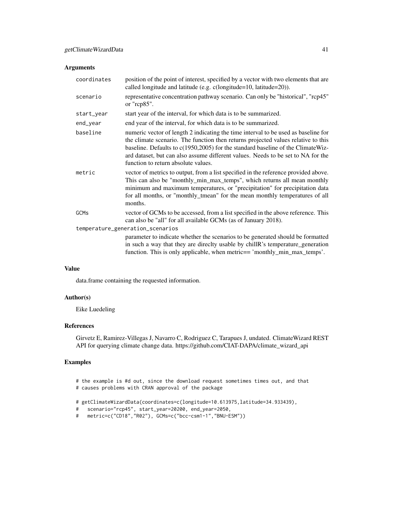# Arguments

| coordinates                      | position of the point of interest, specified by a vector with two elements that are<br>called longitude and latitude (e.g. c(longitude=10, latitude=20)).                                                                                                                                                                                                                             |  |
|----------------------------------|---------------------------------------------------------------------------------------------------------------------------------------------------------------------------------------------------------------------------------------------------------------------------------------------------------------------------------------------------------------------------------------|--|
| scenario                         | representative concentration pathway scenario. Can only be "historical", "rcp45"<br>or " $rcp85$ ".                                                                                                                                                                                                                                                                                   |  |
| start_year                       | start year of the interval, for which data is to be summarized.                                                                                                                                                                                                                                                                                                                       |  |
| end_year                         | end year of the interval, for which data is to be summarized.                                                                                                                                                                                                                                                                                                                         |  |
| baseline                         | numeric vector of length 2 indicating the time interval to be used as baseline for<br>the climate scenario. The function then returns projected values relative to this<br>baseline. Defaults to c(1950,2005) for the standard baseline of the ClimateWiz-<br>ard dataset, but can also assume different values. Needs to be set to NA for the<br>function to return absolute values. |  |
| metric                           | vector of metrics to output, from a list specified in the reference provided above.<br>This can also be "monthly_min_max_temps", which returns all mean monthly<br>minimum and maximum temperatures, or "precipitation" for precipitation data<br>for all months, or "monthly_tmean" for the mean monthly temperatures of all<br>months.                                              |  |
| GCMs                             | vector of GCMs to be accessed, from a list specified in the above reference. This<br>can also be "all" for all available GCMs (as of January 2018).                                                                                                                                                                                                                                   |  |
| temperature_generation_scenarios |                                                                                                                                                                                                                                                                                                                                                                                       |  |
|                                  | parameter to indicate whether the scenarios to be generated should be formatted<br>in such a way that they are directly usable by chillR's temperature_generation<br>function. This is only applicable, when metric== 'monthly_min_max_temps'.                                                                                                                                        |  |

# Value

data.frame containing the requested information.

# Author(s)

Eike Luedeling

## References

Girvetz E, Ramirez-Villegas J, Navarro C, Rodriguez C, Tarapues J, undated. ClimateWizard REST API for querying climate change data. https://github.com/CIAT-DAPA/climate\_wizard\_api

## Examples

# the example is #d out, since the download request sometimes times out, and that # causes problems with CRAN approval of the package

# getClimateWizardData(coordinates=c(longitude=10.613975,latitude=34.933439),

```
# scenario="rcp45", start_year=20200, end_year=2050,
```

```
# metric=c("CD18","R02"), GCMs=c("bcc-csm1-1","BNU-ESM"))
```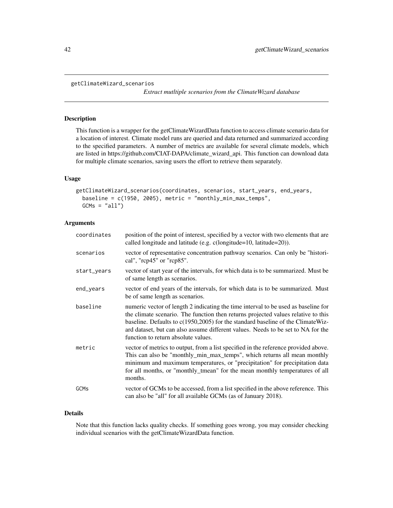```
getClimateWizard_scenarios
```
*Extract mutltiple scenarios from the ClimateWizard database*

## Description

This function is a wrapper for the getClimateWizardData function to access climate scenario data for a location of interest. Climate model runs are queried and data returned and summarized according to the specified parameters. A number of metrics are available for several climate models, which are listed in https://github.com/CIAT-DAPA/climate\_wizard\_api. This function can download data for multiple climate scenarios, saving users the effort to retrieve them separately.

## Usage

```
getClimateWizard_scenarios(coordinates, scenarios, start_years, end_years,
 baseline = c(1950, 2005), metric = "monthly_min_max_temps",
 GCMs = "all")
```
# Arguments

| coordinates | position of the point of interest, specified by a vector with two elements that are<br>called longitude and latitude (e.g. c(longitude=10, latitude=20)).                                                                                                                                                                                                                             |
|-------------|---------------------------------------------------------------------------------------------------------------------------------------------------------------------------------------------------------------------------------------------------------------------------------------------------------------------------------------------------------------------------------------|
| scenarios   | vector of representative concentration pathway scenarios. Can only be "histori-<br>cal", " $\text{rcp}45$ " or " $\text{rcp}85$ ".                                                                                                                                                                                                                                                    |
| start_years | vector of start year of the intervals, for which data is to be summarized. Must be<br>of same length as scenarios.                                                                                                                                                                                                                                                                    |
| end_years   | vector of end years of the intervals, for which data is to be summarized. Must<br>be of same length as scenarios.                                                                                                                                                                                                                                                                     |
| baseline    | numeric vector of length 2 indicating the time interval to be used as baseline for<br>the climate scenario. The function then returns projected values relative to this<br>baseline. Defaults to c(1950,2005) for the standard baseline of the ClimateWiz-<br>ard dataset, but can also assume different values. Needs to be set to NA for the<br>function to return absolute values. |
| metric      | vector of metrics to output, from a list specified in the reference provided above.<br>This can also be "monthly_min_max_temps", which returns all mean monthly<br>minimum and maximum temperatures, or "precipitation" for precipitation data<br>for all months, or "monthly_tmean" for the mean monthly temperatures of all<br>months.                                              |
| GCMs        | vector of GCMs to be accessed, from a list specified in the above reference. This<br>can also be "all" for all available GCMs (as of January 2018).                                                                                                                                                                                                                                   |

# Details

Note that this function lacks quality checks. If something goes wrong, you may consider checking individual scenarios with the getClimateWizardData function.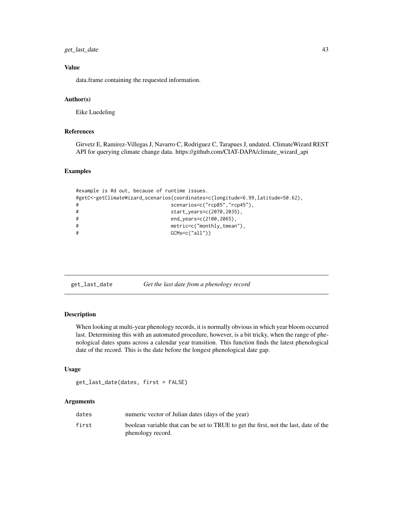# get\_last\_date 43

# Value

data.frame containing the requested information.

## Author(s)

Eike Luedeling

## References

Girvetz E, Ramirez-Villegas J, Navarro C, Rodriguez C, Tarapues J, undated. ClimateWizard REST API for querying climate change data. https://github.com/CIAT-DAPA/climate\_wizard\_api

#### Examples

```
#example is #d out, because of runtime issues.
#getC<-getClimateWizard_scenarios(coordinates=c(longitude=6.99,latitude=50.62),
# scenarios=c("rcp85","rcp45"),
# start_years=c(2070,2035),
# end_years=c(2100,2065),
# metric=c("monthly_tmean"),
# GCMs=c("all"))
```
get\_last\_date *Get the last date from a phenology record*

## Description

When looking at multi-year phenology records, it is normally obvious in which year bloom occurred last. Determining this with an automated procedure, however, is a bit tricky, when the range of phenological dates spans across a calendar year transition. This function finds the latest phenological date of the record. This is the date before the longest phenological date gap.

#### Usage

get\_last\_date(dates, first = FALSE)

| dates | numeric vector of Julian dates (days of the year)                                                         |
|-------|-----------------------------------------------------------------------------------------------------------|
| first | boolean variable that can be set to TRUE to get the first, not the last, date of the<br>phenology record. |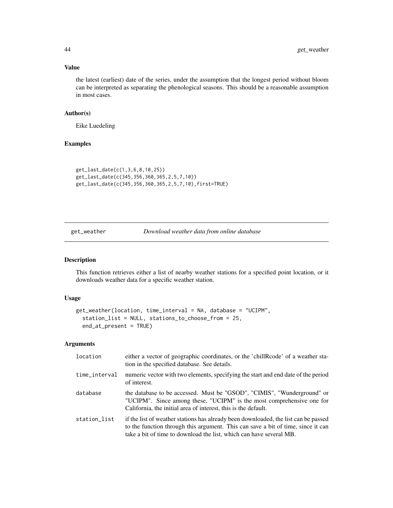# Value

the latest (earliest) date of the series, under the assumption that the longest period without bloom can be interpreted as separating the phenological seasons. This should be a reasonable assumption in most cases.

# Author(s)

Eike Luedeling

## Examples

```
get_last_date(c(1,3,6,8,10,25))
get_last_date(c(345,356,360,365,2,5,7,10))
get_last_date(c(345,356,360,365,2,5,7,10),first=TRUE)
```
get\_weather *Download weather data from online database*

# Description

This function retrieves either a list of nearby weather stations for a specified point location, or it downloads weather data for a specific weather station.

#### Usage

```
get_weather(location, time_interval = NA, database = "UCIPM",
  station_list = NULL, stations_to_choose_from = 25,
 end_at_present = TRUE)
```

| location      | either a vector of geographic coordinates, or the 'chillRcode' of a weather sta-<br>tion in the specified database. See details.                                                                                                               |
|---------------|------------------------------------------------------------------------------------------------------------------------------------------------------------------------------------------------------------------------------------------------|
| time_interval | numeric vector with two elements, specifying the start and end date of the period<br>of interest.                                                                                                                                              |
| database      | the database to be accessed. Must be "GSOD", "CIMIS", "Wunderground" or<br>"UCIPM". Since among these, "UCIPM" is the most comprehensive one for<br>California, the initial area of interest, this is the default.                             |
| station_list  | if the list of weather stations has already been downloaded, the list can be passed<br>to the function through this argument. This can save a bit of time, since it can<br>take a bit of time to download the list, which can have several MB. |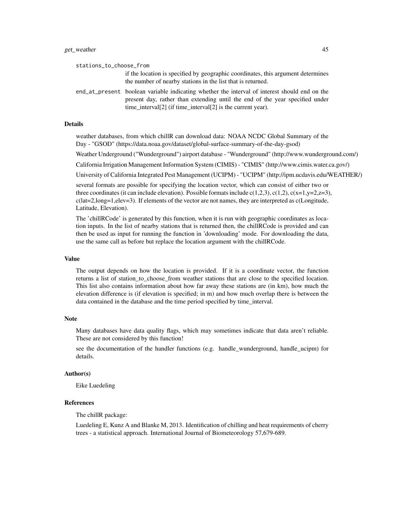| stations_to_choose_from |                                                                                                                                                                                                                                              |
|-------------------------|----------------------------------------------------------------------------------------------------------------------------------------------------------------------------------------------------------------------------------------------|
|                         | if the location is specified by geographic coordinates, this argument determines<br>the number of nearby stations in the list that is returned.                                                                                              |
|                         | end at present boolean variable indicating whether the interval of interest should end on the<br>present day, rather than extending until the end of the year specified under<br>time_interval[2] (if time_interval[2] is the current year). |

#### Details

weather databases, from which chillR can download data: NOAA NCDC Global Summary of the Day - "GSOD" (https://data.noaa.gov/dataset/global-surface-summary-of-the-day-gsod)

Weather Underground ("Wunderground") airport database - "Wunderground" (http://www.wunderground.com/)

California Irrigation Management Information System (CIMIS) - "CIMIS" (http://www.cimis.water.ca.gov/)

University of California Integrated Pest Management (UCIPM) - "UCIPM" (http://ipm.ucdavis.edu/WEATHER/)

several formats are possible for specifying the location vector, which can consist of either two or three coordinates (it can include elevation). Possible formats include  $c(1,2,3)$ ,  $c(1,2)$ ,  $c(x=1,y=2,z=3)$ , c(lat=2,long=1,elev=3). If elements of the vector are not names, they are interpreted as c(Longitude, Latitude, Elevation).

The 'chillRCode' is generated by this function, when it is run with geographic coordinates as location inputs. In the list of nearby stations that is returned then, the chillRCode is provided and can then be used as input for running the function in 'downloading' mode. For downloading the data, use the same call as before but replace the location argument with the chillRCode.

#### Value

The output depends on how the location is provided. If it is a coordinate vector, the function returns a list of station\_to\_choose\_from weather stations that are close to the specified location. This list also contains information about how far away these stations are (in km), how much the elevation difference is (if elevation is specified; in m) and how much overlap there is between the data contained in the database and the time period specified by time\_interval.

#### Note

Many databases have data quality flags, which may sometimes indicate that data aren't reliable. These are not considered by this function!

see the documentation of the handler functions (e.g. handle\_wunderground, handle\_ucipm) for details.

## Author(s)

Eike Luedeling

#### References

The chillR package:

Luedeling E, Kunz A and Blanke M, 2013. Identification of chilling and heat requirements of cherry trees - a statistical approach. International Journal of Biometeorology 57,679-689.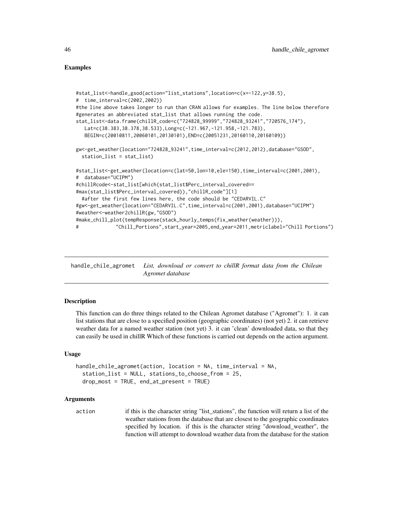## Examples

```
#stat_list<-handle_gsod(action="list_stations",location=c(x=-122,y=38.5),
# time_interval=c(2002,2002))
#the line above takes longer to run than CRAN allows for examples. The line below therefore
#generates an abbreviated stat_list that allows running the code.
stat_list<-data.frame(chillR_code=c("724828_99999","724828_93241","720576_174"),
  Lat=c(38.383,38.378,38.533),Long=c(-121.967,-121.958,-121.783),
  BEGIN=c(20010811,20060101,20130101),END=c(20051231,20160110,20160109))
gw<-get_weather(location="724828_93241",time_interval=c(2012,2012),database="GSOD",
 station_list = stat_list)
#stat_list<-get_weather(location=c(lat=50,lon=10,ele=150),time_interval=c(2001,2001),
# database="UCIPM")
#chillRcode<-stat_list[which(stat_list$Perc_interval_covered==
#max(stat_list$Perc_interval_covered)),"chillR_code"][1]
 #after the first few lines here, the code should be "CEDARVIL.C"
#gw<-get_weather(location="CEDARVIL.C",time_interval=c(2001,2001),database="UCIPM")
#weather<-weather2chillR(gw,"GSOD")
#make_chill_plot(tempResponse(stack_hourly_temps(fix_weather(weather))),
              # "Chill_Portions",start_year=2005,end_year=2011,metriclabel="Chill Portions")
```
handle\_chile\_agromet *List, download or convert to chillR format data from the Chilean Agromet database*

## **Description**

This function can do three things related to the Chilean Agromet database ("Agromet"): 1. it can list stations that are close to a specified position (geographic coordinates) (not yet) 2. it can retrieve weather data for a named weather station (not yet) 3. it can 'clean' downloaded data, so that they can easily be used in chillR Which of these functions is carried out depends on the action argument.

## Usage

```
handle_chile_agromet(action, location = NA, time_interval = NA,
  station_list = NULL, stations_to_choose_from = 25,
  drop_most = TRUE, end_at_present = TRUE)
```
#### Arguments

action if this is the character string "list stations", the function will return a list of the weather stations from the database that are closest to the geographic coordinates specified by location. if this is the character string "download\_weather", the function will attempt to download weather data from the database for the station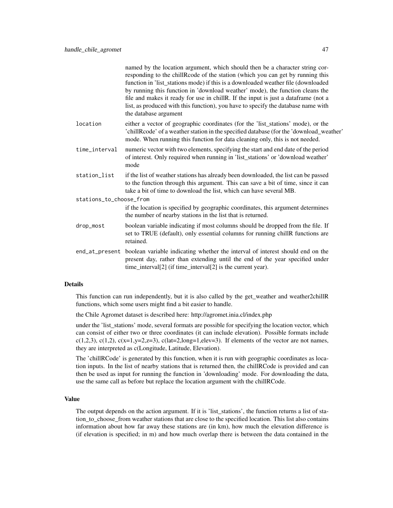|                         | named by the location argument, which should then be a character string cor-<br>responding to the chillRcode of the station (which you can get by running this<br>function in 'list_stations mode) if this is a downloaded weather file (downloaded<br>by running this function in 'download weather' mode), the function cleans the<br>file and makes it ready for use in chillR. If the input is just a dataframe (not a<br>list, as produced with this function), you have to specify the database name with<br>the database argument |
|-------------------------|------------------------------------------------------------------------------------------------------------------------------------------------------------------------------------------------------------------------------------------------------------------------------------------------------------------------------------------------------------------------------------------------------------------------------------------------------------------------------------------------------------------------------------------|
| location                | either a vector of geographic coordinates (for the 'list_stations' mode), or the<br>'chillRcode' of a weather station in the specified database (for the 'download_weather'<br>mode. When running this function for data cleaning only, this is not needed.                                                                                                                                                                                                                                                                              |
| time_interval           | numeric vector with two elements, specifying the start and end date of the period<br>of interest. Only required when running in 'list_stations' or 'download weather'<br>mode                                                                                                                                                                                                                                                                                                                                                            |
| station_list            | if the list of weather stations has already been downloaded, the list can be passed<br>to the function through this argument. This can save a bit of time, since it can<br>take a bit of time to download the list, which can have several MB.                                                                                                                                                                                                                                                                                           |
| stations_to_choose_from |                                                                                                                                                                                                                                                                                                                                                                                                                                                                                                                                          |
|                         | if the location is specified by geographic coordinates, this argument determines<br>the number of nearby stations in the list that is returned.                                                                                                                                                                                                                                                                                                                                                                                          |
| drop_most               | boolean variable indicating if most columns should be dropped from the file. If<br>set to TRUE (default), only essential columns for running chillR functions are<br>retained.                                                                                                                                                                                                                                                                                                                                                           |
|                         | end_at_present boolean variable indicating whether the interval of interest should end on the<br>present day, rather than extending until the end of the year specified under<br>time_interval[2] (if time_interval[2] is the current year).                                                                                                                                                                                                                                                                                             |
|                         |                                                                                                                                                                                                                                                                                                                                                                                                                                                                                                                                          |

#### Details

This function can run independently, but it is also called by the get\_weather and weather2chillR functions, which some users might find a bit easier to handle.

the Chile Agromet dataset is described here: http://agromet.inia.cl/index.php

under the 'list\_stations' mode, several formats are possible for specifying the location vector, which can consist of either two or three coordinates (it can include elevation). Possible formats include c(1,2,3), c(1,2), c(x=1,y=2,z=3), c(lat=2,long=1,elev=3). If elements of the vector are not names, they are interpreted as c(Longitude, Latitude, Elevation).

The 'chillRCode' is generated by this function, when it is run with geographic coordinates as location inputs. In the list of nearby stations that is returned then, the chillRCode is provided and can then be used as input for running the function in 'downloading' mode. For downloading the data, use the same call as before but replace the location argument with the chillRCode.

#### Value

The output depends on the action argument. If it is 'list\_stations', the function returns a list of station\_to\_choose\_from weather stations that are close to the specified location. This list also contains information about how far away these stations are (in km), how much the elevation difference is (if elevation is specified; in m) and how much overlap there is between the data contained in the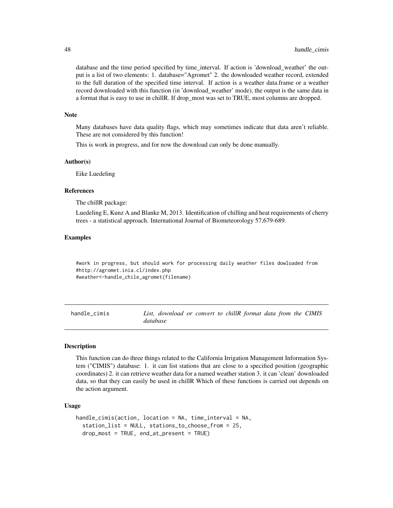database and the time period specified by time\_interval. If action is 'download\_weather' the output is a list of two elements: 1. database="Agromet" 2. the downloaded weather record, extended to the full duration of the specified time interval. If action is a weather data.frame or a weather record downloaded with this function (in 'download\_weather' mode), the output is the same data in a format that is easy to use in chillR. If drop\_most was set to TRUE, most columns are dropped.

#### **Note**

Many databases have data quality flags, which may sometimes indicate that data aren't reliable. These are not considered by this function!

This is work in progress, and for now the download can only be done manually.

#### Author(s)

Eike Luedeling

#### References

The chillR package:

Luedeling E, Kunz A and Blanke M, 2013. Identification of chilling and heat requirements of cherry trees - a statistical approach. International Journal of Biometeorology 57,679-689.

## Examples

#work in progress, but should work for processing daily weather files dowloaded from #http://agromet.inia.cl/index.php #weather<-handle\_chile\_agromet(filename)

handle\_cimis *List, download or convert to chillR format data from the CIMIS database*

#### Description

This function can do three things related to the California Irrigation Management Information System ("CIMIS") database: 1. it can list stations that are close to a specified position (geographic coordinates) 2. it can retrieve weather data for a named weather station 3. it can 'clean' downloaded data, so that they can easily be used in chillR Which of these functions is carried out depends on the action argument.

## Usage

```
handle_cimis(action, location = NA, time_interval = NA,
  station_list = NULL, stations_to_choose_from = 25,
  drop_most = TRUE, end_at_present = TRUE)
```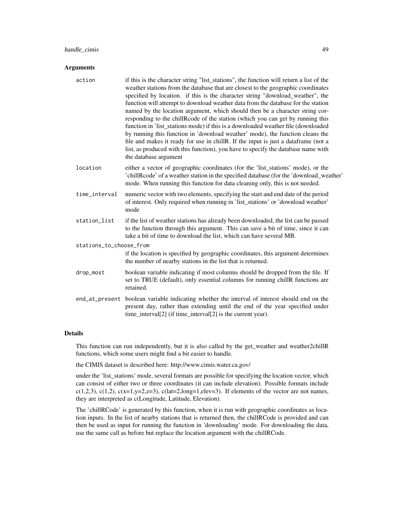# handle\_cimis 49

#### **Arguments**

| action                  | if this is the character string "list_stations", the function will return a list of the<br>weather stations from the database that are closest to the geographic coordinates<br>specified by location. if this is the character string "download_weather", the<br>function will attempt to download weather data from the database for the station<br>named by the location argument, which should then be a character string cor-<br>responding to the chillRcode of the station (which you can get by running this<br>function in 'list_stations mode) if this is a downloaded weather file (downloaded<br>by running this function in 'download weather' mode), the function cleans the<br>file and makes it ready for use in chillR. If the input is just a dataframe (not a<br>list, as produced with this function), you have to specify the database name with<br>the database argument |
|-------------------------|------------------------------------------------------------------------------------------------------------------------------------------------------------------------------------------------------------------------------------------------------------------------------------------------------------------------------------------------------------------------------------------------------------------------------------------------------------------------------------------------------------------------------------------------------------------------------------------------------------------------------------------------------------------------------------------------------------------------------------------------------------------------------------------------------------------------------------------------------------------------------------------------|
| location                | either a vector of geographic coordinates (for the 'list_stations' mode), or the<br>'chillRcode' of a weather station in the specified database (for the 'download_weather'<br>mode. When running this function for data cleaning only, this is not needed.                                                                                                                                                                                                                                                                                                                                                                                                                                                                                                                                                                                                                                    |
| time_interval           | numeric vector with two elements, specifying the start and end date of the period<br>of interest. Only required when running in 'list_stations' or 'download weather'<br>mode                                                                                                                                                                                                                                                                                                                                                                                                                                                                                                                                                                                                                                                                                                                  |
| station_list            | if the list of weather stations has already been downloaded, the list can be passed<br>to the function through this argument. This can save a bit of time, since it can<br>take a bit of time to download the list, which can have several MB.                                                                                                                                                                                                                                                                                                                                                                                                                                                                                                                                                                                                                                                 |
| stations_to_choose_from |                                                                                                                                                                                                                                                                                                                                                                                                                                                                                                                                                                                                                                                                                                                                                                                                                                                                                                |
|                         | if the location is specified by geographic coordinates, this argument determines<br>the number of nearby stations in the list that is returned.                                                                                                                                                                                                                                                                                                                                                                                                                                                                                                                                                                                                                                                                                                                                                |
| drop_most               | boolean variable indicating if most columns should be dropped from the file. If<br>set to TRUE (default), only essential columns for running chillR functions are<br>retained.                                                                                                                                                                                                                                                                                                                                                                                                                                                                                                                                                                                                                                                                                                                 |
|                         | end_at_present boolean variable indicating whether the interval of interest should end on the<br>present day, rather than extending until the end of the year specified under<br>time_interval[2] (if time_interval[2] is the current year).                                                                                                                                                                                                                                                                                                                                                                                                                                                                                                                                                                                                                                                   |

#### Details

This function can run independently, but it is also called by the get\_weather and weather2chillR functions, which some users might find a bit easier to handle.

the CIMIS dataset is described here: http://www.cimis.water.ca.gov/

under the 'list\_stations' mode, several formats are possible for specifying the location vector, which can consist of either two or three coordinates (it can include elevation). Possible formats include c(1,2,3), c(1,2), c(x=1,y=2,z=3), c(lat=2,long=1,elev=3). If elements of the vector are not names, they are interpreted as c(Longitude, Latitude, Elevation).

The 'chillRCode' is generated by this function, when it is run with geographic coordinates as location inputs. In the list of nearby stations that is returned then, the chillRCode is provided and can then be used as input for running the function in 'downloading' mode. For downloading the data, use the same call as before but replace the location argument with the chillRCode.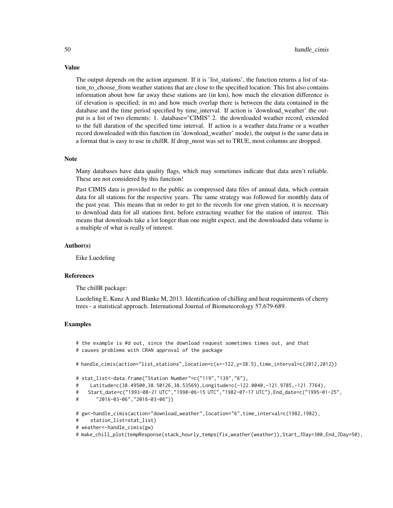The output depends on the action argument. If it is 'list\_stations', the function returns a list of station\_to\_choose\_from weather stations that are close to the specified location. This list also contains information about how far away these stations are (in km), how much the elevation difference is (if elevation is specified; in m) and how much overlap there is between the data contained in the database and the time period specified by time\_interval. If action is 'download\_weather' the output is a list of two elements: 1. database="CIMIS" 2. the downloaded weather record, extended to the full duration of the specified time interval. If action is a weather data.frame or a weather record downloaded with this function (in 'download\_weather' mode), the output is the same data in a format that is easy to use in chillR. If drop\_most was set to TRUE, most columns are dropped.

#### Note

Many databases have data quality flags, which may sometimes indicate that data aren't reliable. These are not considered by this function!

Past CIMIS data is provided to the public as compressed data files of annual data, which contain data for all stations for the respective years. The same strategy was followed for monthly data of the past year. This means that in order to get to the records for one given station, it is necessary to download data for all stations first, before extracting weather for the station of interest. This means that downloads take a lot longer than one might expect, and the downloaded data volume is a multiple of what is really of interest.

#### Author(s)

Eike Luedeling

#### References

The chillR package:

Luedeling E, Kunz A and Blanke M, 2013. Identification of chilling and heat requirements of cherry trees - a statistical approach. International Journal of Biometeorology 57,679-689.

#### Examples

# the example is #d out, since the download request sometimes times out, and that # causes problems with CRAN approval of the package

# handle\_cimis(action="list\_stations",location=c(x=-122,y=38.5),time\_interval=c(2012,2012))

```
# stat_list<-data.frame("Station Number"=c("119","139","6"),
```
- # Latitude=c(38.49500,38.50126,38.53569),Longitude=c(-122.0040,-121.9785,-121.7764),
- # Start\_date=c("1993-08-21 UTC","1998-06-15 UTC","1982-07-17 UTC"),End\_date=c("1995-01-25",

```
# "2016-03-06","2016-03-06"))
```
# gw<-handle\_cimis(action="download\_weather",location="6",time\_interval=c(1982,1982),

```
# station_list=stat_list)
```
- # weather<-handle\_cimis(gw)
- # make\_chill\_plot(tempResponse(stack\_hourly\_temps(fix\_weather(weather)),Start\_JDay=300,End\_JDay=50),

# Value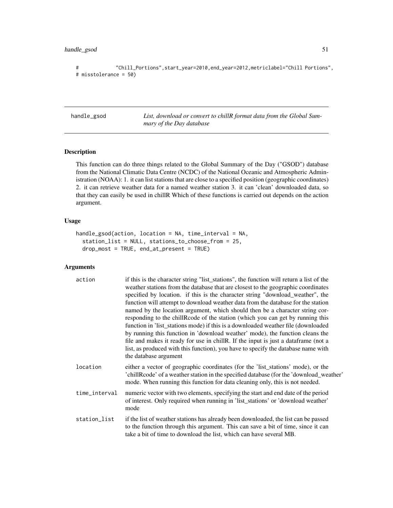# handle\_gsod 51

```
# "Chill_Portions",start_year=2010,end_year=2012,metriclabel="Chill Portions",
# misstolerance = 50)
```
handle\_gsod *List, download or convert to chillR format data from the Global Summary of the Day database*

# Description

This function can do three things related to the Global Summary of the Day ("GSOD") database from the National Climatic Data Centre (NCDC) of the National Oceanic and Atmospheric Administration (NOAA): 1. it can list stations that are close to a specified position (geographic coordinates) 2. it can retrieve weather data for a named weather station 3. it can 'clean' downloaded data, so that they can easily be used in chillR Which of these functions is carried out depends on the action argument.

#### Usage

```
handle_gsod(action, location = NA, time_interval = NA,
  station_list = NULL, stations_to_choose_from = 25,
  drop_most = TRUE, end_at_present = TRUE)
```

| action        | if this is the character string "list_stations", the function will return a list of the<br>weather stations from the database that are closest to the geographic coordinates<br>specified by location. if this is the character string "download_weather", the<br>function will attempt to download weather data from the database for the station<br>named by the location argument, which should then be a character string cor-<br>responding to the chillRcode of the station (which you can get by running this<br>function in 'list_stations mode) if this is a downloaded weather file (downloaded<br>by running this function in 'download weather' mode), the function cleans the<br>file and makes it ready for use in chill R. If the input is just a dataframe (not a<br>list, as produced with this function), you have to specify the database name with<br>the database argument |
|---------------|-------------------------------------------------------------------------------------------------------------------------------------------------------------------------------------------------------------------------------------------------------------------------------------------------------------------------------------------------------------------------------------------------------------------------------------------------------------------------------------------------------------------------------------------------------------------------------------------------------------------------------------------------------------------------------------------------------------------------------------------------------------------------------------------------------------------------------------------------------------------------------------------------|
| location      | either a vector of geographic coordinates (for the 'list_stations' mode), or the<br>'chillRcode' of a weather station in the specified database (for the 'download_weather'<br>mode. When running this function for data cleaning only, this is not needed.                                                                                                                                                                                                                                                                                                                                                                                                                                                                                                                                                                                                                                     |
| time_interval | numeric vector with two elements, specifying the start and end date of the period<br>of interest. Only required when running in 'list_stations' or 'download weather'<br>mode                                                                                                                                                                                                                                                                                                                                                                                                                                                                                                                                                                                                                                                                                                                   |
| station_list  | if the list of weather stations has already been downloaded, the list can be passed<br>to the function through this argument. This can save a bit of time, since it can<br>take a bit of time to download the list, which can have several MB.                                                                                                                                                                                                                                                                                                                                                                                                                                                                                                                                                                                                                                                  |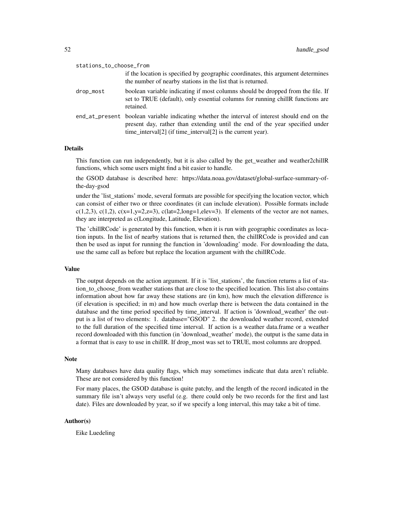| stations_to_choose_from |                                                                                                                                                                                                                                              |  |
|-------------------------|----------------------------------------------------------------------------------------------------------------------------------------------------------------------------------------------------------------------------------------------|--|
|                         | if the location is specified by geographic coordinates, this argument determines<br>the number of nearby stations in the list that is returned.                                                                                              |  |
| drop_most               | boolean variable indicating if most columns should be dropped from the file. If<br>set to TRUE (default), only essential columns for running chillR functions are<br>retained.                                                               |  |
|                         | end_at_present boolean variable indicating whether the interval of interest should end on the<br>present day, rather than extending until the end of the year specified under<br>time_interval[2] (if time_interval[2] is the current year). |  |

## Details

This function can run independently, but it is also called by the get\_weather and weather2chillR functions, which some users might find a bit easier to handle.

the GSOD database is described here: https://data.noaa.gov/dataset/global-surface-summary-ofthe-day-gsod

under the 'list\_stations' mode, several formats are possible for specifying the location vector, which can consist of either two or three coordinates (it can include elevation). Possible formats include c(1,2,3), c(1,2), c(x=1,y=2,z=3), c(lat=2,long=1,elev=3). If elements of the vector are not names, they are interpreted as c(Longitude, Latitude, Elevation).

The 'chillRCode' is generated by this function, when it is run with geographic coordinates as location inputs. In the list of nearby stations that is returned then, the chillRCode is provided and can then be used as input for running the function in 'downloading' mode. For downloading the data, use the same call as before but replace the location argument with the chillRCode.

#### Value

The output depends on the action argument. If it is 'list stations', the function returns a list of station\_to\_choose\_from weather stations that are close to the specified location. This list also contains information about how far away these stations are (in km), how much the elevation difference is (if elevation is specified; in m) and how much overlap there is between the data contained in the database and the time period specified by time\_interval. If action is 'download\_weather' the output is a list of two elements: 1. database="GSOD" 2. the downloaded weather record, extended to the full duration of the specified time interval. If action is a weather data.frame or a weather record downloaded with this function (in 'download\_weather' mode), the output is the same data in a format that is easy to use in chillR. If drop\_most was set to TRUE, most columns are dropped.

#### Note

Many databases have data quality flags, which may sometimes indicate that data aren't reliable. These are not considered by this function!

For many places, the GSOD database is quite patchy, and the length of the record indicated in the summary file isn't always very useful (e.g. there could only be two records for the first and last date). Files are downloaded by year, so if we specify a long interval, this may take a bit of time.

## Author(s)

Eike Luedeling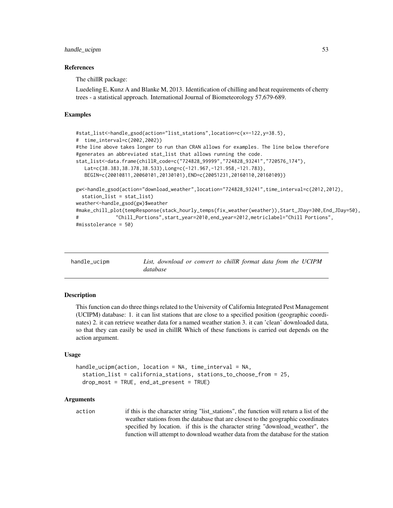## handle\_ucipm 53

#### References

The chillR package:

Luedeling E, Kunz A and Blanke M, 2013. Identification of chilling and heat requirements of cherry trees - a statistical approach. International Journal of Biometeorology 57,679-689.

## Examples

```
#stat_list<-handle_gsod(action="list_stations",location=c(x=-122,y=38.5),
# time_interval=c(2002,2002))
#the line above takes longer to run than CRAN allows for examples. The line below therefore
#generates an abbreviated stat_list that allows running the code.
stat_list<-data.frame(chillR_code=c("724828_99999","724828_93241","720576_174"),
  Lat=c(38.383,38.378,38.533),Long=c(-121.967,-121.958,-121.783),
  BEGIN=c(20010811,20060101,20130101),END=c(20051231,20160110,20160109))
gw<-handle_gsod(action="download_weather",location="724828_93241",time_interval=c(2012,2012),
  station_list = stat_list)
weather<-handle_gsod(gw)$weather
#make_chill_plot(tempResponse(stack_hourly_temps(fix_weather(weather)),Start_JDay=300,End_JDay=50),
# "Chill_Portions",start_year=2010,end_year=2012,metriclabel="Chill Portions",
#misstolerance = 50)
```
handle\_ucipm *List, download or convert to chillR format data from the UCIPM database*

## Description

This function can do three things related to the University of California Integrated Pest Management (UCIPM) database: 1. it can list stations that are close to a specified position (geographic coordinates) 2. it can retrieve weather data for a named weather station 3. it can 'clean' downloaded data, so that they can easily be used in chillR Which of these functions is carried out depends on the action argument.

#### Usage

```
handle_ucipm(action, location = NA, time_interval = NA,
  station_list = california_stations, stations_to_choose_from = 25,
  drop_most = TRUE, end_at_present = TRUE
```
#### Arguments

action if this is the character string "list stations", the function will return a list of the weather stations from the database that are closest to the geographic coordinates specified by location. if this is the character string "download\_weather", the function will attempt to download weather data from the database for the station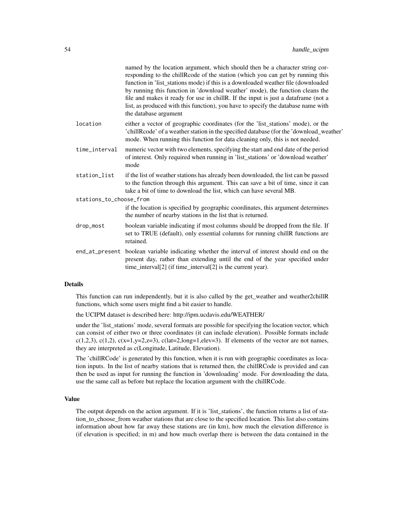|                         | named by the location argument, which should then be a character string cor-<br>responding to the chillRcode of the station (which you can get by running this<br>function in 'list_stations mode) if this is a downloaded weather file (downloaded<br>by running this function in 'download weather' mode), the function cleans the<br>file and makes it ready for use in chill R. If the input is just a dataframe (not a<br>list, as produced with this function), you have to specify the database name with<br>the database argument |
|-------------------------|-------------------------------------------------------------------------------------------------------------------------------------------------------------------------------------------------------------------------------------------------------------------------------------------------------------------------------------------------------------------------------------------------------------------------------------------------------------------------------------------------------------------------------------------|
| location                | either a vector of geographic coordinates (for the 'list_stations' mode), or the<br>'chillRcode' of a weather station in the specified database (for the 'download_weather'<br>mode. When running this function for data cleaning only, this is not needed.                                                                                                                                                                                                                                                                               |
| time_interval           | numeric vector with two elements, specifying the start and end date of the period<br>of interest. Only required when running in 'list_stations' or 'download weather'<br>mode                                                                                                                                                                                                                                                                                                                                                             |
| station_list            | if the list of weather stations has already been downloaded, the list can be passed<br>to the function through this argument. This can save a bit of time, since it can<br>take a bit of time to download the list, which can have several MB.                                                                                                                                                                                                                                                                                            |
| stations_to_choose_from |                                                                                                                                                                                                                                                                                                                                                                                                                                                                                                                                           |
|                         | if the location is specified by geographic coordinates, this argument determines<br>the number of nearby stations in the list that is returned.                                                                                                                                                                                                                                                                                                                                                                                           |
| drop_most               | boolean variable indicating if most columns should be dropped from the file. If<br>set to TRUE (default), only essential columns for running chillR functions are<br>retained.                                                                                                                                                                                                                                                                                                                                                            |
|                         | end_at_present boolean variable indicating whether the interval of interest should end on the<br>present day, rather than extending until the end of the year specified under<br>time_interval[2] (if time_interval[2] is the current year).                                                                                                                                                                                                                                                                                              |
|                         |                                                                                                                                                                                                                                                                                                                                                                                                                                                                                                                                           |

## Details

This function can run independently, but it is also called by the get\_weather and weather2chillR functions, which some users might find a bit easier to handle.

the UCIPM dataset is described here: http://ipm.ucdavis.edu/WEATHER/

under the 'list\_stations' mode, several formats are possible for specifying the location vector, which can consist of either two or three coordinates (it can include elevation). Possible formats include c(1,2,3), c(1,2), c(x=1,y=2,z=3), c(lat=2,long=1,elev=3). If elements of the vector are not names, they are interpreted as c(Longitude, Latitude, Elevation).

The 'chillRCode' is generated by this function, when it is run with geographic coordinates as location inputs. In the list of nearby stations that is returned then, the chillRCode is provided and can then be used as input for running the function in 'downloading' mode. For downloading the data, use the same call as before but replace the location argument with the chillRCode.

#### Value

The output depends on the action argument. If it is 'list\_stations', the function returns a list of station\_to\_choose\_from weather stations that are close to the specified location. This list also contains information about how far away these stations are (in km), how much the elevation difference is (if elevation is specified; in m) and how much overlap there is between the data contained in the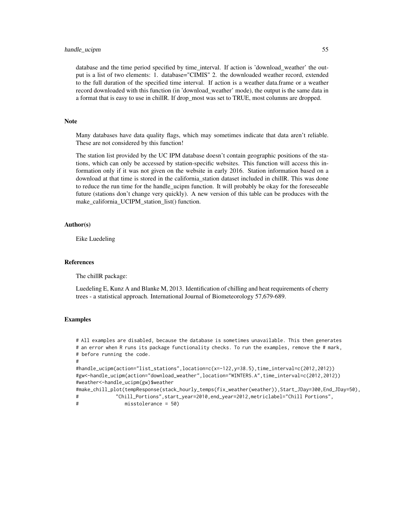#### handle\_ucipm 55

database and the time period specified by time\_interval. If action is 'download\_weather' the output is a list of two elements: 1. database="CIMIS" 2. the downloaded weather record, extended to the full duration of the specified time interval. If action is a weather data.frame or a weather record downloaded with this function (in 'download\_weather' mode), the output is the same data in a format that is easy to use in chillR. If drop most was set to TRUE, most columns are dropped.

### **Note**

Many databases have data quality flags, which may sometimes indicate that data aren't reliable. These are not considered by this function!

The station list provided by the UC IPM database doesn't contain geographic positions of the stations, which can only be accessed by station-specific websites. This function will access this information only if it was not given on the website in early 2016. Station information based on a download at that time is stored in the california\_station dataset included in chillR. This was done to reduce the run time for the handle ucipm function. It will probably be okay for the foreseeable future (stations don't change very quickly). A new version of this table can be produces with the make\_california\_UCIPM\_station\_list() function.

## Author(s)

Eike Luedeling

#### References

The chillR package:

Luedeling E, Kunz A and Blanke M, 2013. Identification of chilling and heat requirements of cherry trees - a statistical approach. International Journal of Biometeorology 57,679-689.

#### Examples

```
# All examples are disabled, because the database is sometimes unavailable. This then generates
# an error when R runs its package functionality checks. To run the examples, remove the # mark,
# before running the code.
#
#handle_ucipm(action="list_stations",location=c(x=-122,y=38.5),time_interval=c(2012,2012))
#gw<-handle_ucipm(action="download_weather",location="WINTERS.A",time_interval=c(2012,2012))
#weather<-handle_ucipm(gw)$weather
#make_chill_plot(tempResponse(stack_hourly_temps(fix_weather(weather)),Start_JDay=300,End_JDay=50),
# "Chill_Portions",start_year=2010,end_year=2012,metriclabel="Chill Portions",
```

```
# misstolerance = 50)
```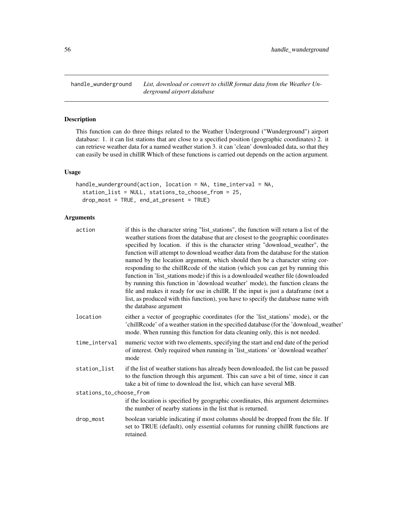handle\_wunderground *List, download or convert to chillR format data from the Weather Underground airport database*

# Description

This function can do three things related to the Weather Underground ("Wunderground") airport database: 1. it can list stations that are close to a specified position (geographic coordinates) 2. it can retrieve weather data for a named weather station 3. it can 'clean' downloaded data, so that they can easily be used in chillR Which of these functions is carried out depends on the action argument.

## Usage

```
handle_wunderground(action, location = NA, time_interval = NA,
  station_list = NULL, stations_to_choose_from = 25,
  drop_most = TRUE, end_at_present = TRUE)
```

| action                  | if this is the character string "list_stations", the function will return a list of the<br>weather stations from the database that are closest to the geographic coordinates<br>specified by location. if this is the character string "download_weather", the<br>function will attempt to download weather data from the database for the station<br>named by the location argument, which should then be a character string cor-<br>responding to the chillRcode of the station (which you can get by running this<br>function in 'list_stations mode) if this is a downloaded weather file (downloaded<br>by running this function in 'download weather' mode), the function cleans the<br>file and makes it ready for use in chill R. If the input is just a dataframe (not a<br>list, as produced with this function), you have to specify the database name with<br>the database argument |  |
|-------------------------|-------------------------------------------------------------------------------------------------------------------------------------------------------------------------------------------------------------------------------------------------------------------------------------------------------------------------------------------------------------------------------------------------------------------------------------------------------------------------------------------------------------------------------------------------------------------------------------------------------------------------------------------------------------------------------------------------------------------------------------------------------------------------------------------------------------------------------------------------------------------------------------------------|--|
| location                | either a vector of geographic coordinates (for the 'list_stations' mode), or the<br>'chillRcode' of a weather station in the specified database (for the 'download_weather'<br>mode. When running this function for data cleaning only, this is not needed.                                                                                                                                                                                                                                                                                                                                                                                                                                                                                                                                                                                                                                     |  |
| time_interval           | numeric vector with two elements, specifying the start and end date of the period<br>of interest. Only required when running in 'list_stations' or 'download weather'<br>mode                                                                                                                                                                                                                                                                                                                                                                                                                                                                                                                                                                                                                                                                                                                   |  |
| station_list            | if the list of weather stations has already been downloaded, the list can be passed<br>to the function through this argument. This can save a bit of time, since it can<br>take a bit of time to download the list, which can have several MB.                                                                                                                                                                                                                                                                                                                                                                                                                                                                                                                                                                                                                                                  |  |
| stations_to_choose_from |                                                                                                                                                                                                                                                                                                                                                                                                                                                                                                                                                                                                                                                                                                                                                                                                                                                                                                 |  |
|                         | if the location is specified by geographic coordinates, this argument determines<br>the number of nearby stations in the list that is returned.                                                                                                                                                                                                                                                                                                                                                                                                                                                                                                                                                                                                                                                                                                                                                 |  |
| drop_most               | boolean variable indicating if most columns should be dropped from the file. If<br>set to TRUE (default), only essential columns for running chillR functions are<br>retained.                                                                                                                                                                                                                                                                                                                                                                                                                                                                                                                                                                                                                                                                                                                  |  |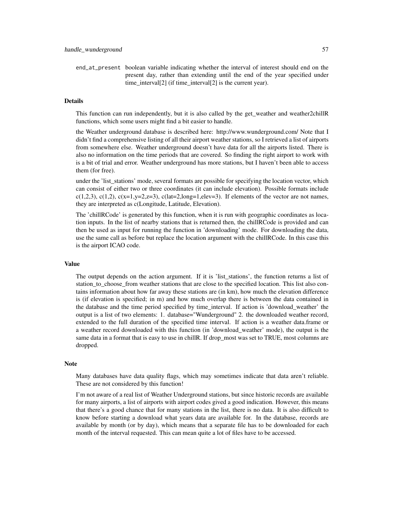end\_at\_present boolean variable indicating whether the interval of interest should end on the present day, rather than extending until the end of the year specified under time interval[2] (if time interval[2] is the current year).

#### Details

This function can run independently, but it is also called by the get\_weather and weather2chillR functions, which some users might find a bit easier to handle.

the Weather underground database is described here: http://www.wunderground.com/ Note that I didn't find a comprehensive listing of all their airport weather stations, so I retrieved a list of airports from somewhere else. Weather underground doesn't have data for all the airports listed. There is also no information on the time periods that are covered. So finding the right airport to work with is a bit of trial and error. Weather underground has more stations, but I haven't been able to access them (for free).

under the 'list\_stations' mode, several formats are possible for specifying the location vector, which can consist of either two or three coordinates (it can include elevation). Possible formats include c(1,2,3), c(1,2), c(x=1,y=2,z=3), c(lat=2,long=1,elev=3). If elements of the vector are not names, they are interpreted as c(Longitude, Latitude, Elevation).

The 'chillRCode' is generated by this function, when it is run with geographic coordinates as location inputs. In the list of nearby stations that is returned then, the chillRCode is provided and can then be used as input for running the function in 'downloading' mode. For downloading the data, use the same call as before but replace the location argument with the chillRCode. In this case this is the airport ICAO code.

#### Value

The output depends on the action argument. If it is 'list\_stations', the function returns a list of station\_to\_choose\_from weather stations that are close to the specified location. This list also contains information about how far away these stations are (in km), how much the elevation difference is (if elevation is specified; in m) and how much overlap there is between the data contained in the database and the time period specified by time\_interval. If action is 'download\_weather' the output is a list of two elements: 1. database="Wunderground" 2. the downloaded weather record, extended to the full duration of the specified time interval. If action is a weather data.frame or a weather record downloaded with this function (in 'download\_weather' mode), the output is the same data in a format that is easy to use in chillR. If drop\_most was set to TRUE, most columns are dropped.

#### **Note**

Many databases have data quality flags, which may sometimes indicate that data aren't reliable. These are not considered by this function!

I'm not aware of a real list of Weather Underground stations, but since historic records are available for many airports, a list of airports with airport codes gived a good indication. However, this means that there's a good chance that for many stations in the list, there is no data. It is also difficult to know before starting a download what years data are available for. In the database, records are available by month (or by day), which means that a separate file has to be downloaded for each month of the interval requested. This can mean quite a lot of files have to be accessed.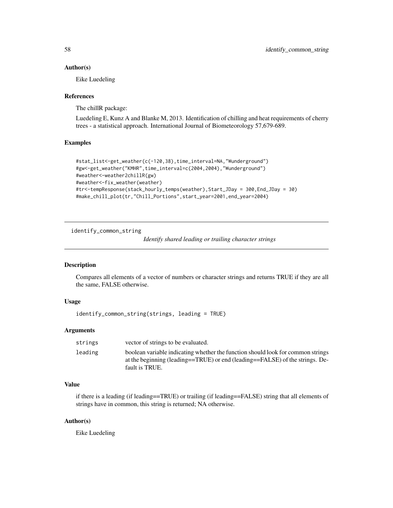#### Author(s)

Eike Luedeling

## References

The chillR package:

Luedeling E, Kunz A and Blanke M, 2013. Identification of chilling and heat requirements of cherry trees - a statistical approach. International Journal of Biometeorology 57,679-689.

#### Examples

```
#stat_list<-get_weather(c(-120,38),time_interval=NA,"Wunderground")
#gw<-get_weather("KMHR",time_interval=c(2004,2004),"Wunderground")
#weather<-weather2chillR(gw)
#weather<-fix_weather(weather)
#tr<-tempResponse(stack_hourly_temps(weather),Start_JDay = 300,End_JDay = 30)
#make_chill_plot(tr,"Chill_Portions",start_year=2001,end_year=2004)
```
identify\_common\_string

*Identify shared leading or trailing character strings*

# Description

Compares all elements of a vector of numbers or character strings and returns TRUE if they are all the same, FALSE otherwise.

## Usage

identify\_common\_string(strings, leading = TRUE)

## Arguments

| strings | vector of strings to be evaluated.                                                                                                                                                |
|---------|-----------------------------------------------------------------------------------------------------------------------------------------------------------------------------------|
| leading | boolean variable indicating whether the function should look for common strings<br>at the beginning (leading==TRUE) or end (leading==FALSE) of the strings. De-<br>fault is TRUE. |

# Value

if there is a leading (if leading==TRUE) or trailing (if leading==FALSE) string that all elements of strings have in common, this string is returned; NA otherwise.

#### Author(s)

Eike Luedeling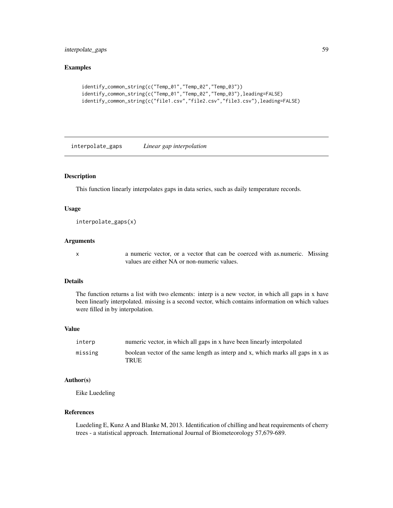# interpolate\_gaps 59

# Examples

```
identify_common_string(c("Temp_01","Temp_02","Temp_03"))
identify_common_string(c("Temp_01","Temp_02","Temp_03"),leading=FALSE)
identify_common_string(c("file1.csv","file2.csv","file3.csv"),leading=FALSE)
```
interpolate\_gaps *Linear gap interpolation*

# Description

This function linearly interpolates gaps in data series, such as daily temperature records.

# Usage

```
interpolate_gaps(x)
```
## Arguments

x a numeric vector, or a vector that can be coerced with as.numeric. Missing values are either NA or non-numeric values.

#### Details

The function returns a list with two elements: interp is a new vector, in which all gaps in x have been linearly interpolated. missing is a second vector, which contains information on which values were filled in by interpolation.

## Value

| interp  | numeric vector, in which all gaps in x have been linearly interpolated                  |
|---------|-----------------------------------------------------------------------------------------|
| missing | boolean vector of the same length as interp and x, which marks all gaps in x as<br>TRUE |

#### Author(s)

Eike Luedeling

# References

Luedeling E, Kunz A and Blanke M, 2013. Identification of chilling and heat requirements of cherry trees - a statistical approach. International Journal of Biometeorology 57,679-689.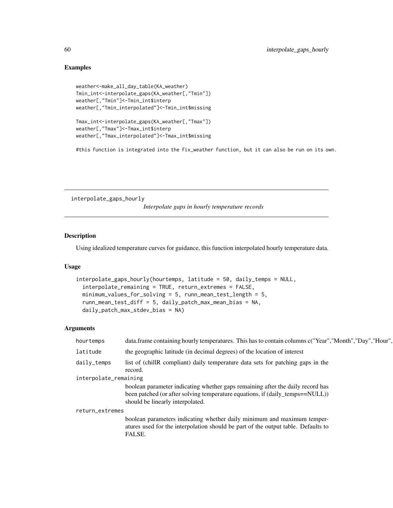## Examples

```
weather<-make_all_day_table(KA_weather)
Tmin_int<-interpolate_gaps(KA_weather[,"Tmin"])
weather[,"Tmin"]<-Tmin_int$interp
weather[,"Tmin_interpolated"]<-Tmin_int$missing
```

```
Tmax_int<-interpolate_gaps(KA_weather[,"Tmax"])
weather[,"Tmax"]<-Tmax_int$interp
weather[,"Tmax_interpolated"]<-Tmax_int$missing
```
#this function is integrated into the fix\_weather function, but it can also be run on its own.

interpolate\_gaps\_hourly

*Interpolate gaps in hourly temperature records*

## Description

Using idealized temperature curves for guidance, this function interpolated hourly temperature data.

## Usage

```
interpolate_gaps_hourly(hourtemps, latitude = 50, daily_temps = NULL,
  interpolate_remaining = TRUE, return_extremes = FALSE,
 minimum_values_for_solving = 5, runn_mean_test_length = 5,
  runn_mean_test_diff = 5, daily_patch_max_mean_bias = NA,
  daily_patch_max_stdev_bias = NA)
```

| data.frame containing hourly temperatures. This has to contain columns c("Year","Month","Day","Hour",                                                                  |  |  |
|------------------------------------------------------------------------------------------------------------------------------------------------------------------------|--|--|
| the geographic latitude (in decimal degrees) of the location of interest                                                                                               |  |  |
| list of (chill R compliant) daily temperature data sets for patching gaps in the<br>record.                                                                            |  |  |
| interpolate_remaining                                                                                                                                                  |  |  |
| boolean parameter indicating whether gaps remaining after the daily record has                                                                                         |  |  |
| been patched (or after solving temperature equations, if (daily_temps==NULL))<br>should be linearly interpolated.                                                      |  |  |
| return_extremes                                                                                                                                                        |  |  |
| boolean parameters indicating whether daily minimum and maximum temper-<br>atures used for the interpolation should be part of the output table. Defaults to<br>FALSE. |  |  |
|                                                                                                                                                                        |  |  |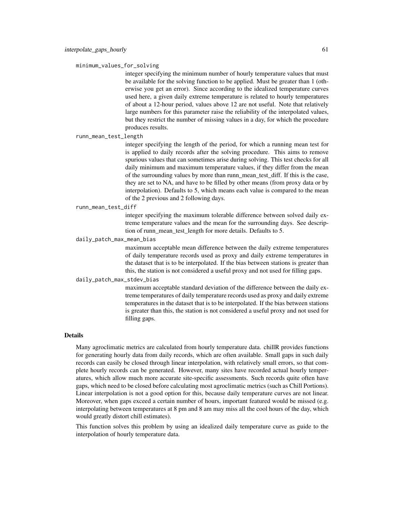minimum\_values\_for\_solving

integer specifying the minimum number of hourly temperature values that must be available for the solving function to be applied. Must be greater than 1 (otherwise you get an error). Since according to the idealized temperature curves used here, a given daily extreme temperature is related to hourly temperatures of about a 12-hour period, values above 12 are not useful. Note that relatively large numbers for this parameter raise the reliability of the interpolated values, but they restrict the number of missing values in a day, for which the procedure produces results.

runn\_mean\_test\_length

integer specifying the length of the period, for which a running mean test for is applied to daily records after the solving procedure. This aims to remove spurious values that can sometimes arise during solving. This test checks for all daily minimum and maximum temperature values, if they differ from the mean of the surrounding values by more than runn\_mean\_test\_diff. If this is the case, they are set to NA, and have to be filled by other means (from proxy data or by interpolation). Defaults to 5, which means each value is compared to the mean of the 2 previous and 2 following days.

runn\_mean\_test\_diff

integer specifying the maximum tolerable difference between solved daily extreme temperature values and the mean for the surrounding days. See description of runn\_mean\_test\_length for more details. Defaults to 5.

## daily\_patch\_max\_mean\_bias

maximum acceptable mean difference between the daily extreme temperatures of daily temperature records used as proxy and daily extreme temperatures in the dataset that is to be interpolated. If the bias between stations is greater than this, the station is not considered a useful proxy and not used for filling gaps.

# daily\_patch\_max\_stdev\_bias

maximum acceptable standard deviation of the difference between the daily extreme temperatures of daily temperature records used as proxy and daily extreme temperatures in the dataset that is to be interpolated. If the bias between stations is greater than this, the station is not considered a useful proxy and not used for filling gaps.

#### Details

Many agroclimatic metrics are calculated from hourly temperature data. chillR provides functions for generating hourly data from daily records, which are often available. Small gaps in such daily records can easily be closed through linear interpolation, with relatively small errors, so that complete hourly records can be generated. However, many sites have recorded actual hourly temperatures, which allow much more accurate site-specific assessments. Such records quite often have gaps, which need to be closed before calculating most agroclimatic metrics (such as Chill Portions). Linear interpolation is not a good option for this, because daily temperature curves are not linear. Moreover, when gaps exceed a certain number of hours, important featured would be missed (e.g. interpolating between temperatures at 8 pm and 8 am may miss all the cool hours of the day, which would greatly distort chill estimates).

This function solves this problem by using an idealized daily temperature curve as guide to the interpolation of hourly temperature data.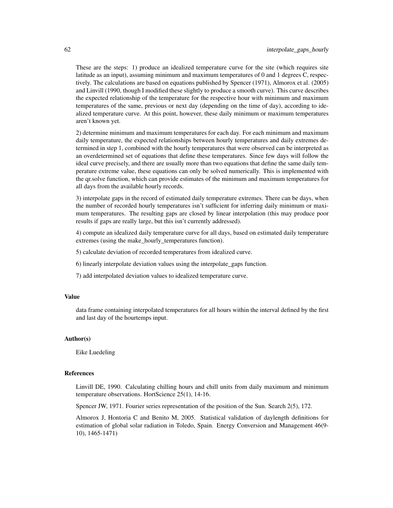These are the steps: 1) produce an idealized temperature curve for the site (which requires site latitude as an input), assuming minimum and maximum temperatures of 0 and 1 degrees C, respectively. The calculations are based on equations published by Spencer (1971), Almorox et al. (2005) and Linvill (1990, though I modified these slightly to produce a smooth curve). This curve describes the expected relationship of the temperature for the respective hour with minimum and maximum temperatures of the same, previous or next day (depending on the time of day), according to idealized temperature curve. At this point, however, these daily minimum or maximum temperatures aren't known yet.

2) determine minimum and maximum temperatures for each day. For each minimum and maximum daily temperature, the expected relationships between hourly temperatures and daily extremes determined in step 1, combined with the hourly temperatures that were observed can be interpreted as an overdetermined set of equations that define these temperatures. Since few days will follow the ideal curve precisely, and there are usually more than two equations that define the same daily temperature extreme value, these equations can only be solved numerically. This is implemented with the qr.solve function, which can provide estimates of the minimum and maximum temperatures for all days from the available hourly records.

3) interpolate gaps in the record of estimated daily temperature extremes. There can be days, when the number of recorded hourly temperatures isn't sufficient for inferring daily minimum or maximum temperatures. The resulting gaps are closed by linear interpolation (this may produce poor results if gaps are really large, but this isn't currently addressed).

4) compute an idealized daily temperature curve for all days, based on estimated daily temperature extremes (using the make\_hourly\_temperatures function).

- 5) calculate deviation of recorded temperatures from idealized curve.
- 6) linearly interpolate deviation values using the interpolate\_gaps function.
- 7) add interpolated deviation values to idealized temperature curve.

## Value

data frame containing interpolated temperatures for all hours within the interval defined by the first and last day of the hourtemps input.

# Author(s)

Eike Luedeling

#### References

Linvill DE, 1990. Calculating chilling hours and chill units from daily maximum and minimum temperature observations. HortScience 25(1), 14-16.

Spencer JW, 1971. Fourier series representation of the position of the Sun. Search 2(5), 172.

Almorox J, Hontoria C and Benito M, 2005. Statistical validation of daylength definitions for estimation of global solar radiation in Toledo, Spain. Energy Conversion and Management 46(9- 10), 1465-1471)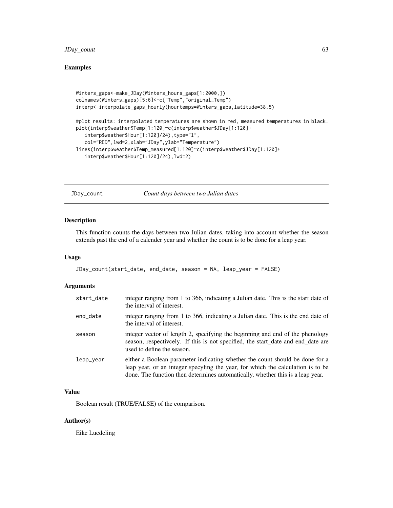# JDay\_count 63

# Examples

```
Winters_gaps<-make_JDay(Winters_hours_gaps[1:2000,])
colnames(Winters_gaps)[5:6]<-c("Temp","original_Temp")
interp<-interpolate_gaps_hourly(hourtemps=Winters_gaps,latitude=38.5)
#plot results: interpolated temperatures are shown in red, measured temperatures in black.
plot(interp$weather$Temp[1:120]~c(interp$weather$JDay[1:120]+
   interp$weather$Hour[1:120]/24),type="l",
   col="RED",lwd=2,xlab="JDay",ylab="Temperature")
lines(interp$weather$Temp_measured[1:120]~c(interp$weather$JDay[1:120]+
   interp$weather$Hour[1:120]/24),lwd=2)
```
JDay\_count *Count days between two Julian dates*

#### Description

This function counts the days between two Julian dates, taking into account whether the season extends past the end of a calender year and whether the count is to be done for a leap year.

## Usage

```
JDay_count(start_date, end_date, season = NA, leap_year = FALSE)
```
### Arguments

| start_date | integer ranging from 1 to 366, indicating a Julian date. This is the start date of<br>the interval of interest.                                                                                                                                   |
|------------|---------------------------------------------------------------------------------------------------------------------------------------------------------------------------------------------------------------------------------------------------|
| end_date   | integer ranging from 1 to 366, indicating a Julian date. This is the end date of<br>the interval of interest.                                                                                                                                     |
| season     | integer vector of length 2, specifying the beginning and end of the phenology<br>season, respectively. If this is not specified, the start_date and end_date are<br>used to define the season.                                                    |
| leap_year  | either a Boolean parameter indicating whether the count should be done for a<br>leap year, or an integer specyfing the year, for which the calculation is to be<br>done. The function then determines automatically, whether this is a leap year. |

## Value

Boolean result (TRUE/FALSE) of the comparison.

# Author(s)

Eike Luedeling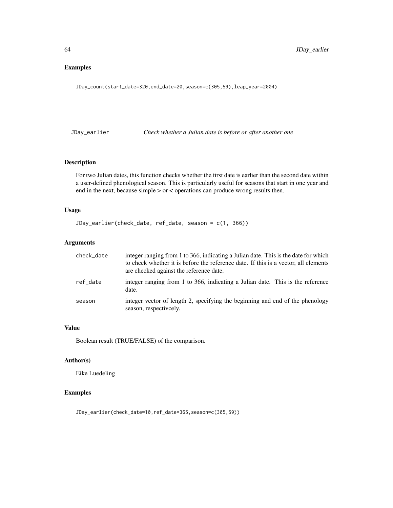# Examples

JDay\_count(start\_date=320,end\_date=20,season=c(305,59),leap\_year=2004)

JDay\_earlier *Check whether a Julian date is before or after another one*

# Description

For two Julian dates, this function checks whether the first date is earlier than the second date within a user-defined phenological season. This is particularly useful for seasons that start in one year and end in the next, because simple > or < operations can produce wrong results then.

# Usage

```
JDay_earlier(check_date, ref_date, season = c(1, 366))
```
# Arguments

| check_date | integer ranging from 1 to 366, indicating a Julian date. This is the date for which<br>to check whether it is before the reference date. If this is a vector, all elements<br>are checked against the reference date. |
|------------|-----------------------------------------------------------------------------------------------------------------------------------------------------------------------------------------------------------------------|
| ref date   | integer ranging from 1 to 366, indicating a Julian date. This is the reference<br>date.                                                                                                                               |
| season     | integer vector of length 2, specifying the beginning and end of the phenology<br>season, respectively.                                                                                                                |

# Value

Boolean result (TRUE/FALSE) of the comparison.

## Author(s)

Eike Luedeling

# Examples

JDay\_earlier(check\_date=10,ref\_date=365,season=c(305,59))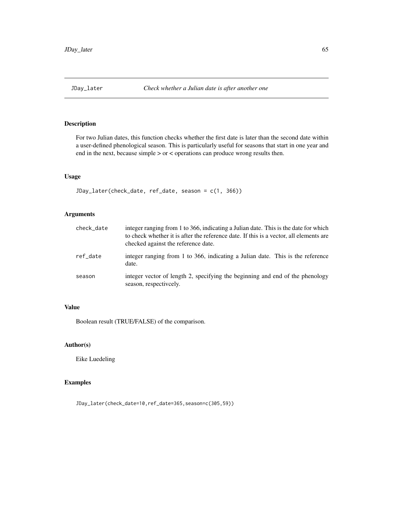# Description

For two Julian dates, this function checks whether the first date is later than the second date within a user-defined phenological season. This is particularly useful for seasons that start in one year and end in the next, because simple > or < operations can produce wrong results then.

# Usage

```
JDay_later(check_date, ref_date, season = c(1, 366))
```
# Arguments

| check_date | integer ranging from 1 to 366, indicating a Julian date. This is the date for which<br>to check whether it is after the reference date. If this is a vector, all elements are<br>checked against the reference date. |
|------------|----------------------------------------------------------------------------------------------------------------------------------------------------------------------------------------------------------------------|
| ref date   | integer ranging from 1 to 366, indicating a Julian date. This is the reference<br>date.                                                                                                                              |
| season     | integer vector of length 2, specifying the beginning and end of the phenology<br>season, respectively.                                                                                                               |

# Value

Boolean result (TRUE/FALSE) of the comparison.

# Author(s)

Eike Luedeling

# Examples

JDay\_later(check\_date=10,ref\_date=365,season=c(305,59))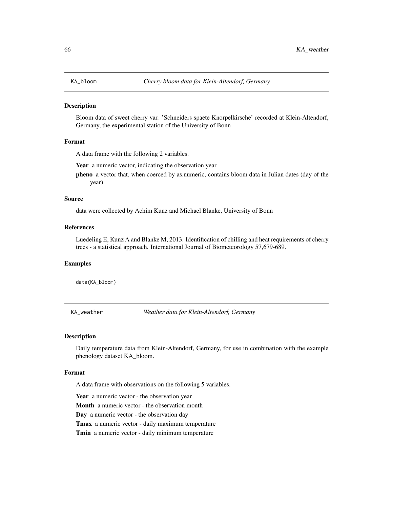## Description

Bloom data of sweet cherry var. 'Schneiders spaete Knorpelkirsche' recorded at Klein-Altendorf, Germany, the experimental station of the University of Bonn

#### Format

A data frame with the following 2 variables.

Year a numeric vector, indicating the observation year

pheno a vector that, when coerced by as.numeric, contains bloom data in Julian dates (day of the year)

#### Source

data were collected by Achim Kunz and Michael Blanke, University of Bonn

## References

Luedeling E, Kunz A and Blanke M, 2013. Identification of chilling and heat requirements of cherry trees - a statistical approach. International Journal of Biometeorology 57,679-689.

## Examples

data(KA\_bloom)

KA\_weather *Weather data for Klein-Altendorf, Germany*

#### **Description**

Daily temperature data from Klein-Altendorf, Germany, for use in combination with the example phenology dataset KA\_bloom.

#### Format

A data frame with observations on the following 5 variables.

Year a numeric vector - the observation year

Month a numeric vector - the observation month

Day a numeric vector - the observation day

Tmax a numeric vector - daily maximum temperature

Tmin a numeric vector - daily minimum temperature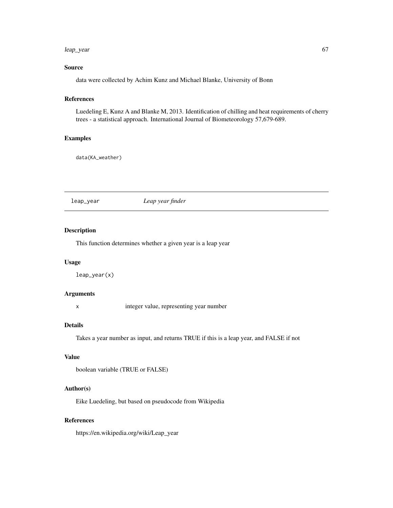#### leap\_year 67

# Source

data were collected by Achim Kunz and Michael Blanke, University of Bonn

# References

Luedeling E, Kunz A and Blanke M, 2013. Identification of chilling and heat requirements of cherry trees - a statistical approach. International Journal of Biometeorology 57,679-689.

## Examples

data(KA\_weather)

leap\_year *Leap year finder*

## Description

This function determines whether a given year is a leap year

# Usage

leap\_year(x)

## Arguments

x integer value, representing year number

#### Details

Takes a year number as input, and returns TRUE if this is a leap year, and FALSE if not

# Value

```
boolean variable (TRUE or FALSE)
```
## Author(s)

Eike Luedeling, but based on pseudocode from Wikipedia

## References

https://en.wikipedia.org/wiki/Leap\_year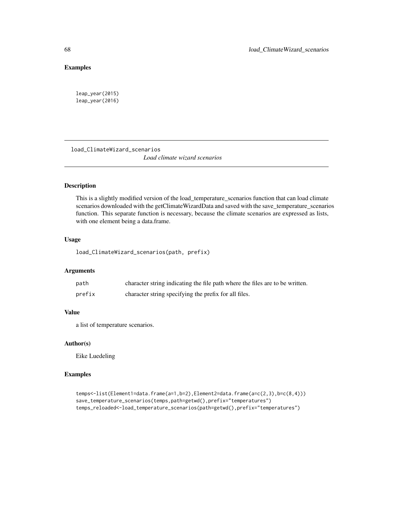# Examples

leap\_year(2015) leap\_year(2016)

load\_ClimateWizard\_scenarios *Load climate wizard scenarios*

# Description

This is a slightly modified version of the load\_temperature\_scenarios function that can load climate scenarios downloaded with the getClimateWizardData and saved with the save\_temperature\_scenarios function. This separate function is necessary, because the climate scenarios are expressed as lists, with one element being a data.frame.

#### Usage

load\_ClimateWizard\_scenarios(path, prefix)

## Arguments

| path   | character string indicating the file path where the files are to be written. |
|--------|------------------------------------------------------------------------------|
| prefix | character string specifying the prefix for all files.                        |

# Value

a list of temperature scenarios.

## Author(s)

Eike Luedeling

# Examples

```
temps<-list(Element1=data.frame(a=1,b=2),Element2=data.frame(a=c(2,3),b=c(8,4)))
save_temperature_scenarios(temps,path=getwd(),prefix="temperatures")
temps_reloaded<-load_temperature_scenarios(path=getwd(),prefix="temperatures")
```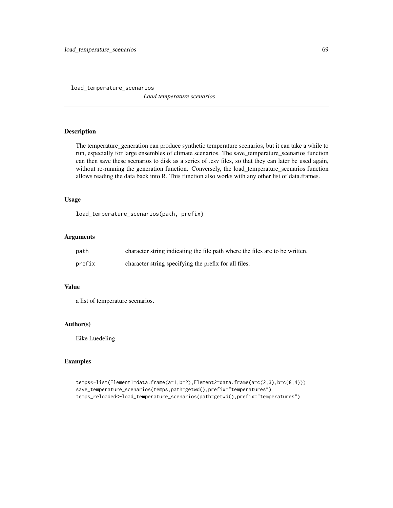load\_temperature\_scenarios *Load temperature scenarios*

## Description

The temperature\_generation can produce synthetic temperature scenarios, but it can take a while to run, especially for large ensembles of climate scenarios. The save\_temperature\_scenarios function can then save these scenarios to disk as a series of .csv files, so that they can later be used again, without re-running the generation function. Conversely, the load\_temperature\_scenarios function allows reading the data back into R. This function also works with any other list of data.frames.

#### Usage

load\_temperature\_scenarios(path, prefix)

## Arguments

| path   | character string indicating the file path where the files are to be written. |
|--------|------------------------------------------------------------------------------|
| prefix | character string specifying the prefix for all files.                        |

## Value

a list of temperature scenarios.

# Author(s)

Eike Luedeling

## Examples

```
temps<-list(Element1=data.frame(a=1,b=2),Element2=data.frame(a=c(2,3),b=c(8,4)))
save_temperature_scenarios(temps,path=getwd(),prefix="temperatures")
temps_reloaded<-load_temperature_scenarios(path=getwd(),prefix="temperatures")
```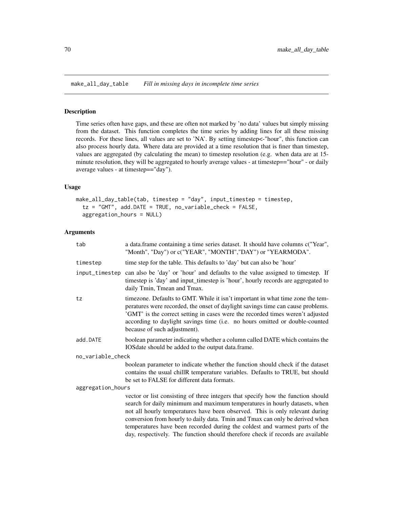make\_all\_day\_table *Fill in missing days in incomplete time series*

### Description

Time series often have gaps, and these are often not marked by 'no data' values but simply missing from the dataset. This function completes the time series by adding lines for all these missing records. For these lines, all values are set to 'NA'. By setting timestep<-"hour", this function can also process hourly data. Where data are provided at a time resolution that is finer than timestep, values are aggregated (by calculating the mean) to timestep resolution (e.g. when data are at 15 minute resolution, they will be aggregated to hourly average values - at timestep=="hour" - or daily average values - at timestep=="day").

# Usage

```
make_all_day_table(tab, timestep = "day", input_timestep = timestep,
  tz = "GMT", add.DATE = TRUE, no_variable_check = FALSE,
  aggregation_hours = NULL)
```

| tab               | a data.frame containing a time series dataset. It should have columns c("Year",<br>"Month", "Day") or c("YEAR", "MONTH","DAY") or "YEARMODA".                                                                                                                                                                                                                                                                 |  |
|-------------------|---------------------------------------------------------------------------------------------------------------------------------------------------------------------------------------------------------------------------------------------------------------------------------------------------------------------------------------------------------------------------------------------------------------|--|
| timestep          | time step for the table. This defaults to 'day' but can also be 'hour'                                                                                                                                                                                                                                                                                                                                        |  |
| input_timestep    | can also be 'day' or 'hour' and defaults to the value assigned to timestep. If<br>timestep is 'day' and input_timestep is 'hour', hourly records are aggregated to<br>daily Tmin, Tmean and Tmax.                                                                                                                                                                                                             |  |
| tz                | timezone. Defaults to GMT. While it isn't important in what time zone the tem-<br>peratures were recorded, the onset of daylight savings time can cause problems.<br>'GMT' is the correct setting in cases were the recorded times weren't adjusted<br>according to daylight savings time (i.e. no hours omitted or double-counted<br>because of such adjustment).                                            |  |
| add.DATE          | boolean parameter indicating whether a column called DATE which contains the<br>IOSdate should be added to the output data.frame.                                                                                                                                                                                                                                                                             |  |
| no_variable_check |                                                                                                                                                                                                                                                                                                                                                                                                               |  |
|                   | boolean parameter to indicate whether the function should check if the dataset<br>contains the usual chillR temperature variables. Defaults to TRUE, but should<br>be set to FALSE for different data formats.                                                                                                                                                                                                |  |
| aggregation_hours |                                                                                                                                                                                                                                                                                                                                                                                                               |  |
|                   | vector or list consisting of three integers that specify how the function should<br>search for daily minimum and maximum temperatures in hourly datasets, when<br>not all hourly temperatures have been observed. This is only relevant during<br>conversion from hourly to daily data. Tmin and Tmax can only be derived when<br>temperatures have been recorded during the coldest and warmest parts of the |  |
|                   | day, respectively. The function should therefore check if records are available                                                                                                                                                                                                                                                                                                                               |  |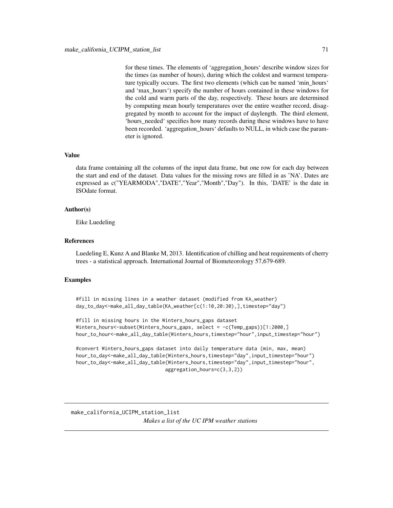for these times. The elements of 'aggregation\_hours' describe window sizes for the times (as number of hours), during which the coldest and warmest temperature typically occurs. The first two elements (which can be named 'min\_hours' and 'max\_hours') specify the number of hours contained in these windows for the cold and warm parts of the day, respectively. These hours are determined by computing mean hourly temperatures over the entire weather record, disaggregated by month to account for the impact of daylength. The third element, 'hours\_needed' specifies how many records during these windows have to have been recorded. 'aggregation\_hours' defaults to NULL, in which case the parameter is ignored.

# Value

data frame containing all the columns of the input data frame, but one row for each day between the start and end of the dataset. Data values for the missing rows are filled in as 'NA'. Dates are expressed as c("YEARMODA","DATE","Year","Month","Day"). In this, 'DATE' is the date in ISOdate format.

## Author(s)

Eike Luedeling

#### References

Luedeling E, Kunz A and Blanke M, 2013. Identification of chilling and heat requirements of cherry trees - a statistical approach. International Journal of Biometeorology 57,679-689.

## Examples

```
#fill in missing lines in a weather dataset (modified from KA_weather)
day_to_day<-make_all_day_table(KA_weather[c(1:10,20:30),],timestep="day")
```

```
#fill in missing hours in the Winters_hours_gaps dataset
Winters_hours<-subset(Winters_hours_gaps, select = -c(Temp_gaps))[1:2000,]
hour_to_hour<-make_all_day_table(Winters_hours,timestep="hour",input_timestep="hour")
```

```
#convert Winters_hours_gaps dataset into daily temperature data (min, max, mean)
hour_to_day<-make_all_day_table(Winters_hours,timestep="day",input_timestep="hour")
hour_to_day<-make_all_day_table(Winters_hours,timestep="day",input_timestep="hour",
                               aggregation_hours=c(3,3,2))
```
make\_california\_UCIPM\_station\_list *Makes a list of the UC IPM weather stations*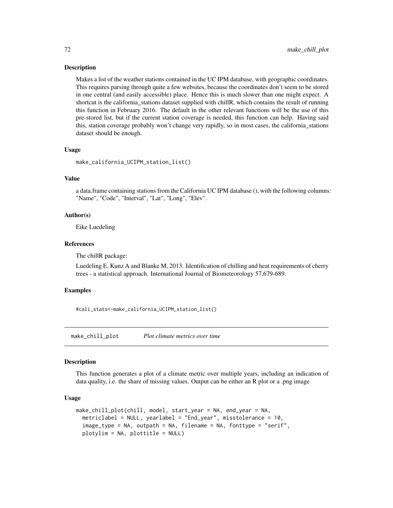#### Description

Makes a list of the weather stations contained in the UC IPM database, with geographic coordinates. This requires parsing through quite a few websites, because the coordinates don't seem to be stored in one central (and easily accessible) place. Hence this is much slower than one might expect. A shortcut is the california\_stations dataset supplied with chillR, which contains the result of running this function in February 2016. The default in the other relevant functions will be the use of this pre-stored list, but if the current station coverage is needed, this function can help. Having said this, station coverage probably won't change very rapidly, so in most cases, the california\_stations dataset should be enough.

#### Usage

```
make_california_UCIPM_station_list()
```
## Value

a data.frame containing stations from the California UC IPM database (), with the following columns: "Name", "Code", "Interval", "Lat", "Long", "Elev".

## Author(s)

Eike Luedeling

#### References

The chillR package:

Luedeling E, Kunz A and Blanke M, 2013. Identification of chilling and heat requirements of cherry trees - a statistical approach. International Journal of Biometeorology 57,679-689.

## Examples

#cali\_stats<-make\_california\_UCIPM\_station\_list()

make\_chill\_plot *Plot climate metrics over time*

#### **Description**

This function generates a plot of a climate metric over multiple years, including an indication of data quality, i.e. the share of missing values. Output can be either an R plot or a .png image

#### Usage

```
make_chill_plot(chill, model, start_year = NA, end_year = NA,
 metriclabel = NULL, yearlabel = "End_year", misstolerance = 10,
  image_type = NA, outpath = NA, filename = NA, fonttype = "serif",
 plotylim = NA, plottitle = NULL)
```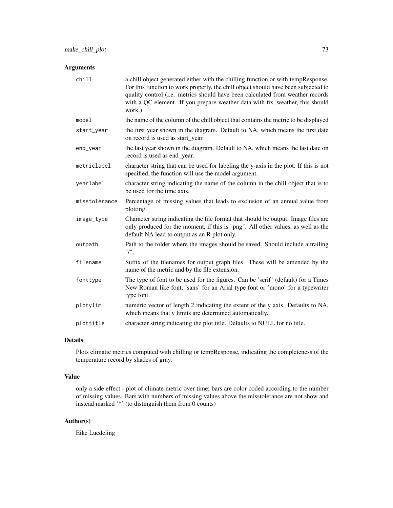# Arguments

| chill         | a chill object generated either with the chilling function or with tempResponse.<br>For this function to work properly, the chill object should have been subjected to<br>quality control (i.e. metrics should have been calculated from weather records<br>with a QC element. If you prepare weather data with fix_weather, this should<br>work.) |
|---------------|----------------------------------------------------------------------------------------------------------------------------------------------------------------------------------------------------------------------------------------------------------------------------------------------------------------------------------------------------|
| model         | the name of the column of the chill object that contains the metric to be displayed                                                                                                                                                                                                                                                                |
| start_year    | the first year shown in the diagram. Default to NA, which means the first date<br>on record is used as start_year.                                                                                                                                                                                                                                 |
| end_year      | the last year shown in the diagram. Default to NA, which means the last date on<br>record is used as end_year.                                                                                                                                                                                                                                     |
| metriclabel   | character string that can be used for labeling the y-axis in the plot. If this is not<br>specified, the function will use the model argument.                                                                                                                                                                                                      |
| yearlabel     | character string indicating the name of the column in the chill object that is to<br>be used for the time axis.                                                                                                                                                                                                                                    |
| misstolerance | Percentage of missing values that leads to exclusion of an annual value from<br>plotting.                                                                                                                                                                                                                                                          |
| image_type    | Character string indicating the file format that should be output. Image files are<br>only produced for the moment, if this is "png". All other values, as well as the<br>default NA lead to output as an R plot only.                                                                                                                             |
| outpath       | Path to the folder where the images should be saved. Should include a trailing<br>"I".                                                                                                                                                                                                                                                             |
| filename      | Suffix of the filenames for output graph files. These will be amended by the<br>name of the metric and by the file extension.                                                                                                                                                                                                                      |
| fonttype      | The type of font to be used for the figures. Can be 'serif' (default) for a Times<br>New Roman like font, 'sans' for an Arial type font or 'mono' for a typewriter<br>type font.                                                                                                                                                                   |
| plotylim      | numeric vector of length 2 indicating the extent of the y axis. Defaults to NA,<br>which means that y limits are determined automatically.                                                                                                                                                                                                         |
| plottitle     | character string indicating the plot title. Defaults to NULL for no title.                                                                                                                                                                                                                                                                         |

# Details

Plots climatic metrics computed with chilling or tempResponse, indicating the completeness of the temperature record by shades of gray.

## Value

only a side effect - plot of climate metric over time; bars are color coded according to the number of missing values. Bars with numbers of missing values above the misstolerance are not show and instead marked '\*' (to distinguish them from 0 counts)

# Author(s)

Eike Luedeling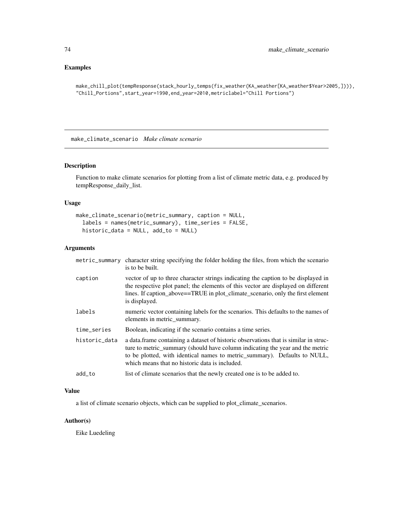# Examples

```
make_chill_plot(tempResponse(stack_hourly_temps(fix_weather(KA_weather[KA_weather$Year>2005,]))),
"Chill_Portions",start_year=1990,end_year=2010,metriclabel="Chill Portions")
```
make\_climate\_scenario *Make climate scenario*

# Description

Function to make climate scenarios for plotting from a list of climate metric data, e.g. produced by tempResponse\_daily\_list.

## Usage

```
make_climate_scenario(metric_summary, caption = NULL,
  labels = names(metric_summary), time_series = FALSE,
 historic_data = NULL, add_to = NULL)
```
# Arguments

| metric_summary | character string specifying the folder holding the files, from which the scenario<br>is to be built.                                                                                                                                                                                                  |
|----------------|-------------------------------------------------------------------------------------------------------------------------------------------------------------------------------------------------------------------------------------------------------------------------------------------------------|
| caption        | vector of up to three character strings indicating the caption to be displayed in<br>the respective plot panel; the elements of this vector are displayed on different<br>lines. If caption_above==TRUE in plot_climate_scenario, only the first element<br>is displayed.                             |
| labels         | numeric vector containing labels for the scenarios. This defaults to the names of<br>elements in metric_summary.                                                                                                                                                                                      |
| time_series    | Boolean, indicating if the scenario contains a time series.                                                                                                                                                                                                                                           |
| historic_data  | a data. frame containing a dataset of historic observations that is similar in struc-<br>ture to metric_summary (should have column indicating the year and the metric<br>to be plotted, with identical names to metric_summary). Defaults to NULL,<br>which means that no historic data is included. |
| add_to         | list of climate scenarios that the newly created one is to be added to.                                                                                                                                                                                                                               |
|                |                                                                                                                                                                                                                                                                                                       |

# Value

a list of climate scenario objects, which can be supplied to plot\_climate\_scenarios.

## Author(s)

Eike Luedeling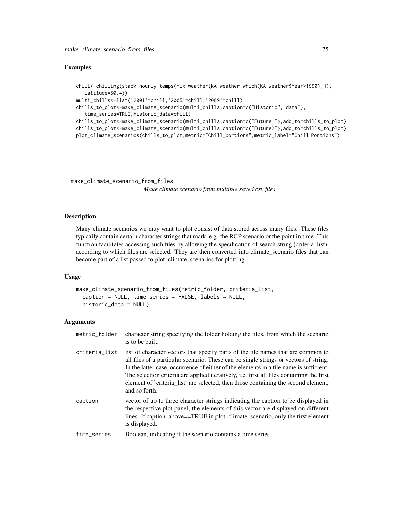## Examples

```
chill<-chilling(stack_hourly_temps(fix_weather(KA_weather[which(KA_weather$Year>1990),]),
   latitude=50.4))
multi_chills<-list('2001'=chill,'2005'=chill,'2009'=chill)
chills_to_plot<-make_climate_scenario(multi_chills,caption=c("Historic","data"),
   time_series=TRUE,historic_data=chill)
chills_to_plot<-make_climate_scenario(multi_chills,caption=c("Future1"),add_to=chills_to_plot)
chills_to_plot<-make_climate_scenario(multi_chills,caption=c("Future2"),add_to=chills_to_plot)
plot_climate_scenarios(chills_to_plot,metric="Chill_portions",metric_label="Chill Portions")
```
make\_climate\_scenario\_from\_files

*Make climate scenario from multiple saved csv files*

#### Description

Many climate scenarios we may want to plot consist of data stored across many files. These files typically contain certain character strings that mark, e.g. the RCP scenario or the point in time. This function facilitates accessing such files by allowing the specification of search string (criteria\_list), according to which files are selected. They are then converted into climate scenario files that can become part of a list passed to plot\_climate\_scenarios for plotting.

#### Usage

```
make_climate_scenario_from_files(metric_folder, criteria_list,
  caption = NULL, time_series = FALSE, labels = NULL,
 historic_data = NULL)
```

| metric_folder | character string specifying the folder holding the files, from which the scenario<br>is to be built.                                                                                                                                                                                                                                                                                                                                                                     |
|---------------|--------------------------------------------------------------------------------------------------------------------------------------------------------------------------------------------------------------------------------------------------------------------------------------------------------------------------------------------------------------------------------------------------------------------------------------------------------------------------|
| criteria_list | list of character vectors that specify parts of the file names that are common to<br>all files of a particular scenario. These can be single strings or vectors of string.<br>In the latter case, occurrence of either of the elements in a file name is sufficient.<br>The selection criteria are applied iteratively, i.e. first all files containing the first<br>element of 'criteria list' are selected, then those containing the second element,<br>and so forth. |
| caption       | vector of up to three character strings indicating the caption to be displayed in<br>the respective plot panel; the elements of this vector are displayed on different<br>lines. If caption_above==TRUE in plot_climate_scenario, only the first element<br>is displayed.                                                                                                                                                                                                |
| time_series   | Boolean, indicating if the scenario contains a time series.                                                                                                                                                                                                                                                                                                                                                                                                              |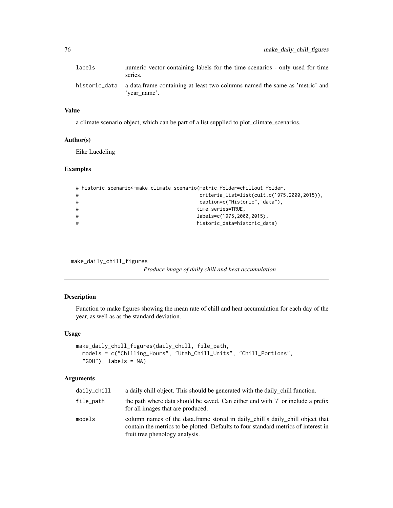# Value

a climate scenario object, which can be part of a list supplied to plot\_climate\_scenarios.

## Author(s)

Eike Luedeling

#### Examples

```
# historic_scenario<-make_climate_scenario(metric_folder=chillout_folder,
# criteria_list=list(cult,c(1975,2000,2015)),
# caption=c("Historic","data"),
# time_series=TRUE,
# labels=c(1975,2000,2015),
# historic_data=historic_data)
```
make\_daily\_chill\_figures

*Produce image of daily chill and heat accumulation*

# Description

Function to make figures showing the mean rate of chill and heat accumulation for each day of the year, as well as as the standard deviation.

#### Usage

```
make_daily_chill_figures(daily_chill, file_path,
 models = c("Chilling_Hours", "Utah_Chill_Units", "Chill_Portions",
  "GDH"), labels = NA)
```

| daily_chill | a daily chill object. This should be generated with the daily chill function.                                                                                                                           |
|-------------|---------------------------------------------------------------------------------------------------------------------------------------------------------------------------------------------------------|
| file_path   | the path where data should be saved. Can either end with '/' or include a prefix<br>for all images that are produced.                                                                                   |
| models      | column names of the data.frame stored in daily_chill's daily_chill object that<br>contain the metrics to be plotted. Defaults to four standard metrics of interest in<br>fruit tree phenology analysis. |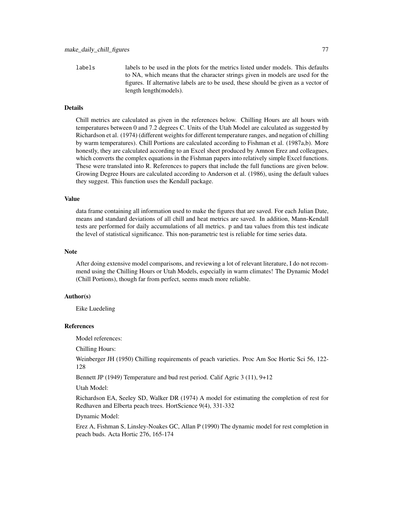labels labels to be used in the plots for the metrics listed under models. This defaults to NA, which means that the character strings given in models are used for the figures. If alternative labels are to be used, these should be given as a vector of length length(models).

#### Details

Chill metrics are calculated as given in the references below. Chilling Hours are all hours with temperatures between 0 and 7.2 degrees C. Units of the Utah Model are calculated as suggested by Richardson et al. (1974) (different weights for different temperature ranges, and negation of chilling by warm temperatures). Chill Portions are calculated according to Fishman et al. (1987a,b). More honestly, they are calculated according to an Excel sheet produced by Amnon Erez and colleagues, which converts the complex equations in the Fishman papers into relatively simple Excel functions. These were translated into R. References to papers that include the full functions are given below. Growing Degree Hours are calculated according to Anderson et al. (1986), using the default values they suggest. This function uses the Kendall package.

#### Value

data frame containing all information used to make the figures that are saved. For each Julian Date, means and standard deviations of all chill and heat metrics are saved. In addition, Mann-Kendall tests are performed for daily accumulations of all metrics. p and tau values from this test indicate the level of statistical significance. This non-parametric test is reliable for time series data.

#### **Note**

After doing extensive model comparisons, and reviewing a lot of relevant literature, I do not recommend using the Chilling Hours or Utah Models, especially in warm climates! The Dynamic Model (Chill Portions), though far from perfect, seems much more reliable.

## Author(s)

Eike Luedeling

#### References

Model references:

Chilling Hours:

Weinberger JH (1950) Chilling requirements of peach varieties. Proc Am Soc Hortic Sci 56, 122- 128

Bennett JP (1949) Temperature and bud rest period. Calif Agric 3 (11), 9+12

Utah Model:

Richardson EA, Seeley SD, Walker DR (1974) A model for estimating the completion of rest for Redhaven and Elberta peach trees. HortScience 9(4), 331-332

Dynamic Model:

Erez A, Fishman S, Linsley-Noakes GC, Allan P (1990) The dynamic model for rest completion in peach buds. Acta Hortic 276, 165-174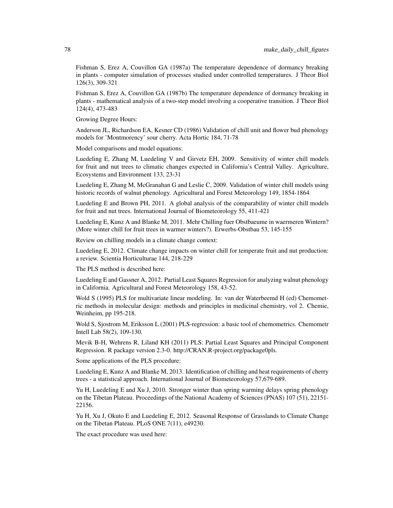Fishman S, Erez A, Couvillon GA (1987a) The temperature dependence of dormancy breaking in plants - computer simulation of processes studied under controlled temperatures. J Theor Biol 126(3), 309-321

Fishman S, Erez A, Couvillon GA (1987b) The temperature dependence of dormancy breaking in plants - mathematical analysis of a two-step model involving a cooperative transition. J Theor Biol 124(4), 473-483

Growing Degree Hours:

Anderson JL, Richardson EA, Kesner CD (1986) Validation of chill unit and flower bud phenology models for 'Montmorency' sour cherry. Acta Hortic 184, 71-78

Model comparisons and model equations:

Luedeling E, Zhang M, Luedeling V and Girvetz EH, 2009. Sensitivity of winter chill models for fruit and nut trees to climatic changes expected in California's Central Valley. Agriculture, Ecosystems and Environment 133, 23-31

Luedeling E, Zhang M, McGranahan G and Leslie C, 2009. Validation of winter chill models using historic records of walnut phenology. Agricultural and Forest Meteorology 149, 1854-1864

Luedeling E and Brown PH, 2011. A global analysis of the comparability of winter chill models for fruit and nut trees. International Journal of Biometeorology 55, 411-421

Luedeling E, Kunz A and Blanke M, 2011. Mehr Chilling fuer Obstbaeume in waermeren Wintern? (More winter chill for fruit trees in warmer winters?). Erwerbs-Obstbau 53, 145-155

Review on chilling models in a climate change context:

Luedeling E, 2012. Climate change impacts on winter chill for temperate fruit and nut production: a review. Scientia Horticulturae 144, 218-229

The PLS method is described here:

Luedeling E and Gassner A, 2012. Partial Least Squares Regression for analyzing walnut phenology in California. Agricultural and Forest Meteorology 158, 43-52.

Wold S (1995) PLS for multivariate linear modeling. In: van der Waterbeemd H (ed) Chemometric methods in molecular design: methods and principles in medicinal chemistry, vol 2. Chemie, Weinheim, pp 195-218.

Wold S, Sjostrom M, Eriksson L (2001) PLS-regression: a basic tool of chemometrics. Chemometr Intell Lab 58(2), 109-130.

Mevik B-H, Wehrens R, Liland KH (2011) PLS: Partial Least Squares and Principal Component Regression. R package version 2.3-0. http://CRAN.R-project.org/package0pls.

Some applications of the PLS procedure:

Luedeling E, Kunz A and Blanke M, 2013. Identification of chilling and heat requirements of cherry trees - a statistical approach. International Journal of Biometeorology 57,679-689.

Yu H, Luedeling E and Xu J, 2010. Stronger winter than spring warming delays spring phenology on the Tibetan Plateau. Proceedings of the National Academy of Sciences (PNAS) 107 (51), 22151- 22156.

Yu H, Xu J, Okuto E and Luedeling E, 2012. Seasonal Response of Grasslands to Climate Change on the Tibetan Plateau. PLoS ONE 7(11), e49230.

The exact procedure was used here: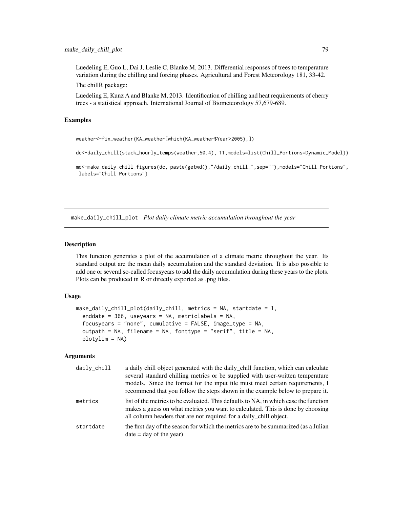Luedeling E, Guo L, Dai J, Leslie C, Blanke M, 2013. Differential responses of trees to temperature variation during the chilling and forcing phases. Agricultural and Forest Meteorology 181, 33-42.

The chillR package:

Luedeling E, Kunz A and Blanke M, 2013. Identification of chilling and heat requirements of cherry trees - a statistical approach. International Journal of Biometeorology 57,679-689.

## Examples

weather<-fix\_weather(KA\_weather[which(KA\_weather\$Year>2005),])

dc<-daily\_chill(stack\_hourly\_temps(weather,50.4), 11,models=list(Chill\_Portions=Dynamic\_Model))

md<-make\_daily\_chill\_figures(dc, paste(getwd(),"/daily\_chill\_",sep=""),models="Chill\_Portions", labels="Chill Portions")

make\_daily\_chill\_plot *Plot daily climate metric accumulation throughout the year*

## **Description**

This function generates a plot of the accumulation of a climate metric throughout the year. Its standard output are the mean daily accumulation and the standard deviation. It is also possible to add one or several so-called focusyears to add the daily accumulation during these years to the plots. Plots can be produced in R or directly exported as .png files.

## Usage

```
make_daily_chill_plot(daily_chill, metrics = NA, startdate = 1,
  enddate = 366, useyears = NA, metriclabels = NA,
  focusyears = "none", cumulative = FALSE, image_type = NA,
  outpath = NA, filename = NA, fonttype = "serif", title = NA,
 plotylim = NA)
```

| daily_chill | a daily chill object generated with the daily chill function, which can calculate<br>several standard chilling metrics or be supplied with user-written temperature<br>models. Since the format for the input file must meet certain requirements, I<br>recommend that you follow the steps shown in the example below to prepare it. |
|-------------|---------------------------------------------------------------------------------------------------------------------------------------------------------------------------------------------------------------------------------------------------------------------------------------------------------------------------------------|
| metrics     | list of the metrics to be evaluated. This defaults to NA, in which case the function<br>makes a guess on what metrics you want to calculated. This is done by choosing<br>all column headers that are not required for a daily chill object.                                                                                          |
| startdate   | the first day of the season for which the metrics are to be summarized (as a Julian<br>$date = day of the year)$                                                                                                                                                                                                                      |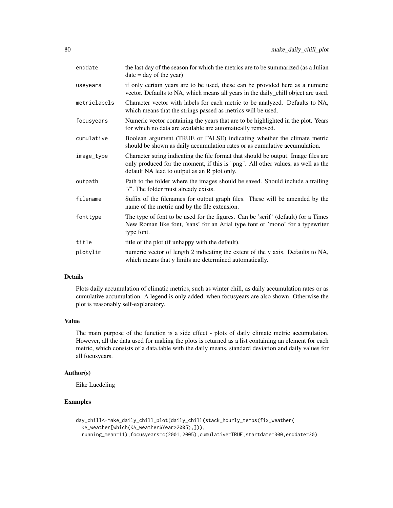| enddate      | the last day of the season for which the metrics are to be summarized (as a Julian<br>$date = day of the year)$                                                                                                        |
|--------------|------------------------------------------------------------------------------------------------------------------------------------------------------------------------------------------------------------------------|
| useyears     | if only certain years are to be used, these can be provided here as a numeric<br>vector. Defaults to NA, which means all years in the daily_chill object are used.                                                     |
| metriclabels | Character vector with labels for each metric to be analyzed. Defaults to NA,<br>which means that the strings passed as metrics will be used.                                                                           |
| focusyears   | Numeric vector containing the years that are to be highlighted in the plot. Years<br>for which no data are available are automatically removed.                                                                        |
| cumulative   | Boolean argument (TRUE or FALSE) indicating whether the climate metric<br>should be shown as daily accumulation rates or as cumulative accumulation.                                                                   |
| image_type   | Character string indicating the file format that should be output. Image files are<br>only produced for the moment, if this is "png". All other values, as well as the<br>default NA lead to output as an R plot only. |
| outpath      | Path to the folder where the images should be saved. Should include a trailing<br>"/". The folder must already exists.                                                                                                 |
| filename     | Suffix of the filenames for output graph files. These will be amended by the<br>name of the metric and by the file extension.                                                                                          |
| fonttype     | The type of font to be used for the figures. Can be 'serif' (default) for a Times<br>New Roman like font, 'sans' for an Arial type font or 'mono' for a typewriter<br>type font.                                       |
| title        | title of the plot (if unhappy with the default).                                                                                                                                                                       |
| plotylim     | numeric vector of length 2 indicating the extent of the y axis. Defaults to NA,<br>which means that y limits are determined automatically.                                                                             |
|              |                                                                                                                                                                                                                        |

## Details

Plots daily accumulation of climatic metrics, such as winter chill, as daily accumulation rates or as cumulative accumulation. A legend is only added, when focusyears are also shown. Otherwise the plot is reasonably self-explanatory.

## Value

The main purpose of the function is a side effect - plots of daily climate metric accumulation. However, all the data used for making the plots is returned as a list containing an element for each metric, which consists of a data.table with the daily means, standard deviation and daily values for all focusyears.

#### Author(s)

Eike Luedeling

# Examples

```
day_chill<-make_daily_chill_plot(daily_chill(stack_hourly_temps(fix_weather(
  KA_weather[which(KA_weather$Year>2005),])),
  running_mean=11),focusyears=c(2001,2005),cumulative=TRUE,startdate=300,enddate=30)
```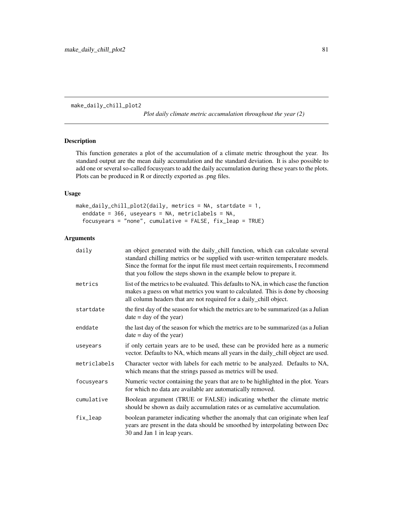make\_daily\_chill\_plot2

*Plot daily climate metric accumulation throughout the year (2)*

# Description

This function generates a plot of the accumulation of a climate metric throughout the year. Its standard output are the mean daily accumulation and the standard deviation. It is also possible to add one or several so-called focusyears to add the daily accumulation during these years to the plots. Plots can be produced in R or directly exported as .png files.

# Usage

```
make_daily_chill_plot2(daily, metrics = NA, startdate = 1,
  enddate = 366, useyears = NA, metriclabels = NA,
  focusyears = "none", cumulative = FALSE, fix_leap = TRUE)
```

| daily        | an object generated with the daily_chill function, which can calculate several<br>standard chilling metrics or be supplied with user-written temperature models.<br>Since the format for the input file must meet certain requirements, I recommend<br>that you follow the steps shown in the example below to prepare it. |
|--------------|----------------------------------------------------------------------------------------------------------------------------------------------------------------------------------------------------------------------------------------------------------------------------------------------------------------------------|
| metrics      | list of the metrics to be evaluated. This defaults to NA, in which case the function<br>makes a guess on what metrics you want to calculated. This is done by choosing<br>all column headers that are not required for a daily_chill object.                                                                               |
| startdate    | the first day of the season for which the metrics are to be summarized (as a Julian<br>$date = day of the year)$                                                                                                                                                                                                           |
| enddate      | the last day of the season for which the metrics are to be summarized (as a Julian<br>$date = day of the year)$                                                                                                                                                                                                            |
| useyears     | if only certain years are to be used, these can be provided here as a numeric<br>vector. Defaults to NA, which means all years in the daily_chill object are used.                                                                                                                                                         |
| metriclabels | Character vector with labels for each metric to be analyzed. Defaults to NA,<br>which means that the strings passed as metrics will be used.                                                                                                                                                                               |
| focusyears   | Numeric vector containing the years that are to be highlighted in the plot. Years<br>for which no data are available are automatically removed.                                                                                                                                                                            |
| cumulative   | Boolean argument (TRUE or FALSE) indicating whether the climate metric<br>should be shown as daily accumulation rates or as cumulative accumulation.                                                                                                                                                                       |
| fix_leap     | boolean parameter indicating whether the anomaly that can originate when leaf<br>years are present in the data should be smoothed by interpolating between Dec<br>30 and Jan 1 in leap years.                                                                                                                              |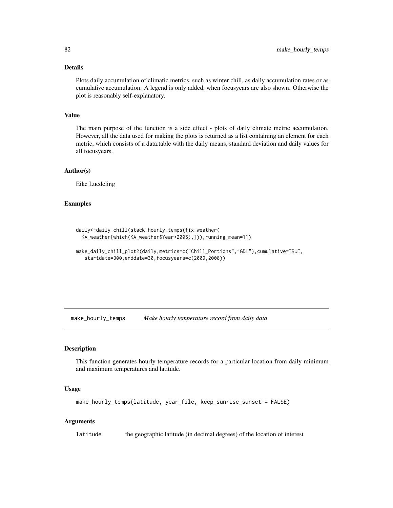## Details

Plots daily accumulation of climatic metrics, such as winter chill, as daily accumulation rates or as cumulative accumulation. A legend is only added, when focusyears are also shown. Otherwise the plot is reasonably self-explanatory.

#### Value

The main purpose of the function is a side effect - plots of daily climate metric accumulation. However, all the data used for making the plots is returned as a list containing an element for each metric, which consists of a data.table with the daily means, standard deviation and daily values for all focusyears.

#### Author(s)

Eike Luedeling

## Examples

```
daily<-daily_chill(stack_hourly_temps(fix_weather(
 KA_weather[which(KA_weather$Year>2005),])),running_mean=11)
```

```
make_daily_chill_plot2(daily,metrics=c("Chill_Portions","GDH"),cumulative=TRUE,
  startdate=300,enddate=30,focusyears=c(2009,2008))
```
make\_hourly\_temps *Make hourly temperature record from daily data*

## **Description**

This function generates hourly temperature records for a particular location from daily minimum and maximum temperatures and latitude.

#### Usage

```
make_hourly_temps(latitude, year_file, keep_sunrise_sunset = FALSE)
```
### Arguments

latitude the geographic latitude (in decimal degrees) of the location of interest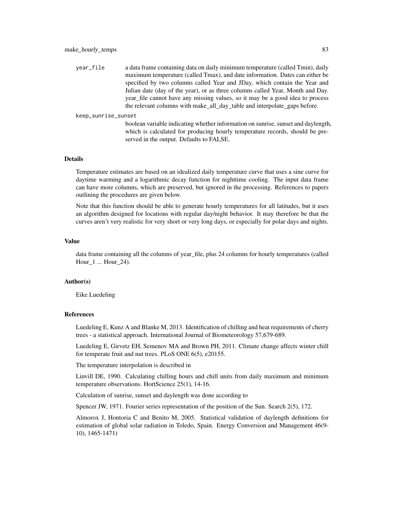year\_file a data frame containing data on daily minimum temperature (called Tmin), daily maximum temperature (called Tmax), and date information. Dates can either be specified by two columns called Year and JDay, which contain the Year and Julian date (day of the year), or as three columns called Year, Month and Day. year\_file cannot have any missing values, so it may be a good idea to process the relevant columns with make\_all\_day\_table and interpolate\_gaps before.

keep\_sunrise\_sunset

boolean variable indicating whether information on sunrise, sunset and daylength, which is calculated for producing hourly temperature records, should be preserved in the output. Defaults to FALSE.

#### Details

Temperature estimates are based on an idealized daily temperature curve that uses a sine curve for daytime warming and a logarithmic decay function for nighttime cooling. The input data frame can have more columns, which are preserved, but ignored in the processing. References to papers outlining the procedures are given below.

Note that this function should be able to generate hourly temperatures for all latitudes, but it uses an algorithm designed for locations with regular day/night behavior. It may therefore be that the curves aren't very realistic for very short or very long days, or especially for polar days and nights.

#### Value

data frame containing all the columns of year\_file, plus 24 columns for hourly temperatures (called Hour\_1 ... Hour\_24).

# Author(s)

Eike Luedeling

#### References

Luedeling E, Kunz A and Blanke M, 2013. Identification of chilling and heat requirements of cherry trees - a statistical approach. International Journal of Biometeorology 57,679-689.

Luedeling E, Girvetz EH, Semenov MA and Brown PH, 2011. Climate change affects winter chill for temperate fruit and nut trees. PLoS ONE 6(5), e20155.

The temperature interpolation is described in

Linvill DE, 1990. Calculating chilling hours and chill units from daily maximum and minimum temperature observations. HortScience 25(1), 14-16.

Calculation of sunrise, sunset and daylength was done according to

Spencer JW, 1971. Fourier series representation of the position of the Sun. Search 2(5), 172.

Almorox J, Hontoria C and Benito M, 2005. Statistical validation of daylength definitions for estimation of global solar radiation in Toledo, Spain. Energy Conversion and Management 46(9- 10), 1465-1471)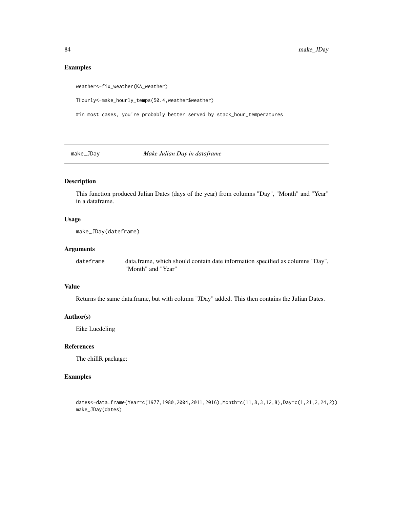# Examples

weather<-fix\_weather(KA\_weather)

THourly<-make\_hourly\_temps(50.4,weather\$weather)

#in most cases, you're probably better served by stack\_hour\_temperatures

make\_JDay *Make Julian Day in dataframe*

# Description

This function produced Julian Dates (days of the year) from columns "Day", "Month" and "Year" in a dataframe.

# Usage

```
make_JDay(dateframe)
```
## Arguments

dateframe data.frame, which should contain date information specified as columns "Day", "Month" and "Year"

## Value

Returns the same data.frame, but with column "JDay" added. This then contains the Julian Dates.

## Author(s)

Eike Luedeling

## References

The chillR package:

## Examples

dates<-data.frame(Year=c(1977,1980,2004,2011,2016),Month=c(11,8,3,12,8),Day=c(1,21,2,24,2)) make\_JDay(dates)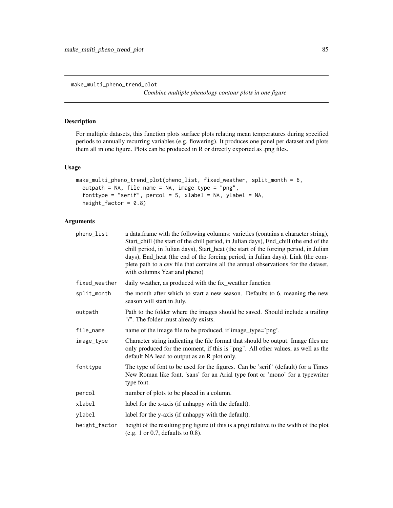make\_multi\_pheno\_trend\_plot

*Combine multiple phenology contour plots in one figure*

# Description

For multiple datasets, this function plots surface plots relating mean temperatures during specified periods to annually recurring variables (e.g. flowering). It produces one panel per dataset and plots them all in one figure. Plots can be produced in R or directly exported as .png files.

#### Usage

```
make_multi_pheno_trend_plot(pheno_list, fixed_weather, split_month = 6,
  outpath = NA, file_name = NA, image_type = "png",
  fonttype = "serif", percol = 5, xlabel = NA, ylabel = NA,
 height_factor = 0.8)
```

| pheno_list    | a data. frame with the following columns: varieties (contains a character string),<br>Start_chill (the start of the chill period, in Julian days), End_chill (the end of the<br>chill period, in Julian days), Start_heat (the start of the forcing period, in Julian<br>days), End_heat (the end of the forcing period, in Julian days), Link (the com-<br>plete path to a csv file that contains all the annual observations for the dataset,<br>with columns Year and pheno) |
|---------------|---------------------------------------------------------------------------------------------------------------------------------------------------------------------------------------------------------------------------------------------------------------------------------------------------------------------------------------------------------------------------------------------------------------------------------------------------------------------------------|
| fixed_weather | daily weather, as produced with the fix_weather function                                                                                                                                                                                                                                                                                                                                                                                                                        |
| split_month   | the month after which to start a new season. Defaults to 6, meaning the new<br>season will start in July.                                                                                                                                                                                                                                                                                                                                                                       |
| outpath       | Path to the folder where the images should be saved. Should include a trailing<br>"/". The folder must already exists.                                                                                                                                                                                                                                                                                                                                                          |
| file_name     | name of the image file to be produced, if image_type='png'.                                                                                                                                                                                                                                                                                                                                                                                                                     |
| image_type    | Character string indicating the file format that should be output. Image files are<br>only produced for the moment, if this is "png". All other values, as well as the<br>default NA lead to output as an R plot only.                                                                                                                                                                                                                                                          |
| fonttype      | The type of font to be used for the figures. Can be 'serif' (default) for a Times<br>New Roman like font, 'sans' for an Arial type font or 'mono' for a typewriter<br>type font.                                                                                                                                                                                                                                                                                                |
| percol        | number of plots to be placed in a column.                                                                                                                                                                                                                                                                                                                                                                                                                                       |
| xlabel        | label for the x-axis (if unhappy with the default).                                                                                                                                                                                                                                                                                                                                                                                                                             |
| ylabel        | label for the y-axis (if unhappy with the default).                                                                                                                                                                                                                                                                                                                                                                                                                             |
| height_factor | height of the resulting png figure (if this is a png) relative to the width of the plot<br>(e.g. 1 or 0.7, defaults to $0.8$ ).                                                                                                                                                                                                                                                                                                                                                 |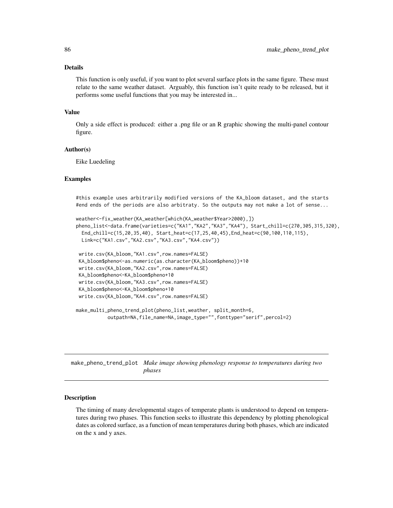#### Details

This function is only useful, if you want to plot several surface plots in the same figure. These must relate to the same weather dataset. Arguably, this function isn't quite ready to be released, but it performs some useful functions that you may be interested in...

## Value

Only a side effect is produced: either a .png file or an R graphic showing the multi-panel contour figure.

#### Author(s)

Eike Luedeling

### Examples

#this example uses arbitrarily modified versions of the KA\_bloom dataset, and the starts #end ends of the periods are also arbitraty. So the outputs may not make a lot of sense...

```
weather<-fix_weather(KA_weather[which(KA_weather$Year>2000),])
pheno_list<-data.frame(varieties=c("KA1","KA2","KA3","KA4"), Start_chill=c(270,305,315,320),
 End_chill=c(15,20,35,40), Start_heat=c(17,25,40,45),End_heat=c(90,100,110,115),
 Link=c("KA1.csv","KA2.csv","KA3.csv","KA4.csv"))
 write.csv(KA_bloom,"KA1.csv",row.names=FALSE)
 KA_bloom$pheno<-as.numeric(as.character(KA_bloom$pheno))+10
 write.csv(KA_bloom,"KA2.csv",row.names=FALSE)
KA_bloom$pheno<-KA_bloom$pheno+10
write.csv(KA_bloom,"KA3.csv",row.names=FALSE)
KA_bloom$pheno<-KA_bloom$pheno+10
 write.csv(KA_bloom,"KA4.csv",row.names=FALSE)
make_multi_pheno_trend_plot(pheno_list,weather, split_month=6,
           outpath=NA,file_name=NA,image_type="",fonttype="serif",percol=2)
```
make\_pheno\_trend\_plot *Make image showing phenology response to temperatures during two phases*

## Description

The timing of many developmental stages of temperate plants is understood to depend on temperatures during two phases. This function seeks to illustrate this dependency by plotting phenological dates as colored surface, as a function of mean temperatures during both phases, which are indicated on the x and y axes.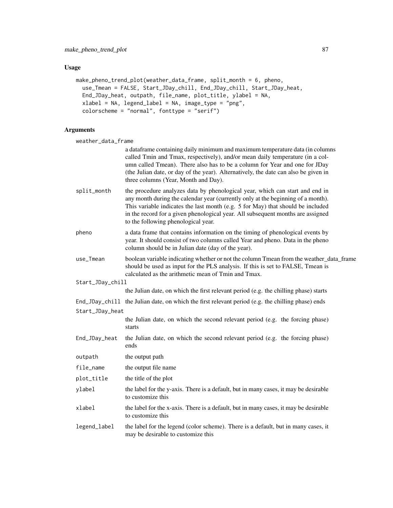# Usage

```
make_pheno_trend_plot(weather_data_frame, split_month = 6, pheno,
 use_Tmean = FALSE, Start_JDay_chill, End_JDay_chill, Start_JDay_heat,
 End_JDay_heat, outpath, file_name, plot_title, ylabel = NA,
 xlabel = NA, legend_label = NA, image_type = "png",
 colorscheme = "normal", fonttype = "serif")
```
# Arguments

weather data frame

| weather_data_frame |                                                                                                                                                                                                                                                                                                                                                                               |
|--------------------|-------------------------------------------------------------------------------------------------------------------------------------------------------------------------------------------------------------------------------------------------------------------------------------------------------------------------------------------------------------------------------|
|                    | a dataframe containing daily minimum and maximum temperature data (in columns<br>called Tmin and Tmax, respectively), and/or mean daily temperature (in a col-<br>umn called Tmean). There also has to be a column for Year and one for JDay<br>(the Julian date, or day of the year). Alternatively, the date can also be given in<br>three columns (Year, Month and Day).   |
| split_month        | the procedure analyzes data by phenological year, which can start and end in<br>any month during the calendar year (currently only at the beginning of a month).<br>This variable indicates the last month (e.g. 5 for May) that should be included<br>in the record for a given phenological year. All subsequent months are assigned<br>to the following phenological year. |
| pheno              | a data frame that contains information on the timing of phenological events by<br>year. It should consist of two columns called Year and pheno. Data in the pheno<br>column should be in Julian date (day of the year).                                                                                                                                                       |
| use_Tmean          | boolean variable indicating whether or not the column Tmean from the weather_data_frame<br>should be used as input for the PLS analysis. If this is set to FALSE, Tmean is<br>calculated as the arithmetic mean of Tmin and Tmax.                                                                                                                                             |
| Start_JDay_chill   |                                                                                                                                                                                                                                                                                                                                                                               |
|                    | the Julian date, on which the first relevant period (e.g. the chilling phase) starts                                                                                                                                                                                                                                                                                          |
|                    | End_JDay_chill the Julian date, on which the first relevant period (e.g. the chilling phase) ends                                                                                                                                                                                                                                                                             |
| Start_JDay_heat    |                                                                                                                                                                                                                                                                                                                                                                               |
|                    | the Julian date, on which the second relevant period (e.g. the forcing phase)<br>starts                                                                                                                                                                                                                                                                                       |
| End_JDay_heat      | the Julian date, on which the second relevant period (e.g. the forcing phase)<br>ends                                                                                                                                                                                                                                                                                         |
| outpath            | the output path                                                                                                                                                                                                                                                                                                                                                               |
| file_name          | the output file name                                                                                                                                                                                                                                                                                                                                                          |
| plot_title         | the title of the plot                                                                                                                                                                                                                                                                                                                                                         |
| ylabel             | the label for the y-axis. There is a default, but in many cases, it may be desirable<br>to customize this                                                                                                                                                                                                                                                                     |
| xlabel             | the label for the x-axis. There is a default, but in many cases, it may be desirable<br>to customize this                                                                                                                                                                                                                                                                     |
| legend_label       | the label for the legend (color scheme). There is a default, but in many cases, it<br>may be desirable to customize this                                                                                                                                                                                                                                                      |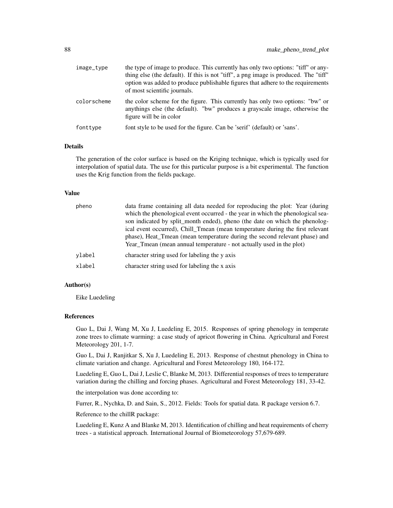| image_type  | the type of image to produce. This currently has only two options: "tiff" or any-<br>thing else (the default). If this is not "tiff", a png image is produced. The "tiff"<br>option was added to produce publishable figures that adhere to the requirements<br>of most scientific journals. |
|-------------|----------------------------------------------------------------------------------------------------------------------------------------------------------------------------------------------------------------------------------------------------------------------------------------------|
| colorscheme | the color scheme for the figure. This currently has only two options: "bw" or<br>anythings else (the default). "bw" produces a grayscale image, otherwise the<br>figure will be in color                                                                                                     |
| fonttype    | font style to be used for the figure. Can be 'serif' (default) or 'sans'.                                                                                                                                                                                                                    |

## Details

The generation of the color surface is based on the Kriging technique, which is typically used for interpolation of spatial data. The use for this particular purpose is a bit experimental. The function uses the Krig function from the fields package.

#### Value

| pheno  | data frame containing all data needed for reproducing the plot: Year (during<br>which the phenological event occurred - the year in which the phenological sea-<br>son indicated by split_month ended), pheno (the date on which the phenolog-<br>ical event occurred), Chill_Tmean (mean temperature during the first relevant<br>phase), Heat Tmean (mean temperature during the second relevant phase) and<br>Year Tmean (mean annual temperature - not actually used in the plot) |
|--------|---------------------------------------------------------------------------------------------------------------------------------------------------------------------------------------------------------------------------------------------------------------------------------------------------------------------------------------------------------------------------------------------------------------------------------------------------------------------------------------|
| ylabel | character string used for labeling the y axis                                                                                                                                                                                                                                                                                                                                                                                                                                         |
| xlabel | character string used for labeling the x axis                                                                                                                                                                                                                                                                                                                                                                                                                                         |

# Author(s)

Eike Luedeling

#### References

Guo L, Dai J, Wang M, Xu J, Luedeling E, 2015. Responses of spring phenology in temperate zone trees to climate warming: a case study of apricot flowering in China. Agricultural and Forest Meteorology 201, 1-7.

Guo L, Dai J, Ranjitkar S, Xu J, Luedeling E, 2013. Response of chestnut phenology in China to climate variation and change. Agricultural and Forest Meteorology 180, 164-172.

Luedeling E, Guo L, Dai J, Leslie C, Blanke M, 2013. Differential responses of trees to temperature variation during the chilling and forcing phases. Agricultural and Forest Meteorology 181, 33-42.

the interpolation was done according to:

Furrer, R., Nychka, D. and Sain, S., 2012. Fields: Tools for spatial data. R package version 6.7.

Reference to the chillR package:

Luedeling E, Kunz A and Blanke M, 2013. Identification of chilling and heat requirements of cherry trees - a statistical approach. International Journal of Biometeorology 57,679-689.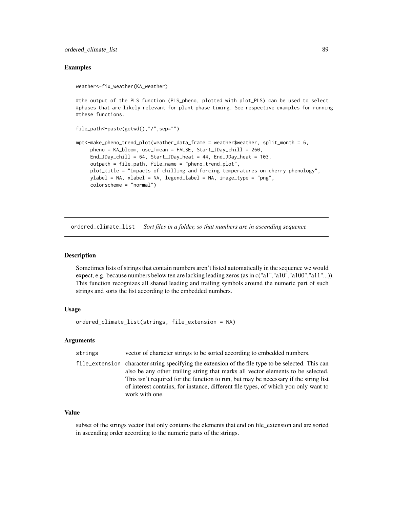## Examples

```
weather<-fix_weather(KA_weather)
```
#the output of the PLS function (PLS\_pheno, plotted with plot\_PLS) can be used to select #phases that are likely relevant for plant phase timing. See respective examples for running #these functions.

```
file_path<-paste(getwd(),"/",sep="")
```

```
mpt<-make_pheno_trend_plot(weather_data_frame = weather$weather, split_month = 6,
     pheno = KA_bloom, use_Tmean = FALSE, Start_JDay_chill = 260,
     End_JDay_chill = 64, Start_JDay_heat = 44, End_JDay_heat = 103,
     outpath = file_path, file_name = "pheno_trend_plot",
    plot_title = "Impacts of chilling and forcing temperatures on cherry phenology",
    ylabel = NA, xlabel = NA, legend_label = NA, image_type = "png",
     colorscheme = "normal")
```
ordered\_climate\_list *Sort files in a folder, so that numbers are in ascending sequence*

#### **Description**

Sometimes lists of strings that contain numbers aren't listed automatically in the sequence we would expect, e.g. because numbers below ten are lacking leading zeros (as in c("a1","a10","a10","a11"...)). This function recognizes all shared leading and trailing symbols around the numeric part of such strings and sorts the list according to the embedded numbers.

## Usage

```
ordered_climate_list(strings, file_extension = NA)
```
#### Arguments

strings vector of character strings to be sorted according to embedded numbers.

file\_extension character string specifying the extension of the file type to be selected. This can also be any other trailing string that marks all vector elements to be selected. This isn't required for the function to run, but may be necessary if the string list of interest contains, for instance, different file types, of which you only want to work with one.

# Value

subset of the strings vector that only contains the elements that end on file\_extension and are sorted in ascending order according to the numeric parts of the strings.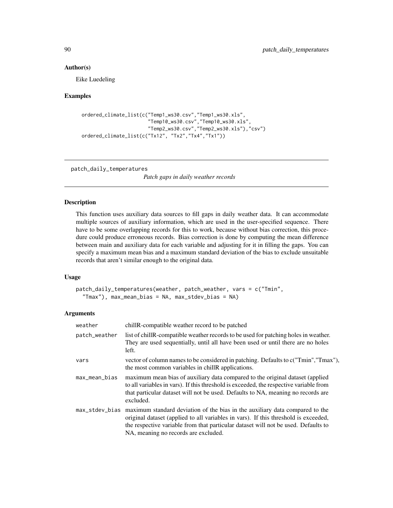#### Author(s)

Eike Luedeling

## Examples

```
ordered_climate_list(c("Temp1_ws30.csv","Temp1_ws30.xls",
                       "Temp10_ws30.csv","Temp10_ws30.xls",
                       "Temp2_ws30.csv","Temp2_ws30.xls"),"csv")
ordered_climate_list(c("Tx12", "Tx2","Tx4","Tx1"))
```
patch\_daily\_temperatures

*Patch gaps in daily weather records*

#### Description

This function uses auxiliary data sources to fill gaps in daily weather data. It can accommodate multiple sources of auxiliary information, which are used in the user-specified sequence. There have to be some overlapping records for this to work, because without bias correction, this procedure could produce erroneous records. Bias correction is done by computing the mean difference between main and auxiliary data for each variable and adjusting for it in filling the gaps. You can specify a maximum mean bias and a maximum standard deviation of the bias to exclude unsuitable records that aren't similar enough to the original data.

## Usage

```
patch_daily_temperatures(weather, patch_weather, vars = c("Tmin",
  "Tmax"), max_mean_bias = NA, max_stdev_bias = NA)
```

| weather       | chill R-compatible weather record to be patched                                                                                                                                                                                                                                                                  |
|---------------|------------------------------------------------------------------------------------------------------------------------------------------------------------------------------------------------------------------------------------------------------------------------------------------------------------------|
| patch_weather | list of chill R-compatible weather records to be used for patching holes in weather.<br>They are used sequentially, until all have been used or until there are no holes<br>left.                                                                                                                                |
| vars          | vector of column names to be considered in patching. Defaults to c("Tmin","Tmax"),<br>the most common variables in chill R applications.                                                                                                                                                                         |
| max_mean_bias | maximum mean bias of auxiliary data compared to the original dataset (applied<br>to all variables in vars). If this threshold is exceeded, the respective variable from<br>that particular dataset will not be used. Defaults to NA, meaning no records are<br>excluded.                                         |
|               | max_stdev_bias maximum standard deviation of the bias in the auxiliary data compared to the<br>original dataset (applied to all variables in vars). If this threshold is exceeded,<br>the respective variable from that particular dataset will not be used. Defaults to<br>NA, meaning no records are excluded. |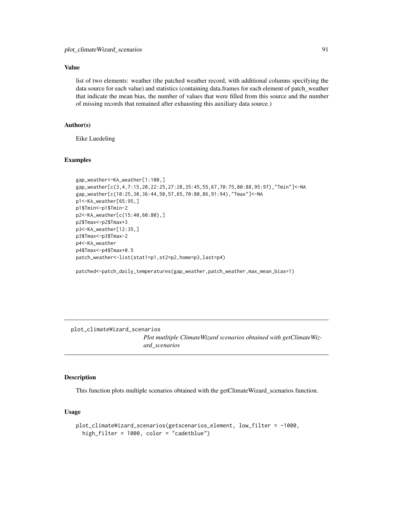## Value

list of two elements: weather (the patched weather record, with additional columns specifying the data source for each value) and statistics (containing data.frames for each element of patch\_weather that indicate the mean bias, the number of values that were filled from this source and the number of missing records that remained after exhausting this auxiliary data source.)

## Author(s)

Eike Luedeling

#### Examples

```
gap_weather<-KA_weather[1:100,]
gap_weather[c(3,4,7:15,20,22:25,27:28,35:45,55,67,70:75,80:88,95:97),"Tmin"]<-NA
gap_weather[c(10:25,30,36:44,50,57,65,70:80,86,91:94),"Tmax"]<-NA
p1<-KA_weather[65:95,]
p1$Tmin<-p1$Tmin-2
p2<-KA_weather[c(15:40,60:80),]
p2$Tmax<-p2$Tmax+3
p3<-KA_weather[12:35,]
p3$Tmax<-p3$Tmax-2
p4<-KA_weather
p4$Tmax<-p4$Tmax+0.5
patch_weather<-list(stat1=p1,st2=p2,home=p3,last=p4)
```
patched<-patch\_daily\_temperatures(gap\_weather,patch\_weather,max\_mean\_bias=1)

plot\_climateWizard\_scenarios

*Plot mutltiple ClimateWizard scenarios obtained with getClimateWizard\_scenarios*

## Description

This function plots multiple scenarios obtained with the getClimateWizard\_scenarios function.

## Usage

```
plot_climateWizard_scenarios(getscenarios_element, low_filter = -1000,
  high_filter = 1000, color = "cadetblue")
```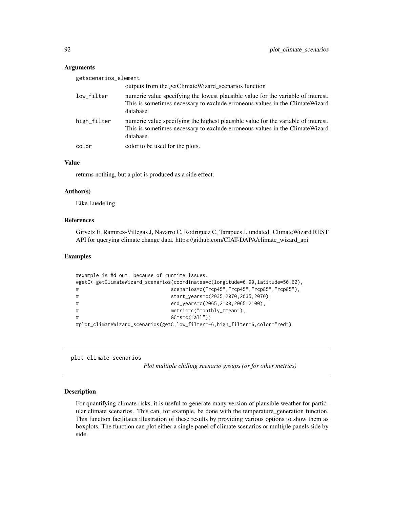## **Arguments**

| getscenarios_element |                                                                                                                                                                                  |
|----------------------|----------------------------------------------------------------------------------------------------------------------------------------------------------------------------------|
|                      | outputs from the getClimateWizard_scenarios function                                                                                                                             |
| low_filter           | numeric value specifying the lowest plausible value for the variable of interest.<br>This is sometimes necessary to exclude erroneous values in the Climate Wizard<br>database.  |
| high_filter          | numeric value specifying the highest plausible value for the variable of interest.<br>This is sometimes necessary to exclude erroneous values in the Climate Wizard<br>database. |
| color                | color to be used for the plots.                                                                                                                                                  |

# Value

returns nothing, but a plot is produced as a side effect.

#### Author(s)

Eike Luedeling

#### References

Girvetz E, Ramirez-Villegas J, Navarro C, Rodriguez C, Tarapues J, undated. ClimateWizard REST API for querying climate change data. https://github.com/CIAT-DAPA/climate\_wizard\_api

## Examples

```
#example is #d out, because of runtime issues.
#getC<-getClimateWizard_scenarios(coordinates=c(longitude=6.99,latitude=50.62),
# scenarios=c("rcp45","rcp45","rcp85","rcp85"),
# start_years=c(2035,2070,2035,2070),
# end_years=c(2065,2100,2065,2100),
# metric=c("monthly_tmean"),
# GCMs=c("all"))
#plot_climateWizard_scenarios(getC,low_filter=-6,high_filter=6,color="red")
```
plot\_climate\_scenarios

*Plot multiple chilling scenario groups (or for other metrics)*

# Description

For quantifying climate risks, it is useful to generate many version of plausible weather for particular climate scenarios. This can, for example, be done with the temperature\_generation function. This function facilitates illustration of these results by providing various options to show them as boxplots. The function can plot either a single panel of climate scenarios or multiple panels side by side.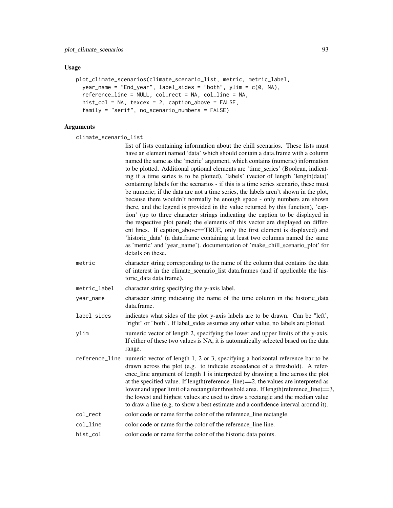#### Usage

```
plot_climate_scenarios(climate_scenario_list, metric, metric_label,
  year_name = "End_year", label_sides = "both", ylim = c(0, NA),
  reference_line = NULL, col_rect = NA, col_line = NA,
  hist\_col = NA, texcex = 2, caption_above = FALSE,
  family = "serif", no_scenario_numbers = FALSE)
```

```
climate_scenario_list
```
- list of lists containing information about the chill scenarios. These lists must have an element named 'data' which should contain a data.frame with a column named the same as the 'metric' argument, which contains (numeric) information to be plotted. Additional optional elements are 'time\_series' (Boolean, indicating if a time series is to be plotted), 'labels' (vector of length 'length(data)' containing labels for the scenarios - if this is a time series scenario, these must be numeric; if the data are not a time series, the labels aren't shown in the plot, because there wouldn't normally be enough space - only numbers are shown there, and the legend is provided in the value returned by this function), 'caption' (up to three character strings indicating the caption to be displayed in the respective plot panel; the elements of this vector are displayed on different lines. If caption above==TRUE, only the first element is displayed) and 'historic\_data' (a data.frame containing at least two columns named the same as 'metric' and 'year\_name'). documentation of 'make\_chill\_scenario\_plot' for details on these.
- metric character string corresponding to the name of the column that contains the data of interest in the climate\_scenario\_list data.frames (and if applicable the historic\_data data.frame).
- metric\_label character string specifying the y-axis label.
- year\_name character string indicating the name of the time column in the historic\_data data.frame.
- label\_sides indicates what sides of the plot y-axis labels are to be drawn. Can be "left', "right" or "both". If label\_sides assumes any other value, no labels are plotted.
- ylim numeric vector of length 2, specifying the lower and upper limits of the y-axis. If either of these two values is NA, it is automatically selected based on the data range.
- reference\_line numeric vector of length 1, 2 or 3, specifying a horizontal reference bar to be drawn across the plot (e.g. to indicate exceedance of a threshold). A reference\_line argument of length 1 is interpreted by drawing a line across the plot at the specified value. If length(reference\_line)==2, the values are interpreted as lower and upper limit of a rectangular threshold area. If length(reference  $\text{line}$ )==3, the lowest and highest values are used to draw a rectangle and the median value to draw a line (e.g. to show a best estimate and a confidence interval around it).
- col\_rect color code or name for the color of the reference line rectangle.
- col\_line color code or name for the color of the reference line line.
- hist\_col color code or name for the color of the historic data points.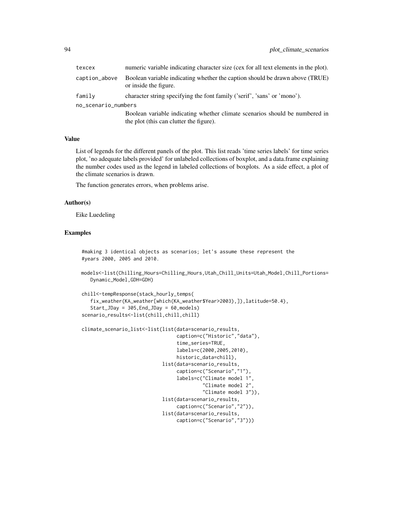| texcex              | numeric variable indicating character size (cex for all text elements in the plot).                   |  |
|---------------------|-------------------------------------------------------------------------------------------------------|--|
| caption_above       | Boolean variable indicating whether the caption should be drawn above (TRUE)<br>or inside the figure. |  |
| family              | character string specifying the font family ('serif', 'sans' or 'mono').                              |  |
| no_scenario_numbers |                                                                                                       |  |
|                     | Boolean variable indicating whether climate scenarios should be numbered in                           |  |
|                     | the plot (this can clutter the figure).                                                               |  |

#### Value

List of legends for the different panels of the plot. This list reads 'time series labels' for time series plot, 'no adequate labels provided' for unlabeled collections of boxplot, and a data.frame explaining the number codes used as the legend in labeled collections of boxplots. As a side effect, a plot of the climate scenarios is drawn.

The function generates errors, when problems arise.

#### Author(s)

Eike Luedeling

# Examples

```
#making 3 identical objects as scenarios; let's assume these represent the
#years 2000, 2005 and 2010.
```

```
models<-list(Chilling_Hours=Chilling_Hours,Utah_Chill_Units=Utah_Model,Chill_Portions=
   Dynamic_Model,GDH=GDH)
```

```
chill<-tempResponse(stack_hourly_temps(
   fix_weather(KA_weather[which(KA_weather$Year>2003),]),latitude=50.4),
   Start_JDay = 305,End_JDay = 60,models)
scenario_results<-list(chill,chill,chill)
```

```
climate_scenario_list<-list(list(data=scenario_results,
                                 caption=c("Historic","data"),
                                 time_series=TRUE,
                                 labels=c(2000,2005,2010),
                                 historic_data=chill),
                            list(data=scenario_results,
                                 caption=c("Scenario","1"),
                                 labels=c("Climate model 1",
                                           "Climate model 2",
                                          "Climate model 3")),
                            list(data=scenario_results,
                                 caption=c("Scenario","2")),
                            list(data=scenario_results,
                                 caption=c("Scenario","3")))
```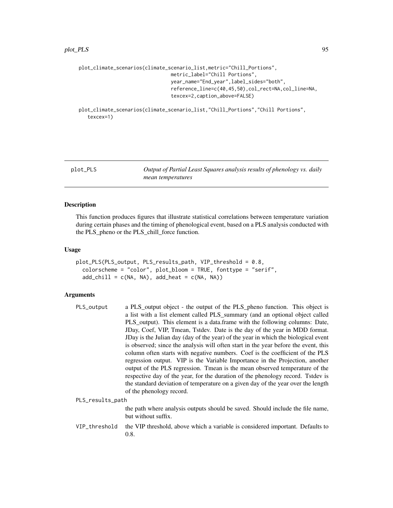```
plot_climate_scenarios(climate_scenario_list,metric="Chill_Portions",
                                metric_label="Chill Portions",
                                year_name="End_year",label_sides="both",
                                reference_line=c(40,45,50),col_rect=NA,col_line=NA,
                                texcex=2,caption_above=FALSE)
```
plot\_climate\_scenarios(climate\_scenario\_list,"Chill\_Portions","Chill Portions", texcex=1)

plot\_PLS *Output of Partial Least Squares analysis results of phenology vs. daily mean temperatures*

## Description

This function produces figures that illustrate statistical correlations between temperature variation during certain phases and the timing of phenological event, based on a PLS analysis conducted with the PLS\_pheno or the PLS\_chill\_force function.

#### Usage

```
plot_PLS(PLS_output, PLS_results_path, VIP_threshold = 0.8,
  colorscheme = "color", plot_bloom = TRUE, fonttype = "serif",
  add\_child = c(NA, NA), add\_heat = c(NA, NA))
```

| PLS_output       | a PLS_output object - the output of the PLS_pheno function. This object is<br>a list with a list element called PLS_summary (and an optional object called<br>PLS_output). This element is a data.frame with the following columns: Date,<br>JDay, Coef, VIP, Tmean, Tstdev. Date is the day of the year in MDD format.<br>JDay is the Julian day (day of the year) of the year in which the biological event<br>is observed; since the analysis will often start in the year before the event, this<br>column often starts with negative numbers. Coef is the coefficient of the PLS<br>regression output. VIP is the Variable Importance in the Projection, another<br>output of the PLS regression. Tmean is the mean observed temperature of the<br>respective day of the year, for the duration of the phenology record. Tstdev is<br>the standard deviation of temperature on a given day of the year over the length<br>of the phenology record. |
|------------------|---------------------------------------------------------------------------------------------------------------------------------------------------------------------------------------------------------------------------------------------------------------------------------------------------------------------------------------------------------------------------------------------------------------------------------------------------------------------------------------------------------------------------------------------------------------------------------------------------------------------------------------------------------------------------------------------------------------------------------------------------------------------------------------------------------------------------------------------------------------------------------------------------------------------------------------------------------|
| PLS_results_path |                                                                                                                                                                                                                                                                                                                                                                                                                                                                                                                                                                                                                                                                                                                                                                                                                                                                                                                                                         |
|                  | the path where analysis outputs should be saved. Should include the file name,<br>but without suffix.                                                                                                                                                                                                                                                                                                                                                                                                                                                                                                                                                                                                                                                                                                                                                                                                                                                   |
| VIP_threshold    | the VIP threshold, above which a variable is considered important. Defaults to<br>0.8.                                                                                                                                                                                                                                                                                                                                                                                                                                                                                                                                                                                                                                                                                                                                                                                                                                                                  |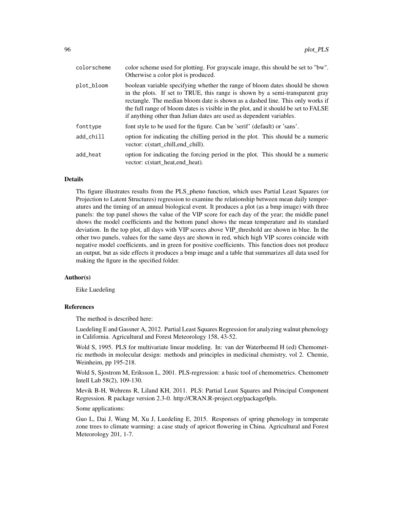| colorscheme | color scheme used for plotting. For grayscale image, this should be set to "bw".<br>Otherwise a color plot is produced.                                                                                                                                                                                                                                                                                       |
|-------------|---------------------------------------------------------------------------------------------------------------------------------------------------------------------------------------------------------------------------------------------------------------------------------------------------------------------------------------------------------------------------------------------------------------|
| plot_bloom  | boolean variable specifying whether the range of bloom dates should be shown<br>in the plots. If set to TRUE, this range is shown by a semi-transparent gray<br>rectangle. The median bloom date is shown as a dashed line. This only works if<br>the full range of bloom dates is visible in the plot, and it should be set to FALSE<br>if anything other than Julian dates are used as dependent variables. |
| fonttype    | font style to be used for the figure. Can be 'serif' (default) or 'sans'.                                                                                                                                                                                                                                                                                                                                     |
| add_chill   | option for indicating the chilling period in the plot. This should be a numeric<br>vector: c(start_chill,end_chill).                                                                                                                                                                                                                                                                                          |
| add heat    | option for indicating the forcing period in the plot. This should be a numeric<br>vector: c(start_heat,end_heat).                                                                                                                                                                                                                                                                                             |

#### Details

Ths figure illustrates results from the PLS\_pheno function, which uses Partial Least Squares (or Projection to Latent Structures) regression to examine the relationship between mean daily temperatures and the timing of an annual biological event. It produces a plot (as a bmp image) with three panels: the top panel shows the value of the VIP score for each day of the year; the middle panel shows the model coefficients and the bottom panel shows the mean temperature and its standard deviation. In the top plot, all days with VIP scores above VIP\_threshold are shown in blue. In the other two panels, values for the same days are shown in red, which high VIP scores coincide with negative model coefficients, and in green for positive coefficients. This function does not produce an output, but as side effects it produces a bmp image and a table that summarizes all data used for making the figure in the specified folder.

#### Author(s)

Eike Luedeling

## References

The method is described here:

Luedeling E and Gassner A, 2012. Partial Least Squares Regression for analyzing walnut phenology in California. Agricultural and Forest Meteorology 158, 43-52.

Wold S, 1995. PLS for multivariate linear modeling. In: van der Waterbeemd H (ed) Chemometric methods in molecular design: methods and principles in medicinal chemistry, vol 2. Chemie, Weinheim, pp 195-218.

Wold S, Sjostrom M, Eriksson L, 2001. PLS-regression: a basic tool of chemometrics. Chemometr Intell Lab 58(2), 109-130.

Mevik B-H, Wehrens R, Liland KH, 2011. PLS: Partial Least Squares and Principal Component Regression. R package version 2.3-0. http://CRAN.R-project.org/package0pls.

Some applications:

Guo L, Dai J, Wang M, Xu J, Luedeling E, 2015. Responses of spring phenology in temperate zone trees to climate warming: a case study of apricot flowering in China. Agricultural and Forest Meteorology 201, 1-7.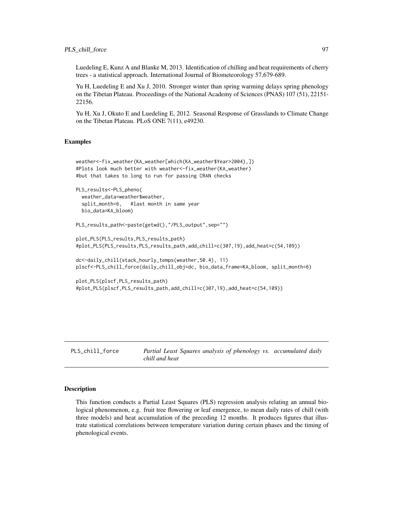## PLS\_chill\_force 97

Luedeling E, Kunz A and Blanke M, 2013. Identification of chilling and heat requirements of cherry trees - a statistical approach. International Journal of Biometeorology 57,679-689.

Yu H, Luedeling E and Xu J, 2010. Stronger winter than spring warming delays spring phenology on the Tibetan Plateau. Proceedings of the National Academy of Sciences (PNAS) 107 (51), 22151- 22156.

Yu H, Xu J, Okuto E and Luedeling E, 2012. Seasonal Response of Grasslands to Climate Change on the Tibetan Plateau. PLoS ONE 7(11), e49230.

## Examples

```
weather<-fix_weather(KA_weather[which(KA_weather$Year>2004),])
#Plots look much better with weather<-fix_weather(KA_weather)
#but that takes to long to run for passing CRAN checks
PLS_results<-PLS_pheno(
 weather_data=weather$weather,
 split_month=6, #last month in same year
 bio_data=KA_bloom)
PLS_results_path<-paste(getwd(),"/PLS_output",sep="")
plot_PLS(PLS_results,PLS_results_path)
#plot_PLS(PLS_results,PLS_results_path,add_chill=c(307,19),add_heat=c(54,109))
dc<-daily_chill(stack_hourly_temps(weather,50.4), 11)
plscf<-PLS_chill_force(daily_chill_obj=dc, bio_data_frame=KA_bloom, split_month=6)
plot_PLS(plscf,PLS_results_path)
#plot_PLS(plscf,PLS_results_path,add_chill=c(307,19),add_heat=c(54,109))
```
PLS\_chill\_force *Partial Least Squares analysis of phenology vs. accumulated daily chill and heat*

#### **Description**

This function conducts a Partial Least Squares (PLS) regression analysis relating an annual biological phenomenon, e.g. fruit tree flowering or leaf emergence, to mean daily rates of chill (with three models) and heat accumulation of the preceding 12 months. It produces figures that illustrate statistical correlations between temperature variation during certain phases and the timing of phenological events.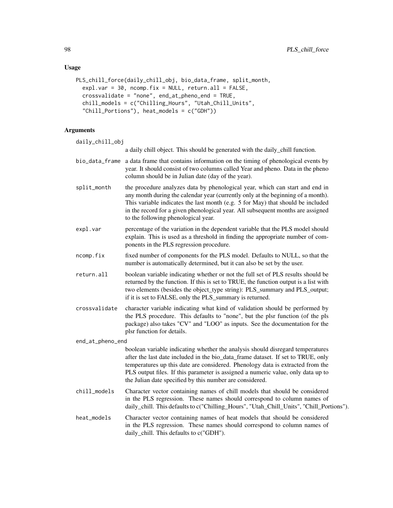## Usage

```
PLS_chill_force(daily_chill_obj, bio_data_frame, split_month,
  exp1-var = 30, ncomp.fix = NULL, return.al1 = FALSE,
  crossvalidate = "none", end_at_pheno_end = TRUE,
  chill_models = c("Chilling_Hours", "Utah_Chill_Units",
  "Chill_Portions"), heat_models = c("GDH"))
```
## Arguments

daily\_chill\_obj

a daily chill object. This should be generated with the daily\_chill function.

- bio\_data\_frame a data frame that contains information on the timing of phenological events by year. It should consist of two columns called Year and pheno. Data in the pheno column should be in Julian date (day of the year).
- split\_month the procedure analyzes data by phenological year, which can start and end in any month during the calendar year (currently only at the beginning of a month). This variable indicates the last month (e.g. 5 for May) that should be included in the record for a given phenological year. All subsequent months are assigned to the following phenological year.
- expl.var percentage of the variation in the dependent variable that the PLS model should explain. This is used as a threshold in finding the appropriate number of components in the PLS regression procedure.
- ncomp.fix fixed number of components for the PLS model. Defaults to NULL, so that the number is automatically determined, but it can also be set by the user.
- return.all boolean variable indicating whether or not the full set of PLS results should be returned by the function. If this is set to TRUE, the function output is a list with two elements (besides the object\_type string): PLS\_summary and PLS\_output; if it is set to FALSE, only the PLS\_summary is returned.
- crossvalidate character variable indicating what kind of validation should be performed by the PLS procedure. This defaults to "none", but the plsr function (of the pls package) also takes "CV" and "LOO" as inputs. See the documentation for the plsr function for details.

#### end\_at\_pheno\_end

boolean variable indicating whether the analysis should disregard temperatures after the last date included in the bio\_data\_frame dataset. If set to TRUE, only temperatures up this date are considered. Phenology data is extracted from the PLS output files. If this parameter is assigned a numeric value, only data up to the Julian date specified by this number are considered.

- chill\_models Character vector containing names of chill models that should be considered in the PLS regression. These names should correspond to column names of daily\_chill. This defaults to c("Chilling\_Hours", "Utah\_Chill\_Units", "Chill\_Portions").
- heat\_models Character vector containing names of heat models that should be considered in the PLS regression. These names should correspond to column names of daily\_chill. This defaults to c("GDH").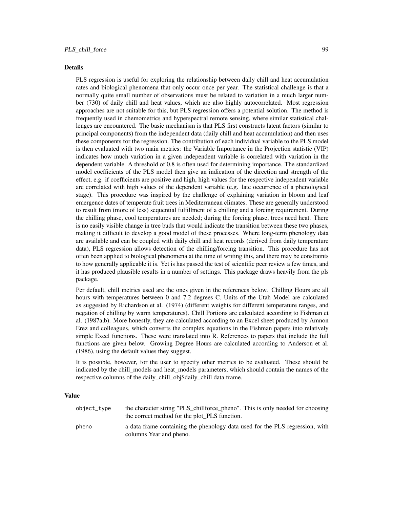#### Details

PLS regression is useful for exploring the relationship between daily chill and heat accumulation rates and biological phenomena that only occur once per year. The statistical challenge is that a normally quite small number of observations must be related to variation in a much larger number (730) of daily chill and heat values, which are also highly autocorrelated. Most regression approaches are not suitable for this, but PLS regression offers a potential solution. The method is frequently used in chemometrics and hyperspectral remote sensing, where similar statistical challenges are encountered. The basic mechanism is that PLS first constructs latent factors (similar to principal components) from the independent data (daily chill and heat accumulation) and then uses these components for the regression. The contribution of each individual variable to the PLS model is then evaluated with two main metrics: the Variable Importance in the Projection statistic (VIP) indicates how much variation in a given independent variable is correlated with variation in the dependent variable. A threshold of 0.8 is often used for determining importance. The standardized model coefficients of the PLS model then give an indication of the direction and strength of the effect, e.g. if coefficients are positive and high, high values for the respective independent variable are correlated with high values of the dependent variable (e.g. late occurrence of a phenological stage). This procedure was inspired by the challenge of explaining variation in bloom and leaf emergence dates of temperate fruit trees in Mediterranean climates. These are generally understood to result from (more of less) sequential fulfillment of a chilling and a forcing requirement. During the chilling phase, cool temperatures are needed; during the forcing phase, trees need heat. There is no easily visible change in tree buds that would indicate the transition between these two phases, making it difficult to develop a good model of these processes. Where long-term phenology data are available and can be coupled with daily chill and heat records (derived from daily temperature data), PLS regression allows detection of the chilling/forcing transition. This procedure has not often been applied to biological phenomena at the time of writing this, and there may be constraints to how generally applicable it is. Yet is has passed the test of scientific peer review a few times, and it has produced plausible results in a number of settings. This package draws heavily from the pls package.

Per default, chill metrics used are the ones given in the references below. Chilling Hours are all hours with temperatures between 0 and 7.2 degrees C. Units of the Utah Model are calculated as suggested by Richardson et al. (1974) (different weights for different temperature ranges, and negation of chilling by warm temperatures). Chill Portions are calculated according to Fishman et al. (1987a,b). More honestly, they are calculated according to an Excel sheet produced by Amnon Erez and colleagues, which converts the complex equations in the Fishman papers into relatively simple Excel functions. These were translated into R. References to papers that include the full functions are given below. Growing Degree Hours are calculated according to Anderson et al. (1986), using the default values they suggest.

It is possible, however, for the user to specify other metrics to be evaluated. These should be indicated by the chill\_models and heat\_models parameters, which should contain the names of the respective columns of the daily chill obj\$daily chill data frame.

#### Value

| object_type | the character string "PLS_chillforce_pheno". This is only needed for choosing<br>the correct method for the plot PLS function. |
|-------------|--------------------------------------------------------------------------------------------------------------------------------|
| pheno       | a data frame containing the phenology data used for the PLS regression, with<br>columns Year and pheno.                        |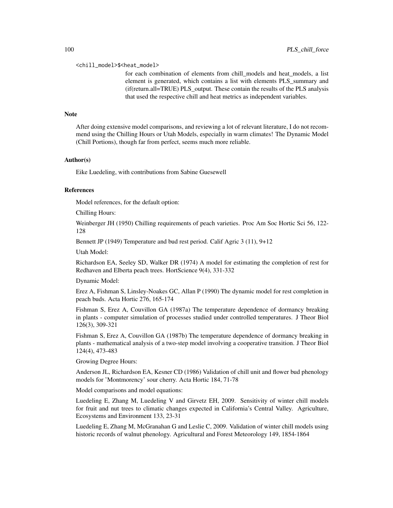#### <chill\_model>\$<heat\_model>

for each combination of elements from chill\_models and heat\_models, a list element is generated, which contains a list with elements PLS\_summary and (if(return.all=TRUE) PLS\_output. These contain the results of the PLS analysis that used the respective chill and heat metrics as independent variables.

#### **Note**

After doing extensive model comparisons, and reviewing a lot of relevant literature, I do not recommend using the Chilling Hours or Utah Models, especially in warm climates! The Dynamic Model (Chill Portions), though far from perfect, seems much more reliable.

#### Author(s)

Eike Luedeling, with contributions from Sabine Guesewell

## References

Model references, for the default option:

Chilling Hours:

Weinberger JH (1950) Chilling requirements of peach varieties. Proc Am Soc Hortic Sci 56, 122- 128

Bennett JP (1949) Temperature and bud rest period. Calif Agric 3 (11), 9+12

Utah Model:

Richardson EA, Seeley SD, Walker DR (1974) A model for estimating the completion of rest for Redhaven and Elberta peach trees. HortScience 9(4), 331-332

Dynamic Model:

Erez A, Fishman S, Linsley-Noakes GC, Allan P (1990) The dynamic model for rest completion in peach buds. Acta Hortic 276, 165-174

Fishman S, Erez A, Couvillon GA (1987a) The temperature dependence of dormancy breaking in plants - computer simulation of processes studied under controlled temperatures. J Theor Biol 126(3), 309-321

Fishman S, Erez A, Couvillon GA (1987b) The temperature dependence of dormancy breaking in plants - mathematical analysis of a two-step model involving a cooperative transition. J Theor Biol 124(4), 473-483

Growing Degree Hours:

Anderson JL, Richardson EA, Kesner CD (1986) Validation of chill unit and flower bud phenology models for 'Montmorency' sour cherry. Acta Hortic 184, 71-78

Model comparisons and model equations:

Luedeling E, Zhang M, Luedeling V and Girvetz EH, 2009. Sensitivity of winter chill models for fruit and nut trees to climatic changes expected in California's Central Valley. Agriculture, Ecosystems and Environment 133, 23-31

Luedeling E, Zhang M, McGranahan G and Leslie C, 2009. Validation of winter chill models using historic records of walnut phenology. Agricultural and Forest Meteorology 149, 1854-1864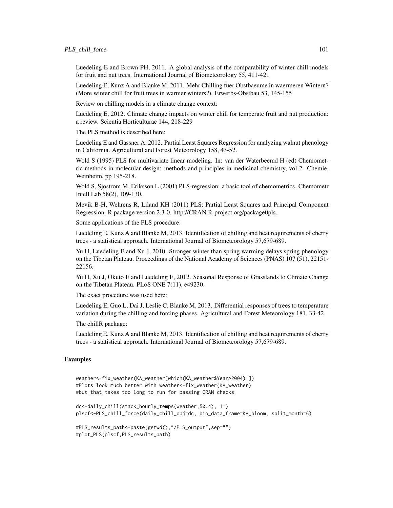## PLS\_chill\_force 101

Luedeling E and Brown PH, 2011. A global analysis of the comparability of winter chill models for fruit and nut trees. International Journal of Biometeorology 55, 411-421

Luedeling E, Kunz A and Blanke M, 2011. Mehr Chilling fuer Obstbaeume in waermeren Wintern? (More winter chill for fruit trees in warmer winters?). Erwerbs-Obstbau 53, 145-155

Review on chilling models in a climate change context:

Luedeling E, 2012. Climate change impacts on winter chill for temperate fruit and nut production: a review. Scientia Horticulturae 144, 218-229

The PLS method is described here:

Luedeling E and Gassner A, 2012. Partial Least Squares Regression for analyzing walnut phenology in California. Agricultural and Forest Meteorology 158, 43-52.

Wold S (1995) PLS for multivariate linear modeling. In: van der Waterbeemd H (ed) Chemometric methods in molecular design: methods and principles in medicinal chemistry, vol 2. Chemie, Weinheim, pp 195-218.

Wold S, Sjostrom M, Eriksson L (2001) PLS-regression: a basic tool of chemometrics. Chemometr Intell Lab 58(2), 109-130.

Mevik B-H, Wehrens R, Liland KH (2011) PLS: Partial Least Squares and Principal Component Regression. R package version 2.3-0. http://CRAN.R-project.org/package0pls.

Some applications of the PLS procedure:

Luedeling E, Kunz A and Blanke M, 2013. Identification of chilling and heat requirements of cherry trees - a statistical approach. International Journal of Biometeorology 57,679-689.

Yu H, Luedeling E and Xu J, 2010. Stronger winter than spring warming delays spring phenology on the Tibetan Plateau. Proceedings of the National Academy of Sciences (PNAS) 107 (51), 22151- 22156.

Yu H, Xu J, Okuto E and Luedeling E, 2012. Seasonal Response of Grasslands to Climate Change on the Tibetan Plateau. PLoS ONE 7(11), e49230.

The exact procedure was used here:

Luedeling E, Guo L, Dai J, Leslie C, Blanke M, 2013. Differential responses of trees to temperature variation during the chilling and forcing phases. Agricultural and Forest Meteorology 181, 33-42.

The chillR package:

Luedeling E, Kunz A and Blanke M, 2013. Identification of chilling and heat requirements of cherry trees - a statistical approach. International Journal of Biometeorology 57,679-689.

## Examples

```
weather<-fix_weather(KA_weather[which(KA_weather$Year>2004),])
#Plots look much better with weather<-fix_weather(KA_weather)
#but that takes too long to run for passing CRAN checks
dc<-daily_chill(stack_hourly_temps(weather,50.4), 11)
plscf<-PLS_chill_force(daily_chill_obj=dc, bio_data_frame=KA_bloom, split_month=6)
#PLS_results_path<-paste(getwd(),"/PLS_output",sep="")
#plot_PLS(plscf,PLS_results_path)
```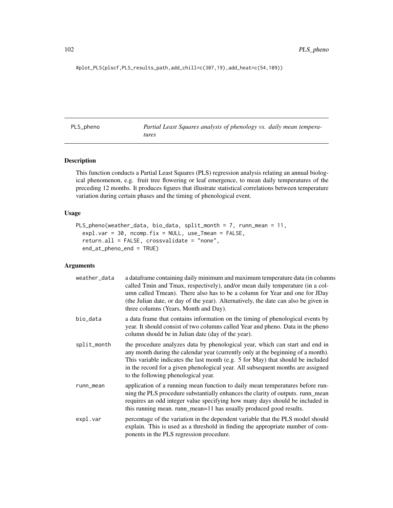#plot\_PLS(plscf,PLS\_results\_path,add\_chill=c(307,19),add\_heat=c(54,109))

PLS\_pheno *Partial Least Squares analysis of phenology vs. daily mean temperatures*

## Description

This function conducts a Partial Least Squares (PLS) regression analysis relating an annual biological phenomenon, e.g. fruit tree flowering or leaf emergence, to mean daily temperatures of the preceding 12 months. It produces figures that illustrate statistical correlations between temperature variation during certain phases and the timing of phenological event.

#### Usage

```
PLS_pheno(weather_data, bio_data, split_month = 7, runn_mean = 11,
  exp1.var = 30, ncomp.fix = NULL, use\_Tmean = FALSE,
  return.all = FALSE, crossvalidate = "none",
  end_at_pheno_end = TRUE)
```

| weather_data | a dataframe containing daily minimum and maximum temperature data (in columns<br>called Tmin and Tmax, respectively), and/or mean daily temperature (in a col-<br>umn called Tmean). There also has to be a column for Year and one for JDay<br>(the Julian date, or day of the year). Alternatively, the date can also be given in<br>three columns (Years, Month and Day).  |
|--------------|-------------------------------------------------------------------------------------------------------------------------------------------------------------------------------------------------------------------------------------------------------------------------------------------------------------------------------------------------------------------------------|
| bio_data     | a data frame that contains information on the timing of phenological events by<br>year. It should consist of two columns called Year and pheno. Data in the pheno<br>column should be in Julian date (day of the year).                                                                                                                                                       |
| split_month  | the procedure analyzes data by phenological year, which can start and end in<br>any month during the calendar year (currently only at the beginning of a month).<br>This variable indicates the last month (e.g. 5 for May) that should be included<br>in the record for a given phenological year. All subsequent months are assigned<br>to the following phenological year. |
| runn_mean    | application of a running mean function to daily mean temperatures before run-<br>ning the PLS procedure substantially enhances the clarity of outputs. runn_mean<br>requires an odd integer value specifying how many days should be included in<br>this running mean. runn_mean=11 has usually produced good results.                                                        |
| expl.var     | percentage of the variation in the dependent variable that the PLS model should<br>explain. This is used as a threshold in finding the appropriate number of com-<br>ponents in the PLS regression procedure.                                                                                                                                                                 |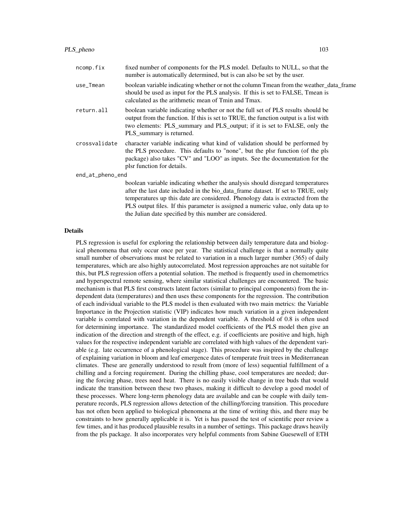| ncomp.fix        | fixed number of components for the PLS model. Defaults to NULL, so that the<br>number is automatically determined, but is can also be set by the user.                                                                                                                                                                                   |  |
|------------------|------------------------------------------------------------------------------------------------------------------------------------------------------------------------------------------------------------------------------------------------------------------------------------------------------------------------------------------|--|
| use_Tmean        | boolean variable indicating whether or not the column Tmean from the weather_data_frame<br>should be used as input for the PLS analysis. If this is set to FALSE, Tmean is<br>calculated as the arithmetic mean of Tmin and Tmax.                                                                                                        |  |
| return.all       | boolean variable indicating whether or not the full set of PLS results should be<br>output from the function. If this is set to TRUE, the function output is a list with<br>two elements: PLS_summary and PLS_output; if it is set to FALSE, only the<br>PLS_summary is returned.                                                        |  |
| crossvalidate    | character variable indicating what kind of validation should be performed by<br>the PLS procedure. This defaults to "none", but the plsr function (of the pls<br>package) also takes "CV" and "LOO" as inputs. See the documentation for the<br>plsr function for details.                                                               |  |
| end_at_pheno_end |                                                                                                                                                                                                                                                                                                                                          |  |
|                  | boolean variable indicating whether the analysis should disregard temperatures<br>after the last date included in the bio_data_frame dataset. If set to TRUE, only<br>temperatures up this date are considered. Phenology data is extracted from the<br>PLS output files. If this parameter is assigned a numeric value, only data up to |  |

#### Details

PLS regression is useful for exploring the relationship between daily temperature data and biological phenomena that only occur once per year. The statistical challenge is that a normally quite small number of observations must be related to variation in a much larger number (365) of daily temperatures, which are also highly autocorrelated. Most regression approaches are not suitable for this, but PLS regression offers a potential solution. The method is frequently used in chemometrics and hyperspectral remote sensing, where similar statistical challenges are encountered. The basic mechanism is that PLS first constructs latent factors (similar to principal components) from the independent data (temperatures) and then uses these components for the regression. The contribution of each individual variable to the PLS model is then evaluated with two main metrics: the Variable Importance in the Projection statistic (VIP) indicates how much variation in a given independent variable is correlated with variation in the dependent variable. A threshold of 0.8 is often used for determining importance. The standardized model coefficients of the PLS model then give an indication of the direction and strength of the effect, e.g. if coefficients are positive and high, high values for the respective independent variable are correlated with high values of the dependent variable (e.g. late occurrence of a phenological stage). This procedure was inspired by the challenge of explaining variation in bloom and leaf emergence dates of temperate fruit trees in Mediterranean climates. These are generally understood to result from (more of less) sequential fulfillment of a chilling and a forcing requirement. During the chilling phase, cool temperatures are needed; during the forcing phase, trees need heat. There is no easily visible change in tree buds that would indicate the transition between these two phases, making it difficult to develop a good model of these processes. Where long-term phenology data are available and can be couple with daily temperature records, PLS regression allows detection of the chilling/forcing transition. This procedure has not often been applied to biological phenomena at the time of writing this, and there may be constraints to how generally applicable it is. Yet is has passed the test of scientific peer review a few times, and it has produced plausible results in a number of settings. This package draws heavily from the pls package. It also incorporates very helpful comments from Sabine Guesewell of ETH

the Julian date specified by this number are considered.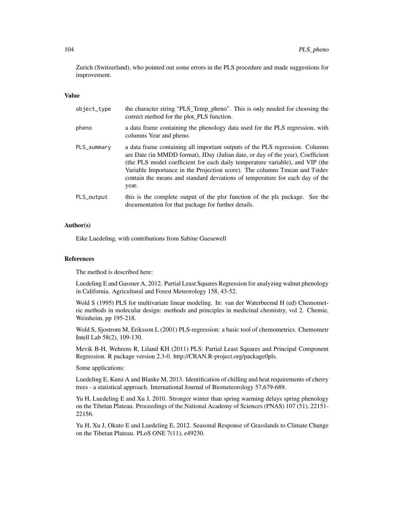Zurich (Switzerland), who pointed out some errors in the PLS procedure and made suggestions for improvement.

#### Value

| object_type | the character string "PLS_Temp_pheno". This is only needed for choosing the<br>correct method for the plot_PLS function.                                                                                                                                                                                                                                                                                               |
|-------------|------------------------------------------------------------------------------------------------------------------------------------------------------------------------------------------------------------------------------------------------------------------------------------------------------------------------------------------------------------------------------------------------------------------------|
| pheno       | a data frame containing the phenology data used for the PLS regression, with<br>columns Year and pheno.                                                                                                                                                                                                                                                                                                                |
| PLS_summary | a data frame containing all important outputs of the PLS regression. Columns<br>are Date (in MMDD format), JDay (Julian date, or day of the year), Coefficient<br>(the PLS model coefficient for each daily temperature variable), and VIP (the<br>Variable Importance in the Projection score). The columns Tmean and Tstdev<br>contain the means and standard deviations of temperature for each day of the<br>year. |
| PLS_output  | this is the complete output of the plsr function of the pls package. See the<br>documentation for that package for further details.                                                                                                                                                                                                                                                                                    |

## Author(s)

Eike Luedeling, with contributions from Sabine Guesewell

#### References

The method is described here:

Luedeling E and Gassner A, 2012. Partial Least Squares Regression for analyzing walnut phenology in California. Agricultural and Forest Meteorology 158, 43-52.

Wold S (1995) PLS for multivariate linear modeling. In: van der Waterbeemd H (ed) Chemometric methods in molecular design: methods and principles in medicinal chemistry, vol 2. Chemie, Weinheim, pp 195-218.

Wold S, Sjostrom M, Eriksson L (2001) PLS-regression: a basic tool of chemometrics. Chemometr Intell Lab 58(2), 109-130.

Mevik B-H, Wehrens R, Liland KH (2011) PLS: Partial Least Squares and Principal Component Regression. R package version 2.3-0. http://CRAN.R-project.org/package0pls.

Some applications:

Luedeling E, Kunz A and Blanke M, 2013. Identification of chilling and heat requirements of cherry trees - a statistical approach. International Journal of Biometeorology 57,679-689.

Yu H, Luedeling E and Xu J, 2010. Stronger winter than spring warming delays spring phenology on the Tibetan Plateau. Proceedings of the National Academy of Sciences (PNAS) 107 (51), 22151- 22156.

Yu H, Xu J, Okuto E and Luedeling E, 2012. Seasonal Response of Grasslands to Climate Change on the Tibetan Plateau. PLoS ONE 7(11), e49230.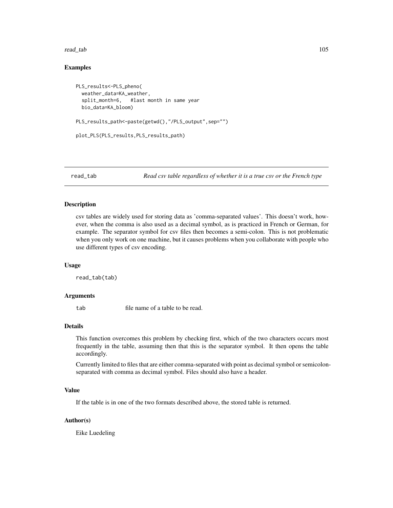#### read\_tab 105

# Examples

```
PLS_results<-PLS_pheno(
 weather_data=KA_weather,
 split_month=6, #last month in same year
 bio_data=KA_bloom)
PLS_results_path<-paste(getwd(),"/PLS_output",sep="")
plot_PLS(PLS_results,PLS_results_path)
```
read\_tab *Read csv table regardless of whether it is a true csv or the French type*

## Description

csv tables are widely used for storing data as 'comma-separated values'. This doesn't work, however, when the comma is also used as a decimal symbol, as is practiced in French or German, for example. The separator symbol for csv files then becomes a semi-colon. This is not problematic when you only work on one machine, but it causes problems when you collaborate with people who use different types of csv encoding.

## Usage

read\_tab(tab)

## Arguments

tab file name of a table to be read.

## Details

This function overcomes this problem by checking first, which of the two characters occurs most frequently in the table, assuming then that this is the separator symbol. It then opens the table accordingly.

Currently limited to files that are either comma-separated with point as decimal symbol or semicolonseparated with comma as decimal symbol. Files should also have a header.

## Value

If the table is in one of the two formats described above, the stored table is returned.

## Author(s)

Eike Luedeling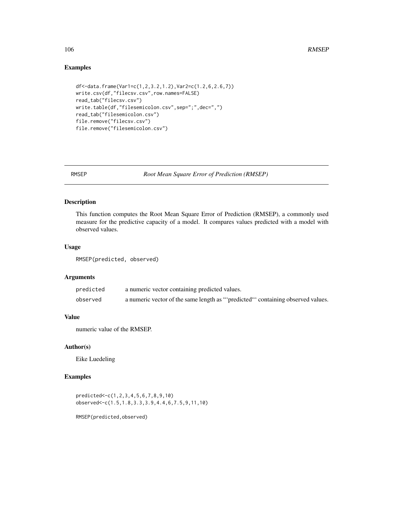# Examples

```
df<-data.frame(Var1=c(1,2,3.2,1.2),Var2=c(1.2,6,2.6,7))
write.csv(df,"filecsv.csv",row.names=FALSE)
read_tab("filecsv.csv")
write.table(df,"filesemicolon.csv",sep=";",dec=",")
read_tab("filesemicolon.csv")
file.remove("filecsv.csv")
file.remove("filesemicolon.csv")
```
RMSEP *Root Mean Square Error of Prediction (RMSEP)*

# Description

This function computes the Root Mean Square Error of Prediction (RMSEP), a commonly used measure for the predictive capacity of a model. It compares values predicted with a model with observed values.

## Usage

RMSEP(predicted, observed)

## Arguments

| predicted | a numeric vector containing predicted values.                                   |
|-----------|---------------------------------------------------------------------------------|
| observed  | a numeric vector of the same length as ""predicted" containing observed values. |

# Value

numeric value of the RMSEP.

## Author(s)

Eike Luedeling

# Examples

```
predicted<-c(1,2,3,4,5,6,7,8,9,10)
observed<-c(1.5,1.8,3.3,3.9,4.4,6,7.5,9,11,10)
```
RMSEP(predicted,observed)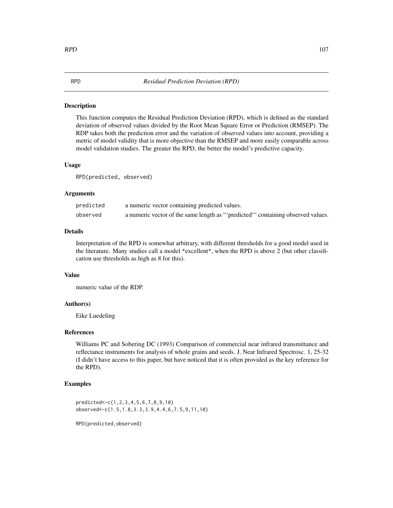## **Description**

This function computes the Residual Prediction Deviation (RPD), which is defined as the standard deviation of observed values divided by the Root Mean Square Error or Prediction (RMSEP). The RDP takes both the prediction error and the variation of observed values into account, providing a metric of model validity that is more objective than the RMSEP and more easily comparable across model validation studies. The greater the RPD, the better the model's predictive capacity.

#### Usage

RPD(predicted, observed)

## Arguments

| predicted | a numeric vector containing predicted values.                                  |
|-----------|--------------------------------------------------------------------------------|
| observed  | a numeric vector of the same length as "predicted" containing observed values. |

#### Details

Interpretation of the RPD is somewhat arbitrary, with different thresholds for a good model used in the literature. Many studies call a model \*excellent\*, when the RPD is above 2 (but other classification use thresholds as high as 8 for this).

## Value

numeric value of the RDP.

## Author(s)

Eike Luedeling

# References

Williams PC and Sobering DC (1993) Comparison of commercial near infrared transmittance and reflectance instruments for analysis of whole grains and seeds. J. Near Infrared Spectrosc. 1, 25-32 (I didn't have access to this paper, but have noticed that it is often provided as the key reference for the RPD).

## Examples

predicted<-c(1,2,3,4,5,6,7,8,9,10) observed<-c(1.5,1.8,3.3,3.9,4.4,6,7.5,9,11,10)

RPD(predicted,observed)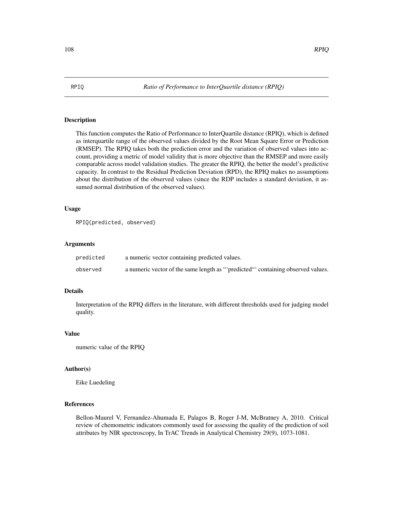## Description

This function computes the Ratio of Performance to InterQuartile distance (RPIQ), which is defined as interquartile range of the observed values divided by the Root Mean Square Error or Prediction (RMSEP). The RPIQ takes both the prediction error and the variation of observed values into account, providing a metric of model validity that is more objective than the RMSEP and more easily comparable across model validation studies. The greater the RPIQ, the better the model's predictive capacity. In contrast to the Residual Prediction Deviation (RPD), the RPIQ makes no assumptions about the distribution of the observed values (since the RDP includes a standard deviation, it assumed normal distribution of the observed values).

# Usage

```
RPIQ(predicted, observed)
```
## Arguments

| predicted | a numeric vector containing predicted values.                                  |
|-----------|--------------------------------------------------------------------------------|
| observed  | a numeric vector of the same length as "predicted" containing observed values. |

## Details

Interpretation of the RPIQ differs in the literature, with different thresholds used for judging model quality.

#### Value

```
numeric value of the RPIQ
```
#### Author(s)

Eike Luedeling

#### References

Bellon-Maurel V, Fernandez-Ahumada E, Palagos B, Roger J-M, McBratney A, 2010. Critical review of chemometric indicators commonly used for assessing the quality of the prediction of soil attributes by NIR spectroscopy, In TrAC Trends in Analytical Chemistry 29(9), 1073-1081.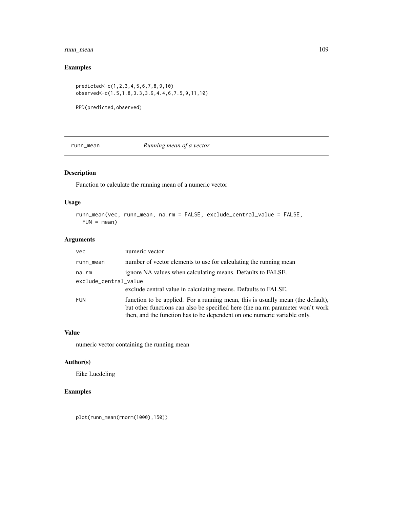# <span id="page-108-0"></span>runn\_mean 109

# Examples

```
predicted<-c(1,2,3,4,5,6,7,8,9,10)
observed<-c(1.5,1.8,3.3,3.9,4.4,6,7.5,9,11,10)
```
RPD(predicted,observed)

# runn\_mean *Running mean of a vector*

# Description

Function to calculate the running mean of a numeric vector

# Usage

```
runn_mean(vec, runn_mean, na.rm = FALSE, exclude_central_value = FALSE,
 FUN = mean)
```
# Arguments

| <b>vec</b>            | numeric vector                                                                                                                                                                                                                                |  |
|-----------------------|-----------------------------------------------------------------------------------------------------------------------------------------------------------------------------------------------------------------------------------------------|--|
| runn_mean             | number of vector elements to use for calculating the running mean                                                                                                                                                                             |  |
| na.rm                 | ignore NA values when calculating means. Defaults to FALSE.                                                                                                                                                                                   |  |
| exclude_central_value |                                                                                                                                                                                                                                               |  |
|                       | exclude central value in calculating means. Defaults to FALSE.                                                                                                                                                                                |  |
| <b>FUN</b>            | function to be applied. For a running mean, this is usually mean (the default),<br>but other functions can also be specified here (the na.rm parameter won't work<br>then, and the function has to be dependent on one numeric variable only. |  |

# Value

numeric vector containing the running mean

#### Author(s)

Eike Luedeling

# Examples

plot(runn\_mean(rnorm(1000),150))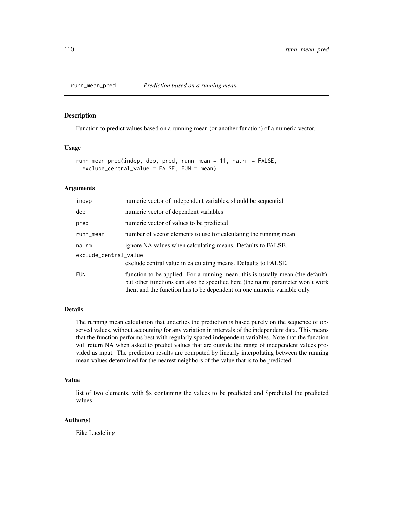<span id="page-109-0"></span>

# Description

Function to predict values based on a running mean (or another function) of a numeric vector.

# Usage

```
runn_mean_pred(indep, dep, pred, runn_mean = 11, na.rm = FALSE,
 exclude_central_value = FALSE, FUN = mean)
```
#### Arguments

| indep                 | numeric vector of independent variables, should be sequential                                                                                                                                                                                 |  |
|-----------------------|-----------------------------------------------------------------------------------------------------------------------------------------------------------------------------------------------------------------------------------------------|--|
| dep                   | numeric vector of dependent variables                                                                                                                                                                                                         |  |
| pred                  | numeric vector of values to be predicted                                                                                                                                                                                                      |  |
| runn_mean             | number of vector elements to use for calculating the running mean                                                                                                                                                                             |  |
| na.rm                 | ignore NA values when calculating means. Defaults to FALSE.                                                                                                                                                                                   |  |
| exclude_central_value |                                                                                                                                                                                                                                               |  |
|                       | exclude central value in calculating means. Defaults to FALSE.                                                                                                                                                                                |  |
| <b>FUN</b>            | function to be applied. For a running mean, this is usually mean (the default),<br>but other functions can also be specified here (the na.rm parameter won't work<br>then, and the function has to be dependent on one numeric variable only. |  |

# Details

The running mean calculation that underlies the prediction is based purely on the sequence of observed values, without accounting for any variation in intervals of the independent data. This means that the function performs best with regularly spaced independent variables. Note that the function will return NA when asked to predict values that are outside the range of independent values provided as input. The prediction results are computed by linearly interpolating between the running mean values determined for the nearest neighbors of the value that is to be predicted.

# Value

list of two elements, with \$x containing the values to be predicted and \$predicted the predicted values

# Author(s)

Eike Luedeling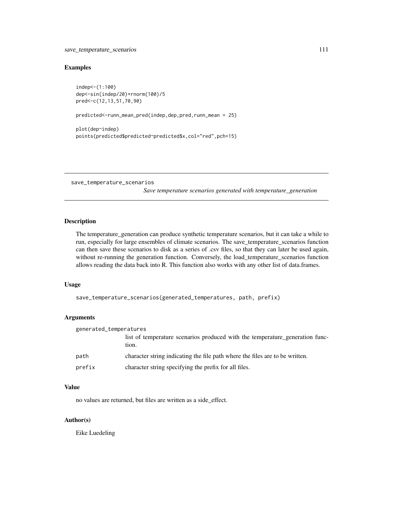# <span id="page-110-0"></span>Examples

indep<-(1:100) dep<-sin(indep/20)+rnorm(100)/5 pred<-c(12,13,51,70,90)

predicted<-runn\_mean\_pred(indep,dep,pred,runn\_mean = 25)

```
plot(dep~indep)
points(predicted$predicted~predicted$x,col="red",pch=15)
```
save\_temperature\_scenarios

*Save temperature scenarios generated with temperature\_generation*

# Description

The temperature\_generation can produce synthetic temperature scenarios, but it can take a while to run, especially for large ensembles of climate scenarios. The save\_temperature\_scenarios function can then save these scenarios to disk as a series of .csv files, so that they can later be used again, without re-running the generation function. Conversely, the load\_temperature\_scenarios function allows reading the data back into R. This function also works with any other list of data.frames.

#### Usage

```
save_temperature_scenarios(generated_temperatures, path, prefix)
```
# Arguments

| generated_temperatures |                                                                                       |
|------------------------|---------------------------------------------------------------------------------------|
|                        | list of temperature scenarios produced with the temperature generation func-<br>tion. |
| path                   | character string indicating the file path where the files are to be written.          |
| prefix                 | character string specifying the prefix for all files.                                 |

#### Value

no values are returned, but files are written as a side\_effect.

#### Author(s)

Eike Luedeling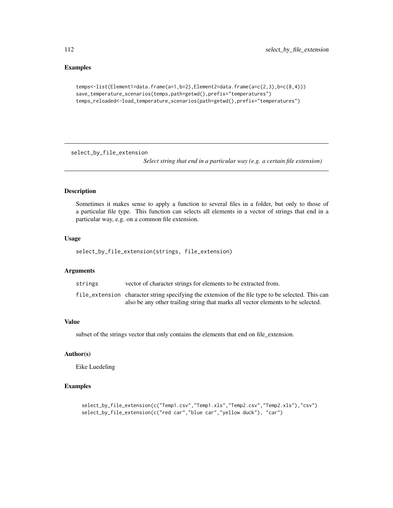# Examples

```
temps<-list(Element1=data.frame(a=1,b=2),Element2=data.frame(a=c(2,3),b=c(8,4)))
save_temperature_scenarios(temps,path=getwd(),prefix="temperatures")
temps_reloaded<-load_temperature_scenarios(path=getwd(),prefix="temperatures")
```
select\_by\_file\_extension

*Select string that end in a particular way (e.g. a certain file extension)*

#### Description

Sometimes it makes sense to apply a function to several files in a folder, but only to those of a particular file type. This function can selects all elements in a vector of strings that end in a particular way, e.g. on a common file extension.

#### Usage

select\_by\_file\_extension(strings, file\_extension)

# Arguments

| strings | vector of character strings for elements to be extracted from.                                     |
|---------|----------------------------------------------------------------------------------------------------|
|         | file_extension character string specifying the extension of the file type to be selected. This can |
|         | also be any other trailing string that marks all vector elements to be selected.                   |

#### Value

subset of the strings vector that only contains the elements that end on file\_extension.

# Author(s)

Eike Luedeling

# Examples

```
select_by_file_extension(c("Temp1.csv","Temp1.xls","Temp2.csv","Temp2.xls"),"csv")
select_by_file_extension(c("red car","blue car","yellow duck"), "car")
```
<span id="page-111-0"></span>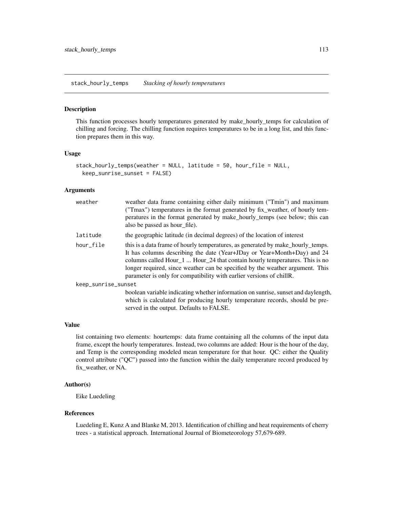# <span id="page-112-0"></span>Description

This function processes hourly temperatures generated by make\_hourly\_temps for calculation of chilling and forcing. The chilling function requires temperatures to be in a long list, and this function prepares them in this way.

#### Usage

```
stack_hourly_temps(weather = NULL, latitude = 50, hour_file = NULL,
 keep_sunrise_sunset = FALSE)
```
# Arguments

| weather             | weather data frame containing either daily minimum ("Tmin") and maximum<br>("Tmax") temperatures in the format generated by fix_weather, of hourly tem-<br>peratures in the format generated by make_hourly_temps (see below; this can<br>also be passed as hour file).                                                                                                                            |
|---------------------|----------------------------------------------------------------------------------------------------------------------------------------------------------------------------------------------------------------------------------------------------------------------------------------------------------------------------------------------------------------------------------------------------|
| latitude            | the geographic latitude (in decimal degrees) of the location of interest                                                                                                                                                                                                                                                                                                                           |
| hour_file           | this is a data frame of hourly temperatures, as generated by make_hourly_temps.<br>It has columns describing the date (Year+JDay or Year+Month+Day) and 24<br>columns called Hour_1  Hour_24 that contain hourly temperatures. This is no<br>longer required, since weather can be specified by the weather argument. This<br>parameter is only for compatibility with earlier versions of chillR. |
| keep_sunrise_sunset |                                                                                                                                                                                                                                                                                                                                                                                                    |
|                     | boolean variable indicating whether information on sunrise, sunset and daylength,<br>which is calculated for producing hourly temperature records, should be pre-<br>served in the output. Defaults to FALSE.                                                                                                                                                                                      |

# Value

list containing two elements: hourtemps: data frame containing all the columns of the input data frame, except the hourly temperatures. Instead, two columns are added: Hour is the hour of the day, and Temp is the corresponding modeled mean temperature for that hour. QC: either the Quality control attribute ("QC") passed into the function within the daily temperature record produced by fix\_weather, or NA.

# Author(s)

Eike Luedeling

#### References

Luedeling E, Kunz A and Blanke M, 2013. Identification of chilling and heat requirements of cherry trees - a statistical approach. International Journal of Biometeorology 57,679-689.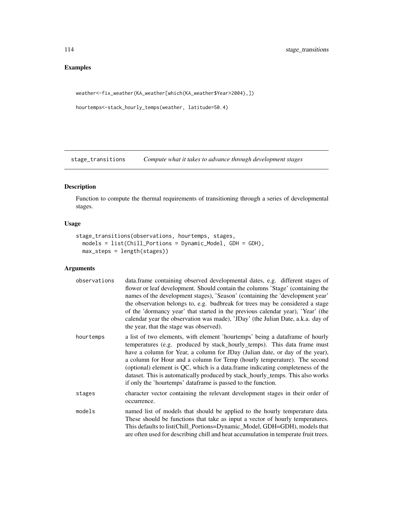# <span id="page-113-0"></span>Examples

```
weather<-fix_weather(KA_weather[which(KA_weather$Year>2004),])
```

```
hourtemps<-stack_hourly_temps(weather, latitude=50.4)
```
stage\_transitions *Compute what it takes to advance through development stages*

# Description

Function to compute the thermal requirements of transitioning through a series of developmental stages.

# Usage

```
stage_transitions(observations, hourtemps, stages,
 models = list(Chill_Portions = Dynamic_Model, GDH = GDH),
 max_steps = length(stages))
```
# Arguments

| observations | data.frame containing observed developmental dates, e.g. different stages of<br>flower or leaf development. Should contain the columns 'Stage' (containing the<br>names of the development stages), 'Season' (containing the 'development year'<br>the observation belongs to, e.g. budbreak for trees may be considered a stage<br>of the 'dormancy year' that started in the previous calendar year), 'Year' (the<br>calendar year the observation was made), 'JDay' (the Julian Date, a.k.a. day of<br>the year, that the stage was observed).         |
|--------------|-----------------------------------------------------------------------------------------------------------------------------------------------------------------------------------------------------------------------------------------------------------------------------------------------------------------------------------------------------------------------------------------------------------------------------------------------------------------------------------------------------------------------------------------------------------|
| hourtemps    | a list of two elements, with element 'hourtemps' being a data frame of hourly<br>temperatures (e.g. produced by stack_hourly_temps). This data frame must<br>have a column for Year, a column for JDay (Julian date, or day of the year),<br>a column for Hour and a column for Temp (hourly temperature). The second<br>(optional) element is QC, which is a data.frame indicating completeness of the<br>dataset. This is automatically produced by stack_hourly_temps. This also works<br>if only the 'hourtemps' dataframe is passed to the function. |
| stages       | character vector containing the relevant development stages in their order of<br>occurrence.                                                                                                                                                                                                                                                                                                                                                                                                                                                              |
| models       | named list of models that should be applied to the hourly temperature data.<br>These should be functions that take as input a vector of hourly temperatures.<br>This defaults to list(Chill_Portions=Dynamic_Model, GDH=GDH), models that<br>are often used for describing chill and heat accumulation in temperate fruit trees.                                                                                                                                                                                                                          |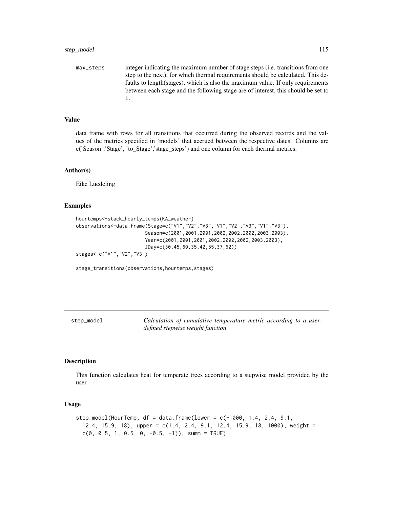<span id="page-114-0"></span>max\_steps integer indicating the maximum number of stage steps (i.e. transitions from one step to the next), for which thermal requirements should be calculated. This defaults to length(stages), which is also the maximum value. If only requirements between each stage and the following stage are of interest, this should be set to 1.

# Value

data frame with rows for all transitions that occurred during the observed records and the values of the metrics specified in 'models' that accrued between the respective dates. Columns are c('Season','Stage', 'to\_Stage','stage\_steps') and one column for each thermal metrics.

#### Author(s)

Eike Luedeling

#### Examples

```
hourtemps<-stack_hourly_temps(KA_weather)
observations<-data.frame(Stage=c("V1","V2","V3","V1","V2","V3","V1","V3"),
                        Season=c(2001,2001,2001,2002,2002,2002,2003,2003),
                        Year=c(2001,2001,2001,2002,2002,2002,2003,2003),
                        JDay=c(30,45,60,35,42,55,37,62))
stages<-c("V1","V2","V3")
```
stage\_transitions(observations,hourtemps,stages)

| step_model | Calculation of cumulative temperature metric according to a user- |
|------------|-------------------------------------------------------------------|
|            | defined stepwise weight function                                  |

#### Description

This function calculates heat for temperate trees according to a stepwise model provided by the user.

#### Usage

```
step_model(HourTemp, df = data frame(lower = c(-1000, 1.4, 2.4, 9.1, ...)12.4, 15.9, 18), upper = c(1.4, 2.4, 9.1, 12.4, 15.9, 18, 1000), weight =
  c(0, 0.5, 1, 0.5, 0, -0.5, -1), summ = TRUE)
```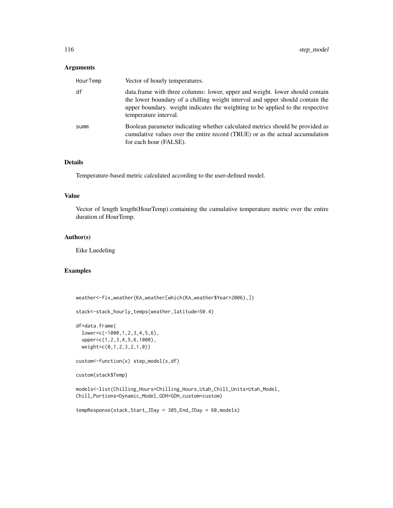# Arguments

| HourTemp | Vector of hourly temperatures.                                                                                                                                                                                                                                            |
|----------|---------------------------------------------------------------------------------------------------------------------------------------------------------------------------------------------------------------------------------------------------------------------------|
| df       | data. frame with three columns: lower, upper and weight. lower should contain<br>the lower boundary of a chilling weight interval and upper should contain the<br>upper boundary, weight indicates the weighting to be applied to the respective<br>temperature interval. |
| summ     | Boolean parameter indicating whether calculated metrics should be provided as<br>cumulative values over the entire record (TRUE) or as the actual accumulation<br>for each hour (FALSE).                                                                                  |

# Details

Temperature-based metric calculated according to the user-defined model.

# Value

Vector of length length(HourTemp) containing the cumulative temperature metric over the entire duration of HourTemp.

# Author(s)

Eike Luedeling

#### Examples

```
weather<-fix_weather(KA_weather[which(KA_weather$Year>2006),])
```

```
stack<-stack_hourly_temps(weather,latitude=50.4)
```

```
df=data.frame(
 lower=c(-1000,1,2,3,4,5,6),
 upper=c(1,2,3,4,5,6,1000),
 weight=c(0,1,2,3,2,1,0))
```
custom<-function(x) step\_model(x,df)

```
custom(stack$Temp)
```

```
models<-list(Chilling_Hours=Chilling_Hours,Utah_Chill_Units=Utah_Model,
Chill_Portions=Dynamic_Model,GDH=GDH,custom=custom)
```

```
tempResponse(stack,Start_JDay = 305,End_JDay = 60,models)
```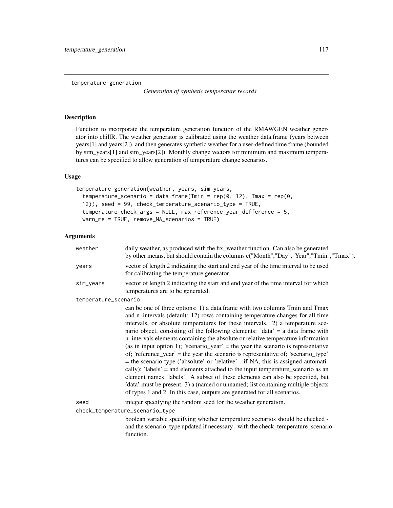<span id="page-116-0"></span>temperature\_generation

*Generation of synthetic temperature records*

# Description

Function to incorporate the temperature generation function of the RMAWGEN weather generator into chillR. The weather generator is calibrated using the weather data.frame (years between years[1] and years[2]), and then generates synthetic weather for a user-defined time frame (bounded by sim\_years[1] and sim\_years[2]). Monthly change vectors for minimum and maximum temperatures can be specified to allow generation of temperature change scenarios.

# Usage

```
temperature_generation(weather, years, sim_years,
 temperature_scenario = data.frame(Tmin = rep(0, 12), Tmax = rep(0,12)), seed = 99, check_temperature_scenario_type = TRUE,
  temperature_check_args = NULL, max_reference_year_difference = 5,
 warn_me = TRUE, remove_NA_scenarios = TRUE)
```
# Arguments

| weather              | daily weather, as produced with the fix_weather function. Can also be generated<br>by other means, but should contain the columns c("Month","Day","Year","Tmin","Tmax").                                                                                                                                                                                                                                                                                                                                                                                                                                                                                                                                                                                                                                                                                                                                                                                                                                                   |
|----------------------|----------------------------------------------------------------------------------------------------------------------------------------------------------------------------------------------------------------------------------------------------------------------------------------------------------------------------------------------------------------------------------------------------------------------------------------------------------------------------------------------------------------------------------------------------------------------------------------------------------------------------------------------------------------------------------------------------------------------------------------------------------------------------------------------------------------------------------------------------------------------------------------------------------------------------------------------------------------------------------------------------------------------------|
| years                | vector of length 2 indicating the start and end year of the time interval to be used<br>for calibrating the temperature generator.                                                                                                                                                                                                                                                                                                                                                                                                                                                                                                                                                                                                                                                                                                                                                                                                                                                                                         |
| sim_years            | vector of length 2 indicating the start and end year of the time interval for which<br>temperatures are to be generated.                                                                                                                                                                                                                                                                                                                                                                                                                                                                                                                                                                                                                                                                                                                                                                                                                                                                                                   |
| temperature_scenario |                                                                                                                                                                                                                                                                                                                                                                                                                                                                                                                                                                                                                                                                                                                                                                                                                                                                                                                                                                                                                            |
|                      | can be one of three options: 1) a data.frame with two columns Tmin and Tmax<br>and n_intervals (default: 12) rows containing temperature changes for all time<br>intervals, or absolute temperatures for these intervals. 2) a temperature sce-<br>nario object, consisting of the following elements: 'data' = a data frame with<br>n_intervals elements containing the absolute or relative temperature information<br>(as in input option 1); 'scenario_year' = the year the scenario is representative<br>of; 'reference_year' = the year the scenario is representative of; 'scenario_type'<br>= the scenario type ('absolute' or 'relative' - if NA, this is assigned automati-<br>cally); 'labels' = and elements attached to the input temperature_scenario as an<br>element names 'labels'. A subset of these elements can also be specified, but<br>'data' must be present. 3) a (named or unnamed) list containing multiple objects<br>of types 1 and 2. In this case, outputs are generated for all scenarios. |
| seed                 | integer specifying the random seed for the weather generation.                                                                                                                                                                                                                                                                                                                                                                                                                                                                                                                                                                                                                                                                                                                                                                                                                                                                                                                                                             |
|                      | check_temperature_scenario_type<br>boolean variable specifying whether temperature scenarios should be checked -<br>and the scenario_type updated if necessary - with the check_temperature_scenario<br>function.                                                                                                                                                                                                                                                                                                                                                                                                                                                                                                                                                                                                                                                                                                                                                                                                          |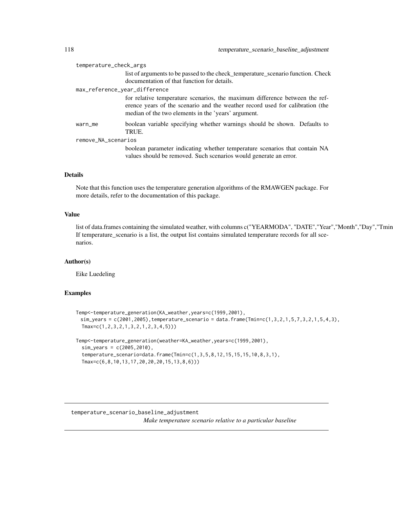<span id="page-117-0"></span>

| temperature_check_args        |                                                                                                                                                                                                                     |
|-------------------------------|---------------------------------------------------------------------------------------------------------------------------------------------------------------------------------------------------------------------|
|                               | list of arguments to be passed to the check_temperature_scenario function. Check<br>documentation of that function for details.                                                                                     |
| max_reference_year_difference |                                                                                                                                                                                                                     |
|                               | for relative temperature scenarios, the maximum difference between the ref-<br>erence years of the scenario and the weather record used for calibration (the<br>median of the two elements in the 'years' argument. |
| warn_me                       | boolean variable specifying whether warnings should be shown. Defaults to<br>TRUE.                                                                                                                                  |
| remove_NA_scenarios           |                                                                                                                                                                                                                     |
|                               | boolean parameter indicating whether temperature scenarios that contain NA<br>values should be removed. Such scenarios would generate an error.                                                                     |

# Details

Note that this function uses the temperature generation algorithms of the RMAWGEN package. For more details, refer to the documentation of this package.

# Value

list of data.frames containing the simulated weather, with columns c("YEARMODA", "DATE","Year","Month","Day","Tmin If temperature\_scenario is a list, the output list contains simulated temperature records for all scenarios.

# Author(s)

Eike Luedeling

# Examples

```
Temp<-temperature_generation(KA_weather,years=c(1999,2001),
 sim_years = c(2001,2005),temperature_scenario = data.frame(Tmin=c(1,3,2,1,5,7,3,2,1,5,4,3),
  Tmax=c(1,2,3,2,1,3,2,1,2,3,4,5)))
Temp<-temperature_generation(weather=KA_weather,years=c(1999,2001),
  sim_years = c(2005,2010),
  temperature_scenario=data.frame(Tmin=c(1,3,5,8,12,15,15,15,10,8,3,1),
  Tmax=c(6,8,10,13,17,20,20,20,15,13,8,6)))
```
temperature\_scenario\_baseline\_adjustment *Make temperature scenario relative to a particular baseline*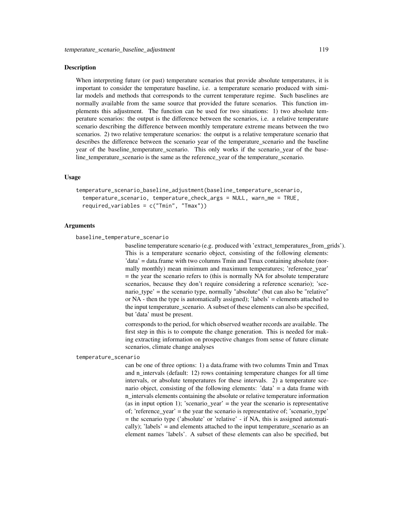#### Description

When interpreting future (or past) temperature scenarios that provide absolute temperatures, it is important to consider the temperature baseline, i.e. a temperature scenario produced with similar models and methods that corresponds to the current temperature regime. Such baselines are normally available from the same source that provided the future scenarios. This function implements this adjustment. The function can be used for two situations: 1) two absolute temperature scenarios: the output is the difference between the scenarios, i.e. a relative temperature scenario describing the difference between monthly temperature extreme means between the two scenarios. 2) two relative temperature scenarios: the output is a relative temperature scenario that describes the difference between the scenario year of the temperature scenario and the baseline year of the baseline\_temperature\_scenario. This only works if the scenario\_year of the baseline temperature scenario is the same as the reference year of the temperature scenario.

#### Usage

```
temperature_scenario_baseline_adjustment(baseline_temperature_scenario,
 temperature_scenario, temperature_check_args = NULL, warn_me = TRUE,
 required_variables = c("Tmin", "Tmax"))
```
# Arguments

baseline\_temperature\_scenario

baseline temperature scenario (e.g. produced with 'extract\_temperatures\_from\_grids'). This is a temperature scenario object, consisting of the following elements: 'data' = data.frame with two columns Tmin and Tmax containing absolute (normally monthly) mean minimum and maximum temperatures; 'reference\_year'  $=$  the year the scenario refers to (this is normally NA for absolute temperature scenarios, because they don't require considering a reference scenario); 'scenario\_type' = the scenario type, normally "absolute" (but can also be "relative" or NA - then the type is automatically assigned); 'labels' = elements attached to the input temperature\_scenario. A subset of these elements can also be specified, but 'data' must be present.

corresponds to the period, for which observed weather records are available. The first step in this is to compute the change generation. This is needed for making extracting information on prospective changes from sense of future climate scenarios, climate change analyses

temperature\_scenario

can be one of three options: 1) a data.frame with two columns Tmin and Tmax and n\_intervals (default: 12) rows containing temperature changes for all time intervals, or absolute temperatures for these intervals. 2) a temperature scenario object, consisting of the following elements: 'data' = a data frame with n\_intervals elements containing the absolute or relative temperature information (as in input option 1); 'scenario\_year' = the year the scenario is representative of; 'reference year' = the year the scenario is representative of; 'scenario type' = the scenario type ('absolute' or 'relative' - if NA, this is assigned automatically); 'labels' = and elements attached to the input temperature scenario as an element names 'labels'. A subset of these elements can also be specified, but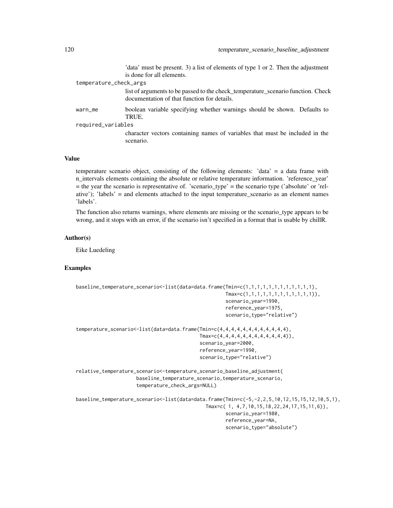'data' must be present. 3) a list of elements of type 1 or 2. Then the adjustment is done for all elements.

| temperature_check_args |                                                                                                                                 |  |
|------------------------|---------------------------------------------------------------------------------------------------------------------------------|--|
|                        | list of arguments to be passed to the check temperature scenario function. Check<br>documentation of that function for details. |  |
| warn_me                | boolean variable specifying whether warnings should be shown. Defaults to<br>TRUE.                                              |  |
| required_variables     |                                                                                                                                 |  |
|                        | character vectors containing names of variables that must be included in the<br>scenario.                                       |  |

# Value

temperature scenario object, consisting of the following elements: 'data' = a data frame with n\_intervals elements containing the absolute or relative temperature information. 'reference\_year' = the year the scenario is representative of. 'scenario\_type' = the scenario type ('absolute' or 'relative'); 'labels' = and elements attached to the input temperature\_scenario as an element names 'labels'.

The function also returns warnings, where elements are missing or the scenario\_type appears to be wrong, and it stops with an error, if the scenario isn't specified in a format that is usable by chillR.

#### Author(s)

Eike Luedeling

# Examples

```
baseline_temperature_scenario<-list(data=data.frame(Tmin=c(1,1,1,1,1,1,1,1,1,1,1,1),
                                                    Tmax=c(1,1,1,1,1,1,1,1,1,1,1,1)),
                                                    scenario_year=1990,
                                                    reference_year=1975,
                                                    scenario_type="relative")
temperature_scenario<-list(data=data.frame(Tmin=c(4,4,4,4,4,4,4,4,4,4,4,4),
                                           Tmax=c(4,4,4,4,4,4,4,4,4,4,4,4)),
                                           scenario_year=2000,
                                           reference_year=1990,
                                           scenario_type="relative")
relative_temperature_scenario<-temperature_scenario_baseline_adjustment(
                     baseline_temperature_scenario,temperature_scenario,
                     temperature_check_args=NULL)
baseline_temperature_scenario<-list(data=data.frame(Tmin=c(-5,-2,2,5,10,12,15,15,12,10,5,1),
                                             Tmax=c( 1, 4,7,10,15,18,22,24,17,15,11,6)),
                                                    scenario_year=1980,
                                                    reference_year=NA,
                                                    scenario_type="absolute")
```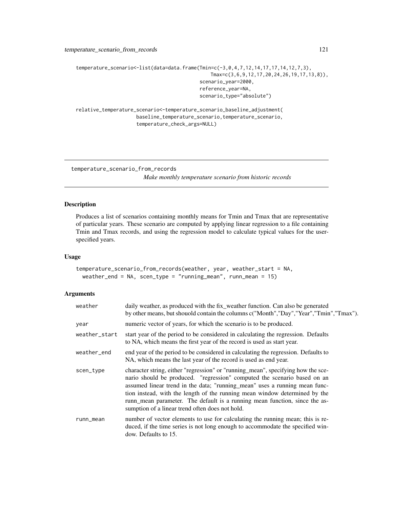```
temperature_scenario<-list(data=data.frame(Tmin=c(-3,0,4,7,12,14,17,17,14,12,7,3),
                                               Tmax=c(3,6,9,12,17,20,24,26,19,17,13,8)),
                                           scenario_year=2000,
                                           reference_year=NA,
                                           scenario_type="absolute")
```
relative\_temperature\_scenario<-temperature\_scenario\_baseline\_adjustment( baseline\_temperature\_scenario,temperature\_scenario, temperature\_check\_args=NULL)

temperature\_scenario\_from\_records

*Make monthly temperature scenario from historic records*

# Description

Produces a list of scenarios containing monthly means for Tmin and Tmax that are representative of particular years. These scenario are computed by applying linear regression to a file containing Tmin and Tmax records, and using the regression model to calculate typical values for the userspecified years.

#### Usage

```
temperature_scenario_from_records(weather, year, weather_start = NA,
 weather_end = NA, scen_type = "running_mean", runn_mean = 15)
```
#### Arguments

| weather       | daily weather, as produced with the fix_weather function. Can also be generated<br>by other means, but shouold contain the columns c("Month","Day","Year","Tmin","Tmax").                                                                                                                                                                                                                                                                                 |
|---------------|-----------------------------------------------------------------------------------------------------------------------------------------------------------------------------------------------------------------------------------------------------------------------------------------------------------------------------------------------------------------------------------------------------------------------------------------------------------|
| year          | numeric vector of years, for which the scenario is to be produced.                                                                                                                                                                                                                                                                                                                                                                                        |
| weather_start | start year of the period to be considered in calculating the regression. Defaults<br>to NA, which means the first year of the record is used as start year.                                                                                                                                                                                                                                                                                               |
| weather_end   | end year of the period to be considered in calculating the regression. Defaults to<br>NA, which means the last year of the record is used as end year.                                                                                                                                                                                                                                                                                                    |
| scen_type     | character string, either "regression" or "running_mean", specifying how the sce-<br>nario should be produced. "regression" computed the scenario based on an<br>assumed linear trend in the data; "running_mean" uses a running mean func-<br>tion instead, with the length of the running mean window determined by the<br>runn_mean parameter. The default is a running mean function, since the as-<br>sumption of a linear trend often does not hold. |
| runn_mean     | number of vector elements to use for calculating the running mean; this is re-<br>duced, if the time series is not long enough to accommodate the specified win-<br>dow. Defaults to 15.                                                                                                                                                                                                                                                                  |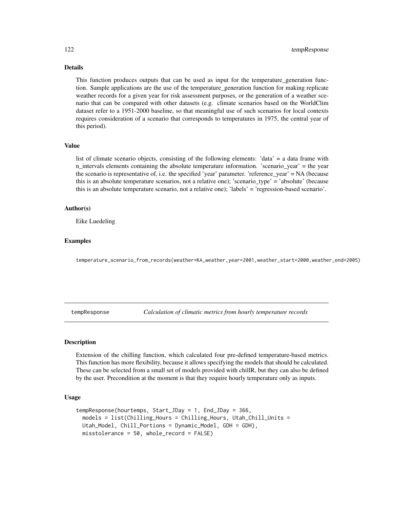# <span id="page-121-0"></span>Details

This function produces outputs that can be used as input for the temperature\_generation function. Sample applications are the use of the temperature\_generation function for making replicate weather records for a given year for risk assessment purposes, or the generation of a weather scenario that can be compared with other datasets (e.g. climate scenarios based on the WorldClim dataset refer to a 1951-2000 baseline, so that meaningful use of such scenarios for local contexts requires consideration of a scenario that corresponds to temperatures in 1975, the central year of this period).

## Value

list of climate scenario objects, consisting of the following elements: 'data' = a data frame with n\_intervals elements containing the absolute temperature information. 'scenario\_year' = the year the scenario is representative of, i.e. the specified 'year' parameter. 'reference\_year' = NA (because this is an absolute temperature scenarios, not a relative one); 'scenario\_type' = 'absolute' (because this is an absolute temperature scenario, not a relative one); 'labels' = 'regression-based scenario'.

# Author(s)

Eike Luedeling

#### Examples

temperature\_scenario\_from\_records(weather=KA\_weather,year=2001,weather\_start=2000,weather\_end=2005)

tempResponse *Calculation of climatic metrics from hourly temperature records*

# Description

Extension of the chilling function, which calculated four pre-defined temperature-based metrics. This function has more flexibility, because it allows specifying the models that should be calculated. These can be selected from a small set of models provided with chillR, but they can also be defined by the user. Precondition at the moment is that they require hourly temperature only as inputs.

#### Usage

```
tempResponse(hourtemps, Start_JDay = 1, End_JDay = 366,
 models = list(Chilling_Hours = Chilling_Hours, Utah_Chill_Units =
 Utah_Model, Chill_Portions = Dynamic_Model, GDH = GDH),
  misstolerance = 50, whole_record = FALSE)
```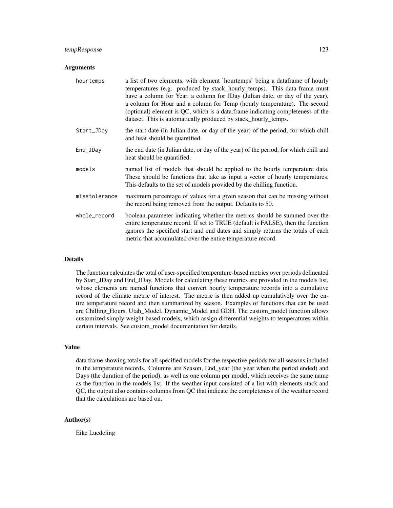# tempResponse 123

#### **Arguments**

| hourtemps     | a list of two elements, with element 'hourtemps' being a dataframe of hourly<br>temperatures (e.g. produced by stack_hourly_temps). This data frame must<br>have a column for Year, a column for JDay (Julian date, or day of the year),<br>a column for Hour and a column for Temp (hourly temperature). The second<br>(optional) element is QC, which is a data frame indicating completeness of the<br>dataset. This is automatically produced by stack_hourly_temps. |
|---------------|--------------------------------------------------------------------------------------------------------------------------------------------------------------------------------------------------------------------------------------------------------------------------------------------------------------------------------------------------------------------------------------------------------------------------------------------------------------------------|
| Start_JDay    | the start date (in Julian date, or day of the year) of the period, for which chill<br>and heat should be quantified.                                                                                                                                                                                                                                                                                                                                                     |
| End_JDay      | the end date (in Julian date, or day of the year) of the period, for which chill and<br>heat should be quantified.                                                                                                                                                                                                                                                                                                                                                       |
| models        | named list of models that should be applied to the hourly temperature data.<br>These should be functions that take as input a vector of hourly temperatures.<br>This defaults to the set of models provided by the chilling function.                                                                                                                                                                                                                                    |
| misstolerance | maximum percentage of values for a given season that can be missing without<br>the record being removed from the output. Defaults to 50.                                                                                                                                                                                                                                                                                                                                 |
| whole_record  | boolean parameter indicating whether the metrics should be summed over the<br>entire temperature record. If set to TRUE (default is FALSE), then the function<br>ignores the specified start and end dates and simply returns the totals of each<br>metric that accumulated over the entire temperature record.                                                                                                                                                          |

# Details

The function calculates the total of user-specified temperature-based metrics over periods delineated by Start\_JDay and End\_JDay. Models for calculating these metrics are provided in the models list, whose elements are named functions that convert hourly temperature records into a cumulative record of the climate metric of interest. The metric is then added up cumulatively over the entire temperature record and then summarized by season. Examples of functions that can be used are Chilling\_Hours, Utah\_Model, Dynamic\_Model and GDH. The custom\_model function allows customized simply weight-based models, which assign differential weights to temperatures within certain intervals. See custom\_model documentation for details.

#### Value

data frame showing totals for all specified models for the respective periods for all seasons included in the temperature records. Columns are Season, End\_year (the year when the period ended) and Days (the duration of the period), as well as one column per model, which receives the same name as the function in the models list. If the weather input consisted of a list with elements stack and QC, the output also contains columns from QC that indicate the completeness of the weather record that the calculations are based on.

# Author(s)

Eike Luedeling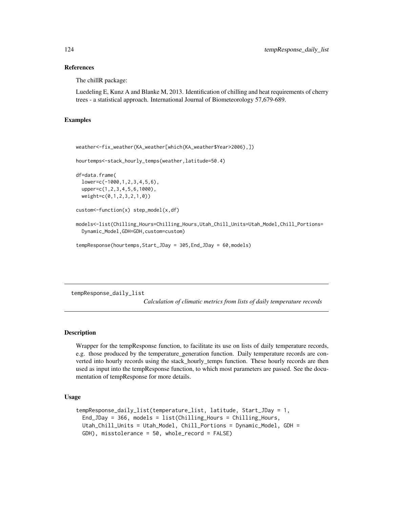#### References

The chillR package:

Luedeling E, Kunz A and Blanke M, 2013. Identification of chilling and heat requirements of cherry trees - a statistical approach. International Journal of Biometeorology 57,679-689.

# Examples

```
weather<-fix_weather(KA_weather[which(KA_weather$Year>2006),])
```

```
hourtemps<-stack_hourly_temps(weather,latitude=50.4)
```

```
df=data.frame(
 lower=c(-1000,1,2,3,4,5,6),
 upper=c(1,2,3,4,5,6,1000),
 weight=c(0,1,2,3,2,1,0))
```

```
custom<-function(x) step_model(x,df)
```

```
models<-list(Chilling_Hours=Chilling_Hours,Utah_Chill_Units=Utah_Model,Chill_Portions=
 Dynamic_Model,GDH=GDH,custom=custom)
```
tempResponse(hourtemps,Start\_JDay = 305,End\_JDay = 60,models)

tempResponse\_daily\_list

*Calculation of climatic metrics from lists of daily temperature records*

# **Description**

Wrapper for the tempResponse function, to facilitate its use on lists of daily temperature records, e.g. those produced by the temperature generation function. Daily temperature records are converted into hourly records using the stack\_hourly\_temps function. These hourly records are then used as input into the tempResponse function, to which most parameters are passed. See the documentation of tempResponse for more details.

#### Usage

```
tempResponse_daily_list(temperature_list, latitude, Start_JDay = 1,
 End_JDay = 366, models = list(Chilling_Hours = Chilling_Hours,
 Utah_Chill_Units = Utah_Model, Chill_Portions = Dynamic_Model, GDH =
  GDH), misstolerance = 50, whole_record = FALSE)
```
<span id="page-123-0"></span>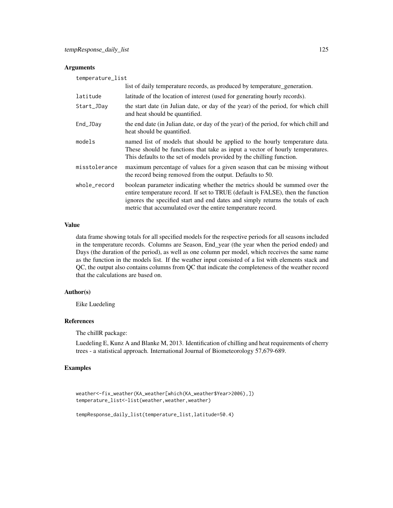# Arguments

| temperature_list |                                                                                                                                                                                                                                                                                                                 |  |
|------------------|-----------------------------------------------------------------------------------------------------------------------------------------------------------------------------------------------------------------------------------------------------------------------------------------------------------------|--|
|                  | list of daily temperature records, as produced by temperature_generation.                                                                                                                                                                                                                                       |  |
| latitude         | latitude of the location of interest (used for generating hourly records).                                                                                                                                                                                                                                      |  |
| Start_JDay       | the start date (in Julian date, or day of the year) of the period, for which chill<br>and heat should be quantified.                                                                                                                                                                                            |  |
| End_JDay         | the end date (in Julian date, or day of the year) of the period, for which chill and<br>heat should be quantified.                                                                                                                                                                                              |  |
| models           | named list of models that should be applied to the hourly temperature data.<br>These should be functions that take as input a vector of hourly temperatures.<br>This defaults to the set of models provided by the chilling function.                                                                           |  |
| misstolerance    | maximum percentage of values for a given season that can be missing without<br>the record being removed from the output. Defaults to 50.                                                                                                                                                                        |  |
| whole_record     | boolean parameter indicating whether the metrics should be summed over the<br>entire temperature record. If set to TRUE (default is FALSE), then the function<br>ignores the specified start and end dates and simply returns the totals of each<br>metric that accumulated over the entire temperature record. |  |

#### Value

data frame showing totals for all specified models for the respective periods for all seasons included in the temperature records. Columns are Season, End\_year (the year when the period ended) and Days (the duration of the period), as well as one column per model, which receives the same name as the function in the models list. If the weather input consisted of a list with elements stack and QC, the output also contains columns from QC that indicate the completeness of the weather record that the calculations are based on.

# Author(s)

Eike Luedeling

# References

The chillR package:

Luedeling E, Kunz A and Blanke M, 2013. Identification of chilling and heat requirements of cherry trees - a statistical approach. International Journal of Biometeorology 57,679-689.

# Examples

```
weather<-fix_weather(KA_weather[which(KA_weather$Year>2006),])
temperature_list<-list(weather,weather,weather)
```

```
tempResponse_daily_list(temperature_list,latitude=50.4)
```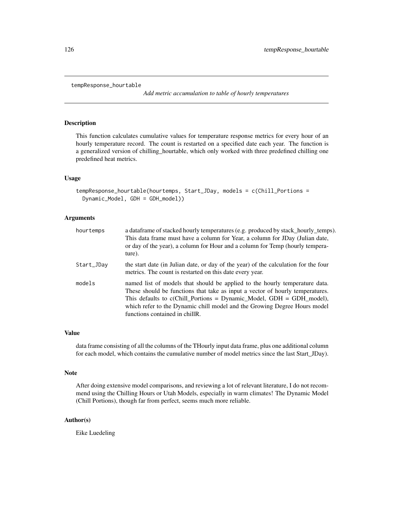```
tempResponse_hourtable
```
*Add metric accumulation to table of hourly temperatures*

# Description

This function calculates cumulative values for temperature response metrics for every hour of an hourly temperature record. The count is restarted on a specified date each year. The function is a generalized version of chilling\_hourtable, which only worked with three predefined chilling one predefined heat metrics.

#### Usage

```
tempResponse_hourtable(hourtemps, Start_JDay, models = c(Chill_Portions =
 Dynamic_Model, GDH = GDH_model))
```
#### Arguments

| hourtemps  | a dataframe of stacked hourly temperatures (e.g. produced by stack_hourly_temps).<br>This data frame must have a column for Year, a column for JDay (Julian date,<br>or day of the year), a column for Hour and a column for Temp (hourly tempera-<br>ture).                                                                                           |
|------------|--------------------------------------------------------------------------------------------------------------------------------------------------------------------------------------------------------------------------------------------------------------------------------------------------------------------------------------------------------|
| Start_JDay | the start date (in Julian date, or day of the year) of the calculation for the four<br>metrics. The count is restarted on this date every year.                                                                                                                                                                                                        |
| models     | named list of models that should be applied to the hourly temperature data.<br>These should be functions that take as input a vector of hourly temperatures.<br>This defaults to $c$ (Chill_Portions = Dynamic_Model, GDH = GDH_model),<br>which refer to the Dynamic chill model and the Growing Degree Hours model<br>functions contained in chillR. |

#### Value

data frame consisting of all the columns of the THourly input data frame, plus one additional column for each model, which contains the cumulative number of model metrics since the last Start\_JDay).

#### Note

After doing extensive model comparisons, and reviewing a lot of relevant literature, I do not recommend using the Chilling Hours or Utah Models, especially in warm climates! The Dynamic Model (Chill Portions), though far from perfect, seems much more reliable.

# Author(s)

Eike Luedeling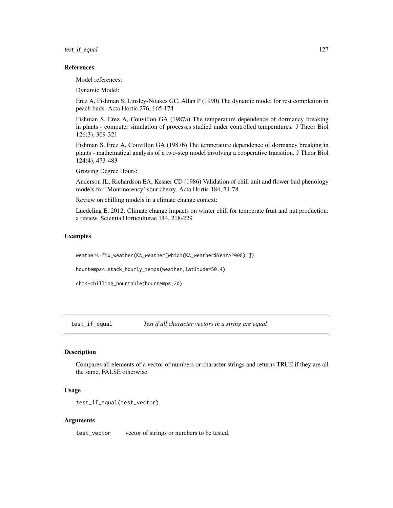<span id="page-126-0"></span>test\_if\_equal 127

#### References

Model references:

Dynamic Model:

Erez A, Fishman S, Linsley-Noakes GC, Allan P (1990) The dynamic model for rest completion in peach buds. Acta Hortic 276, 165-174

Fishman S, Erez A, Couvillon GA (1987a) The temperature dependence of dormancy breaking in plants - computer simulation of processes studied under controlled temperatures. J Theor Biol 126(3), 309-321

Fishman S, Erez A, Couvillon GA (1987b) The temperature dependence of dormancy breaking in plants - mathematical analysis of a two-step model involving a cooperative transition. J Theor Biol 124(4), 473-483

Growing Degree Hours:

Anderson JL, Richardson EA, Kesner CD (1986) Validation of chill unit and flower bud phenology models for 'Montmorency' sour cherry. Acta Hortic 184, 71-78

Review on chilling models in a climate change context:

Luedeling E, 2012. Climate change impacts on winter chill for temperate fruit and nut production: a review. Scientia Horticulturae 144, 218-229

# Examples

weather<-fix\_weather(KA\_weather[which(KA\_weather\$Year>2008),])

hourtemps<-stack\_hourly\_temps(weather,latitude=50.4)

cht<-chilling\_hourtable(hourtemps,20)

test\_if\_equal *Test if all character vectors in a string are equal*

## Description

Compares all elements of a vector of numbers or character strings and returns TRUE if they are all the same, FALSE otherwise.

#### Usage

```
test_if_equal(test_vector)
```
#### Arguments

test\_vector vector of strings or numbers to be tested.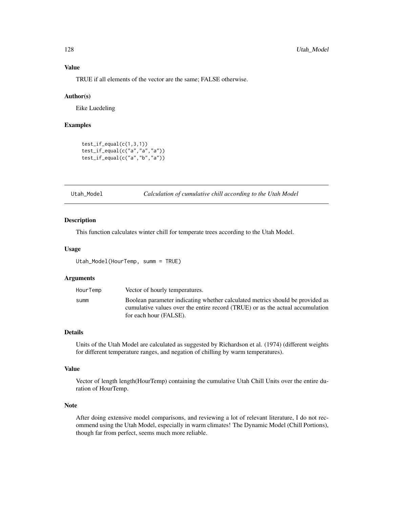TRUE if all elements of the vector are the same; FALSE otherwise.

#### Author(s)

Eike Luedeling

# Examples

```
test_i f_{equal}(c(1,3,1))test_if_equal(c("a","a","a"))
test_if_equal(c("a","b","a"))
```
Utah\_Model *Calculation of cumulative chill according to the Utah Model*

#### Description

This function calculates winter chill for temperate trees according to the Utah Model.

#### Usage

Utah\_Model(HourTemp, summ = TRUE)

#### **Arguments**

| HourTemp | Vector of hourly temperatures.                                                |
|----------|-------------------------------------------------------------------------------|
| summ     | Boolean parameter indicating whether calculated metrics should be provided as |
|          | cumulative values over the entire record (TRUE) or as the actual accumulation |
|          | for each hour (FALSE).                                                        |

# Details

Units of the Utah Model are calculated as suggested by Richardson et al. (1974) (different weights for different temperature ranges, and negation of chilling by warm temperatures).

## Value

Vector of length length(HourTemp) containing the cumulative Utah Chill Units over the entire duration of HourTemp.

# Note

After doing extensive model comparisons, and reviewing a lot of relevant literature, I do not recommend using the Utah Model, especially in warm climates! The Dynamic Model (Chill Portions), though far from perfect, seems much more reliable.

<span id="page-127-0"></span>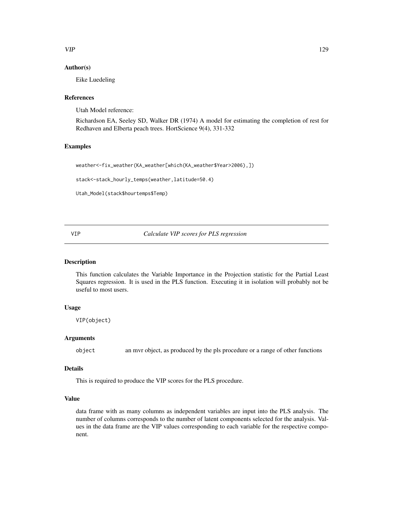# <span id="page-128-0"></span> $VIP$  129

# Author(s)

Eike Luedeling

#### References

Utah Model reference:

Richardson EA, Seeley SD, Walker DR (1974) A model for estimating the completion of rest for Redhaven and Elberta peach trees. HortScience 9(4), 331-332

# Examples

```
weather<-fix_weather(KA_weather[which(KA_weather$Year>2006),])
```
stack<-stack\_hourly\_temps(weather,latitude=50.4)

```
Utah_Model(stack$hourtemps$Temp)
```
VIP *Calculate VIP scores for PLS regression*

# Description

This function calculates the Variable Importance in the Projection statistic for the Partial Least Squares regression. It is used in the PLS function. Executing it in isolation will probably not be useful to most users.

# Usage

VIP(object)

# Arguments

object an mvr object, as produced by the pls procedure or a range of other functions

# Details

This is required to produce the VIP scores for the PLS procedure.

# Value

data frame with as many columns as independent variables are input into the PLS analysis. The number of columns corresponds to the number of latent components selected for the analysis. Values in the data frame are the VIP values corresponding to each variable for the respective component.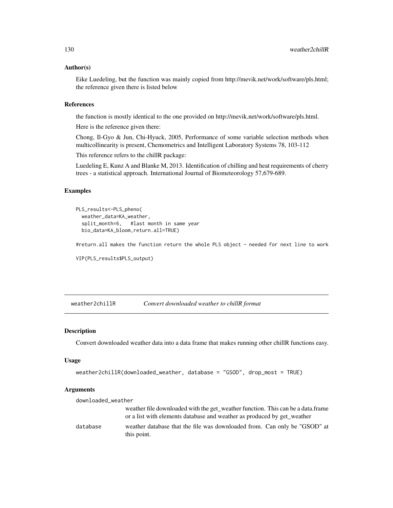#### <span id="page-129-0"></span>Author(s)

Eike Luedeling, but the function was mainly copied from http://mevik.net/work/software/pls.html; the reference given there is listed below

# References

the function is mostly identical to the one provided on http://mevik.net/work/software/pls.html.

Here is the reference given there:

Chong, Il-Gyo & Jun, Chi-Hyuck, 2005, Performance of some variable selection methods when multicollinearity is present, Chemometrics and Intelligent Laboratory Systems 78, 103-112

This reference refers to the chillR package:

Luedeling E, Kunz A and Blanke M, 2013. Identification of chilling and heat requirements of cherry trees - a statistical approach. International Journal of Biometeorology 57,679-689.

# Examples

```
PLS_results<-PLS_pheno(
 weather_data=KA_weather,
 split_month=6, #last month in same year
 bio_data=KA_bloom,return.all=TRUE)
```
#return.all makes the function return the whole PLS object - needed for next line to work

```
VIP(PLS_results$PLS_output)
```
weather2chillR *Convert downloaded weather to chillR format*

#### Description

Convert downloaded weather data into a data frame that makes running other chillR functions easy.

#### Usage

```
weather2chillR(downloaded_weather, database = "GSOD", drop_most = TRUE)
```
#### **Arguments**

| downloaded_weather |                                                                                                                                                            |
|--------------------|------------------------------------------------------------------------------------------------------------------------------------------------------------|
|                    | weather file downloaded with the get_weather function. This can be a data.frame<br>or a list with elements database and weather as produced by get_weather |
|                    |                                                                                                                                                            |
| database           | weather database that the file was downloaded from. Can only be "GSOD" at<br>this point.                                                                   |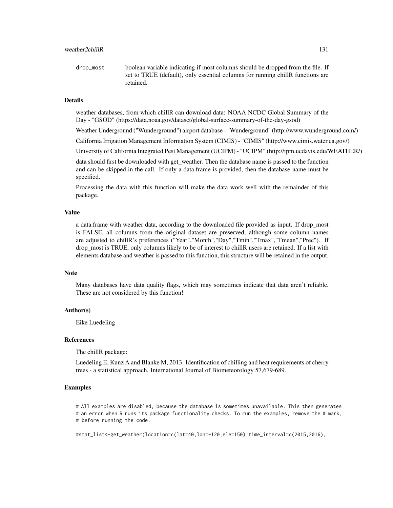drop\_most boolean variable indicating if most columns should be dropped from the file. If set to TRUE (default), only essential columns for running chillR functions are retained.

# Details

weather databases, from which chillR can download data: NOAA NCDC Global Summary of the Day - "GSOD" (https://data.noaa.gov/dataset/global-surface-summary-of-the-day-gsod)

Weather Underground ("Wunderground") airport database - "Wunderground" (http://www.wunderground.com/)

California Irrigation Management Information System (CIMIS) - "CIMIS" (http://www.cimis.water.ca.gov/)

University of California Integrated Pest Management (UCIPM) - "UCIPM" (http://ipm.ucdavis.edu/WEATHER/)

data should first be downloaded with get\_weather. Then the database name is passed to the function and can be skipped in the call. If only a data.frame is provided, then the database name must be specified.

Processing the data with this function will make the data work well with the remainder of this package.

#### Value

a data.frame with weather data, according to the downloaded file provided as input. If drop\_most is FALSE, all columns from the original dataset are preserved, although some column names are adjusted to chillR's preferences ("Year","Month","Day","Tmin","Tmax","Tmean","Prec"). If drop most is TRUE, only columns likely to be of interest to chillR users are retained. If a list with elements database and weather is passed to this function, this structure will be retained in the output.

#### Note

Many databases have data quality flags, which may sometimes indicate that data aren't reliable. These are not considered by this function!

#### Author(s)

Eike Luedeling

#### References

The chillR package:

Luedeling E, Kunz A and Blanke M, 2013. Identification of chilling and heat requirements of cherry trees - a statistical approach. International Journal of Biometeorology 57,679-689.

#### Examples

# All examples are disabled, because the database is sometimes unavailable. This then generates # an error when R runs its package functionality checks. To run the examples, remove the # mark, # before running the code.

#stat\_list<-get\_weather(location=c(lat=40,lon=-120,ele=150),time\_interval=c(2015,2016),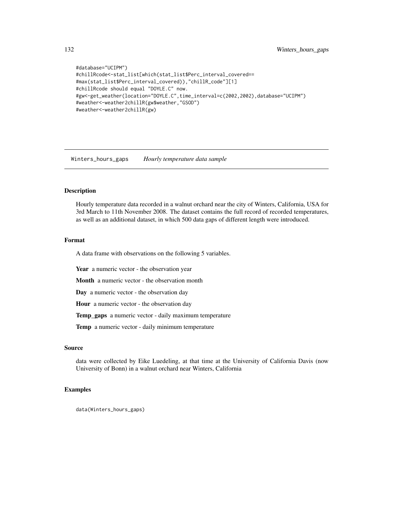```
#database="UCIPM")
#chillRcode<-stat_list[which(stat_list$Perc_interval_covered==
#max(stat_list$Perc_interval_covered)),"chillR_code"][1]
#chillRcode should equal "DOYLE.C" now.
#gw<-get_weather(location="DOYLE.C",time_interval=c(2002,2002),database="UCIPM")
#weather<-weather2chillR(gw$weather,"GSOD")
#weather<-weather2chillR(gw)
```
Winters\_hours\_gaps *Hourly temperature data sample*

#### Description

Hourly temperature data recorded in a walnut orchard near the city of Winters, California, USA for 3rd March to 11th November 2008. The dataset contains the full record of recorded temperatures, as well as an additional dataset, in which 500 data gaps of different length were introduced.

#### Format

A data frame with observations on the following 5 variables.

Year a numeric vector - the observation year

Month a numeric vector - the observation month

Day a numeric vector - the observation day

Hour a numeric vector - the observation day

Temp\_gaps a numeric vector - daily maximum temperature

Temp a numeric vector - daily minimum temperature

# Source

data were collected by Eike Luedeling, at that time at the University of California Davis (now University of Bonn) in a walnut orchard near Winters, California

# Examples

data(Winters\_hours\_gaps)

<span id="page-131-0"></span>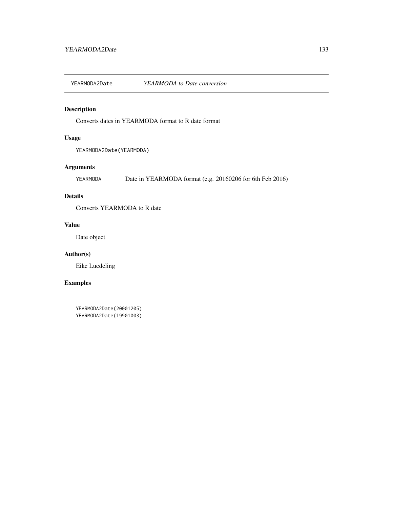<span id="page-132-0"></span>YEARMODA2Date *YEARMODA to Date conversion*

# Description

Converts dates in YEARMODA format to R date format

# Usage

YEARMODA2Date(YEARMODA)

# Arguments

YEARMODA Date in YEARMODA format (e.g. 20160206 for 6th Feb 2016)

# Details

Converts YEARMODA to R date

# Value

Date object

# Author(s)

Eike Luedeling

# Examples

YEARMODA2Date(20001205) YEARMODA2Date(19901003)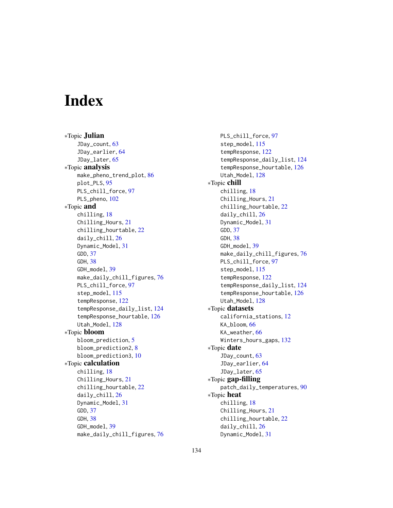# **Index**

∗Topic Julian JDay\_count, [63](#page-62-0) JDay\_earlier, [64](#page-63-0) JDay\_later, [65](#page-64-0) ∗Topic analysis make\_pheno\_trend\_plot, [86](#page-85-0) plot\_PLS, [95](#page-94-0) PLS\_chill\_force, [97](#page-96-0) PLS\_pheno, [102](#page-101-0) ∗Topic and chilling, [18](#page-17-0) Chilling\_Hours, [21](#page-20-0) chilling\_hourtable, [22](#page-21-0) daily\_chill, [26](#page-25-0) Dynamic\_Model, [31](#page-30-0) GDD, [37](#page-36-0) GDH, [38](#page-37-0) GDH\_model, [39](#page-38-0) make\_daily\_chill\_figures, [76](#page-75-0) PLS\_chill\_force, [97](#page-96-0) step\_model, [115](#page-114-0) tempResponse, [122](#page-121-0) tempResponse\_daily\_list, [124](#page-123-0) tempResponse\_hourtable, [126](#page-125-0) Utah\_Model, [128](#page-127-0) ∗Topic bloom bloom\_prediction, [5](#page-4-0) bloom\_prediction2, [8](#page-7-0) bloom\_prediction3, [10](#page-9-0) ∗Topic calculation chilling, [18](#page-17-0) Chilling\_Hours, [21](#page-20-0) chilling\_hourtable, [22](#page-21-0) daily\_chill, [26](#page-25-0) Dynamic\_Model, [31](#page-30-0) GDD, [37](#page-36-0) GDH, [38](#page-37-0) GDH\_model, [39](#page-38-0) make\_daily\_chill\_figures, [76](#page-75-0)

PLS\_chill\_force, [97](#page-96-0) step\_model, [115](#page-114-0) tempResponse, [122](#page-121-0) tempResponse\_daily\_list, [124](#page-123-0) tempResponse\_hourtable, [126](#page-125-0) Utah\_Model, [128](#page-127-0) ∗Topic chill chilling, [18](#page-17-0) Chilling\_Hours, [21](#page-20-0) chilling\_hourtable, [22](#page-21-0) daily\_chill, [26](#page-25-0) Dynamic\_Model, [31](#page-30-0) GDD, [37](#page-36-0) GDH, [38](#page-37-0) GDH\_model, [39](#page-38-0) make\_daily\_chill\_figures, [76](#page-75-0) PLS\_chill\_force, [97](#page-96-0) step\_model, [115](#page-114-0) tempResponse, [122](#page-121-0) tempResponse\_daily\_list, [124](#page-123-0) tempResponse\_hourtable, [126](#page-125-0) Utah\_Model, [128](#page-127-0) ∗Topic datasets california\_stations, [12](#page-11-0) KA\_bloom, [66](#page-65-0) KA\_weather, [66](#page-65-0) Winters\_hours\_gaps, [132](#page-131-0) ∗Topic date JDay\_count, [63](#page-62-0) JDay\_earlier, [64](#page-63-0) JDay\_later, [65](#page-64-0) ∗Topic gap-filling patch\_daily\_temperatures, [90](#page-89-0) ∗Topic heat chilling, [18](#page-17-0) Chilling\_Hours, [21](#page-20-0) chilling\_hourtable, [22](#page-21-0) daily\_chill, [26](#page-25-0) Dynamic\_Model, [31](#page-30-0)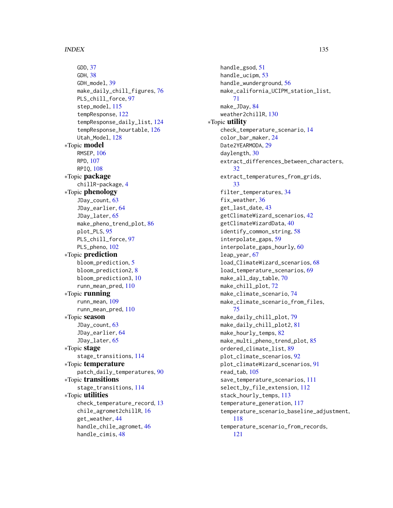GDD, [37](#page-36-0) GDH, [38](#page-37-0) GDH\_model, [39](#page-38-0) make\_daily\_chill\_figures, [76](#page-75-0) PLS\_chill\_force, [97](#page-96-0) step\_model, [115](#page-114-0) tempResponse, [122](#page-121-0) tempResponse\_daily\_list, [124](#page-123-0) tempResponse\_hourtable, [126](#page-125-0) Utah\_Model, [128](#page-127-0) ∗Topic model RMSEP, [106](#page-105-0) RPD, [107](#page-106-0) RPIQ, [108](#page-107-0) ∗Topic package chillR-package, [4](#page-3-0) ∗Topic phenology JDay\_count, [63](#page-62-0) JDay\_earlier, [64](#page-63-0) JDay\_later, [65](#page-64-0) make\_pheno\_trend\_plot, [86](#page-85-0) plot\_PLS, [95](#page-94-0) PLS\_chill\_force, [97](#page-96-0) PLS\_pheno, [102](#page-101-0) ∗Topic prediction bloom\_prediction, [5](#page-4-0) bloom\_prediction2, [8](#page-7-0) bloom\_prediction3, [10](#page-9-0) runn\_mean\_pred, [110](#page-109-0) ∗Topic running runn\_mean, [109](#page-108-0) runn\_mean\_pred, [110](#page-109-0) ∗Topic season JDay\_count, [63](#page-62-0) JDay\_earlier, [64](#page-63-0) JDay\_later, [65](#page-64-0) ∗Topic stage stage\_transitions, [114](#page-113-0) ∗Topic temperature patch\_daily\_temperatures, [90](#page-89-0) ∗Topic transitions stage\_transitions, [114](#page-113-0) ∗Topic utilities check\_temperature\_record, [13](#page-12-0) chile\_agromet2chillR, [16](#page-15-0) get\_weather, [44](#page-43-0) handle\_chile\_agromet, [46](#page-45-0) handle\_cimis, [48](#page-47-0)

handle\_gsod, [51](#page-50-0) handle\_ucipm, [53](#page-52-0) handle\_wunderground, [56](#page-55-0) make\_california\_UCIPM\_station\_list, [71](#page-70-0) make\_JDay, [84](#page-83-0) weather2chillR, [130](#page-129-0) ∗Topic utility check\_temperature\_scenario, [14](#page-13-0) color\_bar\_maker, [24](#page-23-0) Date2YEARMODA, [29](#page-28-0) daylength, [30](#page-29-0) extract\_differences\_between\_characters, [32](#page-31-0) extract\_temperatures\_from\_grids, [33](#page-32-0) filter\_temperatures, [34](#page-33-0) fix\_weather, [36](#page-35-0) get\_last\_date, [43](#page-42-0) getClimateWizard\_scenarios, [42](#page-41-0) getClimateWizardData, [40](#page-39-0) identify\_common\_string, [58](#page-57-0) interpolate\_gaps, [59](#page-58-0) interpolate\_gaps\_hourly, [60](#page-59-0) leap\_year, [67](#page-66-0) load\_ClimateWizard\_scenarios, [68](#page-67-0) load\_temperature\_scenarios, [69](#page-68-0) make\_all\_day\_table, [70](#page-69-0) make\_chill\_plot, [72](#page-71-0) make\_climate\_scenario, [74](#page-73-0) make\_climate\_scenario\_from\_files, [75](#page-74-0) make\_daily\_chill\_plot, [79](#page-78-0) make\_daily\_chill\_plot2, [81](#page-80-0) make\_hourly\_temps, [82](#page-81-0) make\_multi\_pheno\_trend\_plot, [85](#page-84-0) ordered\_climate\_list, [89](#page-88-0) plot\_climate\_scenarios, [92](#page-91-0) plot\_climateWizard\_scenarios, [91](#page-90-0) read\_tab, [105](#page-104-0) save\_temperature\_scenarios, [111](#page-110-0) select\_by\_file\_extension, [112](#page-111-0) stack\_hourly\_temps, [113](#page-112-0) temperature\_generation, [117](#page-116-0) temperature\_scenario\_baseline\_adjustment, [118](#page-117-0) temperature\_scenario\_from\_records, [121](#page-120-0)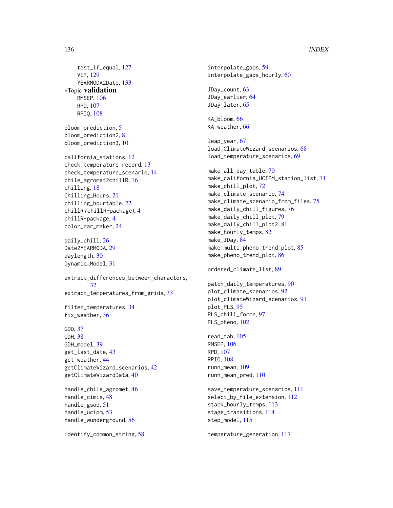# 136 INDEX

test\_if\_equal, [127](#page-126-0) VIP, [129](#page-128-0) YEARMODA2Date, [133](#page-132-0) ∗Topic validation RMSEP, [106](#page-105-0) RPD, [107](#page-106-0) RPIQ, [108](#page-107-0) bloom\_prediction, [5](#page-4-0) bloom\_prediction2, [8](#page-7-0) bloom\_prediction3, [10](#page-9-0) california\_stations, [12](#page-11-0) check\_temperature\_record, [13](#page-12-0) check\_temperature\_scenario, [14](#page-13-0) chile\_agromet2chillR, [16](#page-15-0) chilling, [18](#page-17-0) Chilling\_Hours, [21](#page-20-0) chilling\_hourtable, [22](#page-21-0) chillR *(*chillR-package*)*, [4](#page-3-0) chillR-package, [4](#page-3-0) color\_bar\_maker, [24](#page-23-0) daily\_chill, [26](#page-25-0) Date2YEARMODA, [29](#page-28-0) daylength, [30](#page-29-0) Dynamic\_Model, [31](#page-30-0) extract\_differences\_between\_characters, [32](#page-31-0) extract\_temperatures\_from\_grids, [33](#page-32-0) filter\_temperatures, [34](#page-33-0) fix\_weather, [36](#page-35-0) GDD, [37](#page-36-0) GDH, [38](#page-37-0) GDH\_model, [39](#page-38-0) get\_last\_date, [43](#page-42-0) get\_weather, [44](#page-43-0) getClimateWizard\_scenarios, [42](#page-41-0) getClimateWizardData, [40](#page-39-0) handle\_chile\_agromet, [46](#page-45-0) handle\_cimis, [48](#page-47-0) handle\_gsod, [51](#page-50-0) handle\_ucipm, [53](#page-52-0)

identify\_common\_string, [58](#page-57-0)

handle\_wunderground, [56](#page-55-0)

interpolate\_gaps, [59](#page-58-0) interpolate\_gaps\_hourly, [60](#page-59-0) JDay\_count, [63](#page-62-0) JDay\_earlier, [64](#page-63-0) JDay\_later, [65](#page-64-0) KA\_bloom, [66](#page-65-0) KA\_weather, [66](#page-65-0) leap\_year, [67](#page-66-0) load\_ClimateWizard\_scenarios, [68](#page-67-0) load\_temperature\_scenarios, [69](#page-68-0) make\_all\_day\_table, [70](#page-69-0) make\_california\_UCIPM\_station\_list, [71](#page-70-0) make\_chill\_plot, [72](#page-71-0) make\_climate\_scenario, [74](#page-73-0) make\_climate\_scenario\_from\_files, [75](#page-74-0) make\_daily\_chill\_figures, [76](#page-75-0) make\_daily\_chill\_plot, [79](#page-78-0) make\_daily\_chill\_plot2, [81](#page-80-0) make\_hourly\_temps, [82](#page-81-0) make\_JDay, [84](#page-83-0) make\_multi\_pheno\_trend\_plot, [85](#page-84-0) make\_pheno\_trend\_plot, [86](#page-85-0) ordered\_climate\_list, [89](#page-88-0) patch\_daily\_temperatures, [90](#page-89-0) plot\_climate\_scenarios, [92](#page-91-0) plot\_climateWizard\_scenarios, [91](#page-90-0) plot\_PLS, [95](#page-94-0) PLS\_chill\_force, [97](#page-96-0) PLS\_pheno, [102](#page-101-0) read\_tab, [105](#page-104-0) RMSEP, [106](#page-105-0) RPD, [107](#page-106-0) RPIQ, [108](#page-107-0) runn\_mean, [109](#page-108-0) runn\_mean\_pred, [110](#page-109-0) save\_temperature\_scenarios, [111](#page-110-0)

select\_by\_file\_extension, [112](#page-111-0) stack\_hourly\_temps, [113](#page-112-0) stage\_transitions, [114](#page-113-0) step\_model, [115](#page-114-0)

temperature\_generation, [117](#page-116-0)